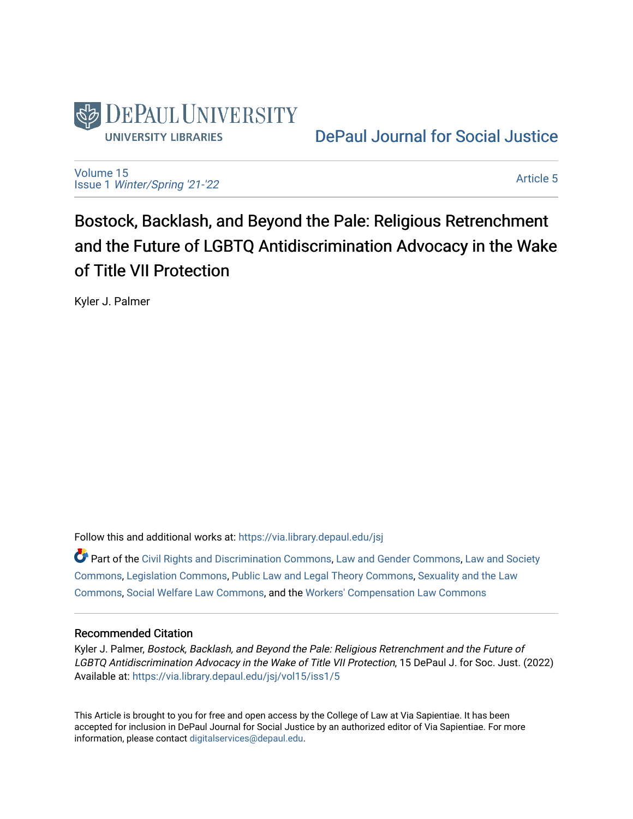

[DePaul Journal for Social Justice](https://via.library.depaul.edu/jsj) 

[Volume 15](https://via.library.depaul.edu/jsj/vol15) Issue 1 [Winter/Spring '21-'22](https://via.library.depaul.edu/jsj/vol15/iss1) 

[Article 5](https://via.library.depaul.edu/jsj/vol15/iss1/5) 

Bostock, Backlash, and Beyond the Pale: Religious Retrenchment and the Future of LGBTQ Antidiscrimination Advocacy in the Wake of Title VII Protection

Kyler J. Palmer

Follow this and additional works at: [https://via.library.depaul.edu/jsj](https://via.library.depaul.edu/jsj?utm_source=via.library.depaul.edu%2Fjsj%2Fvol15%2Fiss1%2F5&utm_medium=PDF&utm_campaign=PDFCoverPages) 

 $\bullet$  Part of the [Civil Rights and Discrimination Commons,](https://network.bepress.com/hgg/discipline/585?utm_source=via.library.depaul.edu%2Fjsj%2Fvol15%2Fiss1%2F5&utm_medium=PDF&utm_campaign=PDFCoverPages) [Law and Gender Commons,](https://network.bepress.com/hgg/discipline/1298?utm_source=via.library.depaul.edu%2Fjsj%2Fvol15%2Fiss1%2F5&utm_medium=PDF&utm_campaign=PDFCoverPages) Law and Society [Commons](https://network.bepress.com/hgg/discipline/853?utm_source=via.library.depaul.edu%2Fjsj%2Fvol15%2Fiss1%2F5&utm_medium=PDF&utm_campaign=PDFCoverPages), [Legislation Commons,](https://network.bepress.com/hgg/discipline/859?utm_source=via.library.depaul.edu%2Fjsj%2Fvol15%2Fiss1%2F5&utm_medium=PDF&utm_campaign=PDFCoverPages) [Public Law and Legal Theory Commons](https://network.bepress.com/hgg/discipline/871?utm_source=via.library.depaul.edu%2Fjsj%2Fvol15%2Fiss1%2F5&utm_medium=PDF&utm_campaign=PDFCoverPages), [Sexuality and the Law](https://network.bepress.com/hgg/discipline/877?utm_source=via.library.depaul.edu%2Fjsj%2Fvol15%2Fiss1%2F5&utm_medium=PDF&utm_campaign=PDFCoverPages)  [Commons](https://network.bepress.com/hgg/discipline/877?utm_source=via.library.depaul.edu%2Fjsj%2Fvol15%2Fiss1%2F5&utm_medium=PDF&utm_campaign=PDFCoverPages), [Social Welfare Law Commons,](https://network.bepress.com/hgg/discipline/878?utm_source=via.library.depaul.edu%2Fjsj%2Fvol15%2Fiss1%2F5&utm_medium=PDF&utm_campaign=PDFCoverPages) and the [Workers' Compensation Law Commons](https://network.bepress.com/hgg/discipline/889?utm_source=via.library.depaul.edu%2Fjsj%2Fvol15%2Fiss1%2F5&utm_medium=PDF&utm_campaign=PDFCoverPages) 

## Recommended Citation

Kyler J. Palmer, Bostock, Backlash, and Beyond the Pale: Religious Retrenchment and the Future of LGBTQ Antidiscrimination Advocacy in the Wake of Title VII Protection, 15 DePaul J. for Soc. Just. (2022) Available at: [https://via.library.depaul.edu/jsj/vol15/iss1/5](https://via.library.depaul.edu/jsj/vol15/iss1/5?utm_source=via.library.depaul.edu%2Fjsj%2Fvol15%2Fiss1%2F5&utm_medium=PDF&utm_campaign=PDFCoverPages) 

This Article is brought to you for free and open access by the College of Law at Via Sapientiae. It has been accepted for inclusion in DePaul Journal for Social Justice by an authorized editor of Via Sapientiae. For more information, please contact [digitalservices@depaul.edu](mailto:digitalservices@depaul.edu).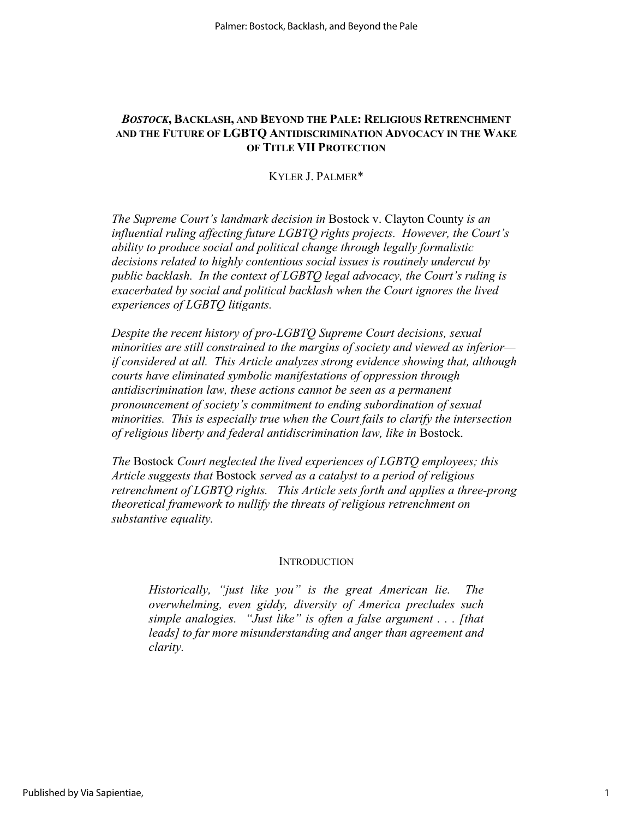## *BOSTOCK***, BACKLASH, AND BEYOND THE PALE: RELIGIOUS RETRENCHMENT AND THE FUTURE OF LGBTQ ANTIDISCRIMINATION ADVOCACY IN THE WAKE OF TITLE VII PROTECTION**

KYLER J. PALMER\*

*The Supreme Court's landmark decision in* Bostock v. Clayton County *is an influential ruling affecting future LGBTQ rights projects. However, the Court's ability to produce social and political change through legally formalistic decisions related to highly contentious social issues is routinely undercut by public backlash. In the context of LGBTQ legal advocacy, the Court's ruling is exacerbated by social and political backlash when the Court ignores the lived experiences of LGBTQ litigants.* 

*Despite the recent history of pro-LGBTQ Supreme Court decisions, sexual minorities are still constrained to the margins of society and viewed as inferior if considered at all. This Article analyzes strong evidence showing that, although courts have eliminated symbolic manifestations of oppression through antidiscrimination law, these actions cannot be seen as a permanent pronouncement of society's commitment to ending subordination of sexual minorities. This is especially true when the Court fails to clarify the intersection of religious liberty and federal antidiscrimination law, like in* Bostock.

*The* Bostock *Court neglected the lived experiences of LGBTQ employees; this Article suggests that* Bostock *served as a catalyst to a period of religious retrenchment of LGBTQ rights. This Article sets forth and applies a three-prong theoretical framework to nullify the threats of religious retrenchment on substantive equality.* 

#### **INTRODUCTION**

*Historically, "just like you" is the great American lie. The overwhelming, even giddy, diversity of America precludes such simple analogies. "Just like" is often a false argument . . . [that leads] to far more misunderstanding and anger than agreement and clarity.*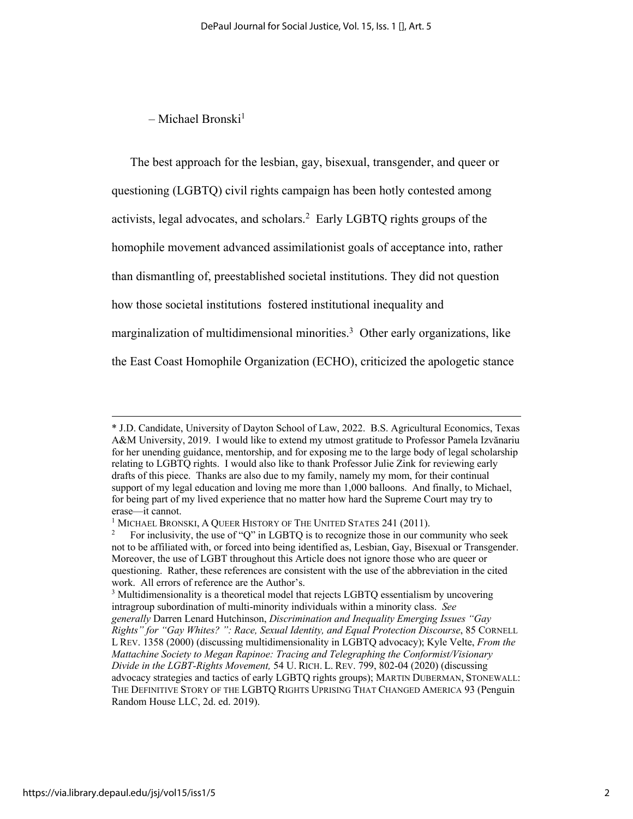## $-$  Michael Bronski<sup>1</sup>

The best approach for the lesbian, gay, bisexual, transgender, and queer or questioning (LGBTQ) civil rights campaign has been hotly contested among activists, legal advocates, and scholars.<sup>2</sup> Early LGBTQ rights groups of the homophile movement advanced assimilationist goals of acceptance into, rather than dismantling of, preestablished societal institutions. They did not question how those societal institutions fostered institutional inequality and marginalization of multidimensional minorities.<sup>3</sup> Other early organizations, like the East Coast Homophile Organization (ECHO), criticized the apologetic stance

<sup>\*</sup> J.D. Candidate, University of Dayton School of Law, 2022. B.S. Agricultural Economics, Texas A&M University, 2019. I would like to extend my utmost gratitude to Professor Pamela Izvănariu for her unending guidance, mentorship, and for exposing me to the large body of legal scholarship relating to LGBTQ rights. I would also like to thank Professor Julie Zink for reviewing early drafts of this piece. Thanks are also due to my family, namely my mom, for their continual support of my legal education and loving me more than 1,000 balloons. And finally, to Michael, for being part of my lived experience that no matter how hard the Supreme Court may try to

erase—it cannot.<br><sup>1</sup> MICHAEL BRONSKI, A QUEER HISTORY OF THE UNITED STATES 241 (2011).<br><sup>2</sup> For inclusivity, the use of "O" in I GBTO is to recognize those in our cor-

<sup>2</sup> For inclusivity, the use of "Q" in LGBTQ is to recognize those in our community who seek not to be affiliated with, or forced into being identified as, Lesbian, Gay, Bisexual or Transgender. Moreover, the use of LGBT throughout this Article does not ignore those who are queer or questioning. Rather, these references are consistent with the use of the abbreviation in the cited work. All errors of reference are the Author's.

<sup>&</sup>lt;sup>3</sup> Multidimensionality is a theoretical model that rejects LGBTQ essentialism by uncovering intragroup subordination of multi-minority individuals within a minority class. *See generally* Darren Lenard Hutchinson, *Discrimination and Inequality Emerging Issues "Gay Rights" for "Gay Whites? ": Race, Sexual Identity, and Equal Protection Discourse*, 85 CORNELL L REV. 1358 (2000) (discussing multidimensionality in LGBTQ advocacy); Kyle Velte, *From the Mattachine Society to Megan Rapinoe: Tracing and Telegraphing the Conformist/Visionary Divide in the LGBT-Rights Movement,* 54 U. RICH. L. REV. 799, 802-04 (2020) (discussing advocacy strategies and tactics of early LGBTQ rights groups); MARTIN DUBERMAN, STONEWALL: THE DEFINITIVE STORY OF THE LGBTQ RIGHTS UPRISING THAT CHANGED AMERICA 93 (Penguin Random House LLC, 2d. ed. 2019).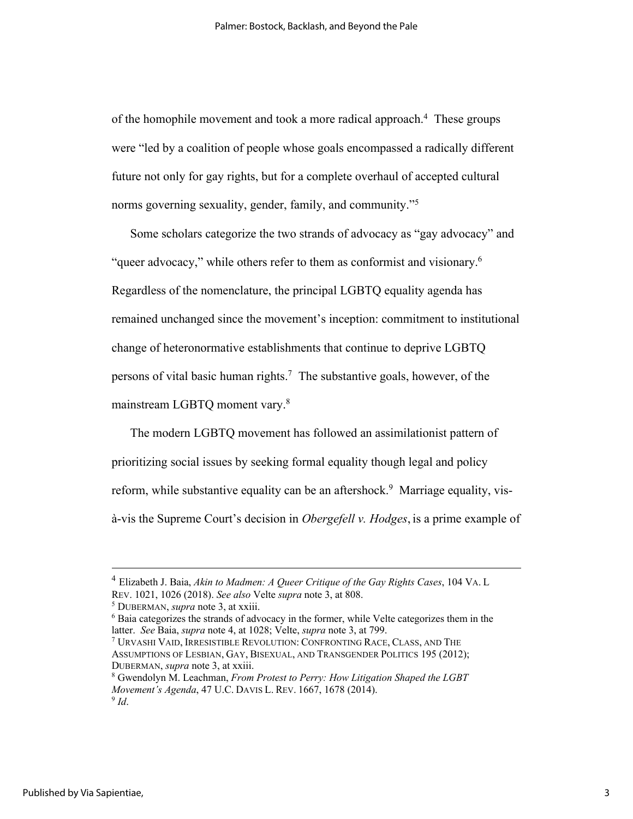of the homophile movement and took a more radical approach.<sup>4</sup> These groups were "led by a coalition of people whose goals encompassed a radically different future not only for gay rights, but for a complete overhaul of accepted cultural norms governing sexuality, gender, family, and community."<sup>5</sup>

Some scholars categorize the two strands of advocacy as "gay advocacy" and "queer advocacy," while others refer to them as conformist and visionary.<sup>6</sup> Regardless of the nomenclature, the principal LGBTQ equality agenda has remained unchanged since the movement's inception: commitment to institutional change of heteronormative establishments that continue to deprive LGBTQ persons of vital basic human rights. 7 The substantive goals, however, of the mainstream LGBTQ moment vary. 8

The modern LGBTQ movement has followed an assimilationist pattern of prioritizing social issues by seeking formal equality though legal and policy reform, while substantive equality can be an aftershock.<sup>9</sup> Marriage equality, visà-vis the Supreme Court's decision in *Obergefell v. Hodges*, is a prime example of

<sup>4</sup> Elizabeth J. Baia, *Akin to Madmen: A Queer Critique of the Gay Rights Cases*, 104 VA. L REV. 1021, 1026 (2018). *See also* Velte *supra* note 3, at 808.<br><sup>5</sup> DUBERMAN, *supra* note 3, at xxiii. 6 Baia categorizes them in the 6 baia categorizes them in the strands of advocacy in the former, while Velte categori

latter. *See* Baia, *supra* note 4, at 1028; Velte, *supra* note 3, at 799.

<sup>7</sup> URVASHI VAID, IRRESISTIBLE REVOLUTION: CONFRONTING RACE, CLASS, AND THE ASSUMPTIONS OF LESBIAN, GAY, BISEXUAL, AND TRANSGENDER POLITICS 195 (2012); DUBERMAN, *supra* note 3, at xxiii.<br><sup>8</sup> Gwendolyn M. Leachman, *From Protest to Perry: How Litigation Shaped the LGBT* 

*Movement's Agenda*, 47 U.C. DAVIS L. REV. 1667, 1678 (2014). <sup>9</sup> *Id*.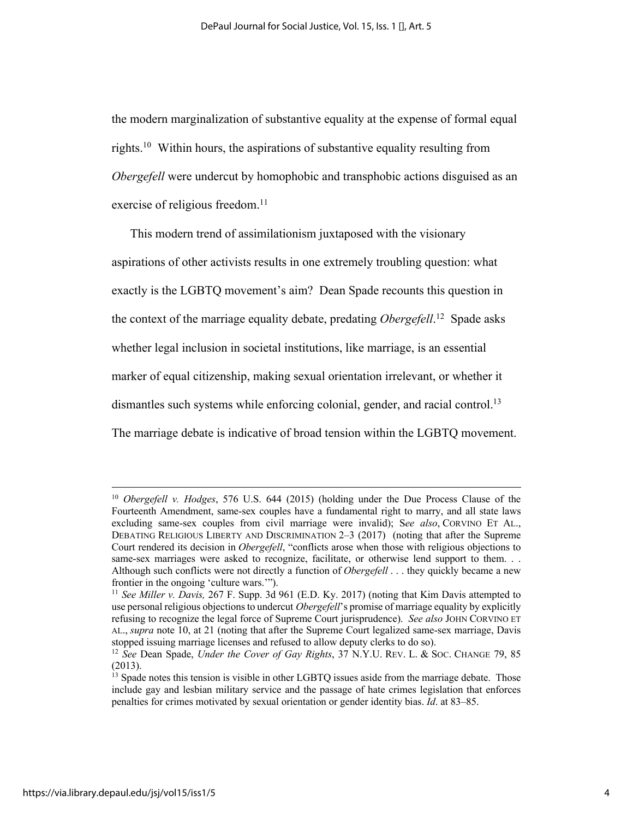the modern marginalization of substantive equality at the expense of formal equal rights.10 Within hours, the aspirations of substantive equality resulting from *Obergefell* were undercut by homophobic and transphobic actions disguised as an exercise of religious freedom.<sup>11</sup>

This modern trend of assimilationism juxtaposed with the visionary aspirations of other activists results in one extremely troubling question: what exactly is the LGBTQ movement's aim? Dean Spade recounts this question in the context of the marriage equality debate, predating *Obergefell*. 12 Spade asks whether legal inclusion in societal institutions, like marriage, is an essential marker of equal citizenship, making sexual orientation irrelevant, or whether it dismantles such systems while enforcing colonial, gender, and racial control.13 The marriage debate is indicative of broad tension within the LGBTQ movement.

<sup>10</sup> *Obergefell v. Hodges*, 576 U.S. 644 (2015) (holding under the Due Process Clause of the Fourteenth Amendment, same-sex couples have a fundamental right to marry, and all state laws excluding same-sex couples from civil marriage were invalid); S*ee also*, CORVINO ET AL., DEBATING RELIGIOUS LIBERTY AND DISCRIMINATION 2–3 (2017) (noting that after the Supreme Court rendered its decision in *Obergefell*, "conflicts arose when those with religious objections to same-sex marriages were asked to recognize, facilitate, or otherwise lend support to them. . . Although such conflicts were not directly a function of *Obergefell* . . . they quickly became a new frontier in the ongoing 'culture wars.'").

<sup>11</sup> *See Miller v. Davis,* 267 F. Supp. 3d 961 (E.D. Ky. 2017) (noting that Kim Davis attempted to use personal religious objectionsto undercut *Obergefell*'s promise of marriage equality by explicitly refusing to recognize the legal force of Supreme Court jurisprudence). *See also* JOHN CORVINO ET AL., *supra* note 10, at 21 (noting that after the Supreme Court legalized same-sex marriage, Davis stopped issuing marriage licenses and refused to allow deputy clerks to do so). 12 *See* Dean Spade, *Under the Cover of Gay Rights*, 37 N.Y.U. REV. L. & SOC. CHANGE 79, 85

<sup>(2013).</sup>

<sup>&</sup>lt;sup>13</sup> Spade notes this tension is visible in other LGBTQ issues aside from the marriage debate. Those include gay and lesbian military service and the passage of hate crimes legislation that enforces penalties for crimes motivated by sexual orientation or gender identity bias. *Id*. at 83–85.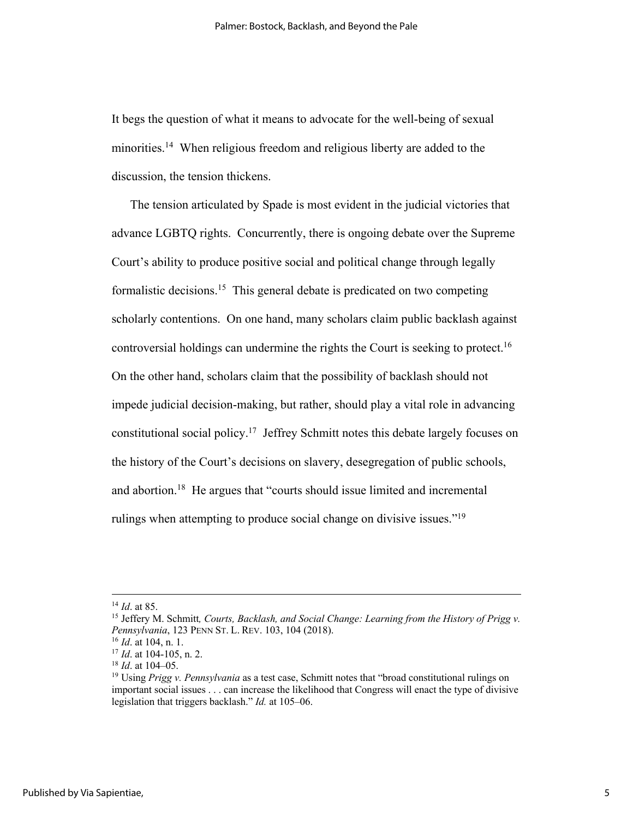It begs the question of what it means to advocate for the well-being of sexual minorities.<sup>14</sup> When religious freedom and religious liberty are added to the discussion, the tension thickens.

The tension articulated by Spade is most evident in the judicial victories that advance LGBTQ rights. Concurrently, there is ongoing debate over the Supreme Court's ability to produce positive social and political change through legally formalistic decisions. 15 This general debate is predicated on two competing scholarly contentions. On one hand, many scholars claim public backlash against controversial holdings can undermine the rights the Court is seeking to protect.<sup>16</sup> On the other hand, scholars claim that the possibility of backlash should not impede judicial decision-making, but rather, should play a vital role in advancing constitutional social policy.17 Jeffrey Schmitt notes this debate largely focuses on the history of the Court's decisions on slavery, desegregation of public schools, and abortion.<sup>18</sup> He argues that "courts should issue limited and incremental rulings when attempting to produce social change on divisive issues."<sup>19</sup>

<sup>&</sup>lt;sup>14</sup> *Id.* at 85.<br><sup>15</sup> Jeffery M. Schmitt, Courts, Backlash, and Social Change: Learning from the History of Prigg v. *Pennsylvania*, 123 PENN ST. L. REV. 103, 104 (2018).<br><sup>16</sup> *Id.* at 104, n. 1.<br><sup>17</sup> *Id.* at 104-105, n. 2.<br><sup>18</sup> *Id.* at 104-05.<br><sup>19</sup> Using *Prigg v. Pennsylvania* as a test case, Schmitt notes that "broad constitutional

important social issues . . . can increase the likelihood that Congress will enact the type of divisive legislation that triggers backlash." *Id.* at 105–06.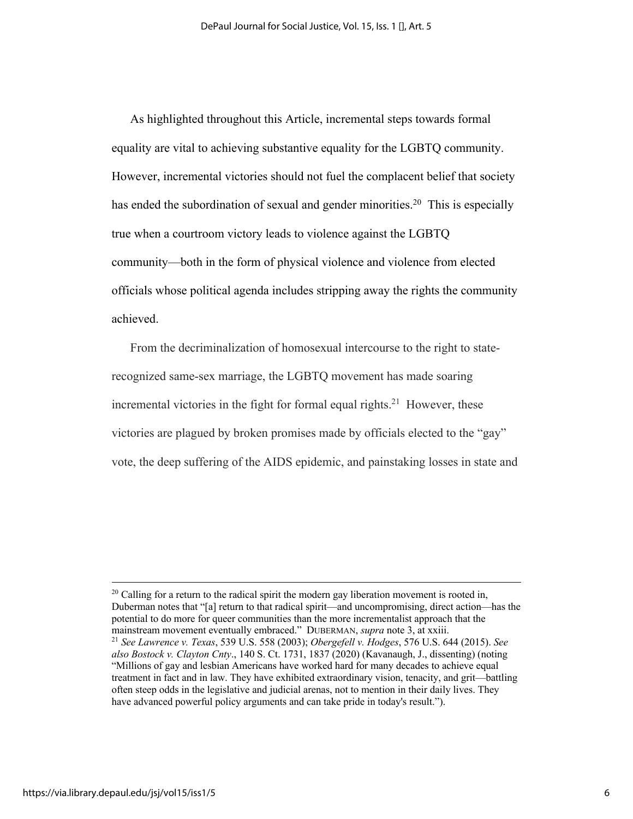As highlighted throughout this Article, incremental steps towards formal equality are vital to achieving substantive equality for the LGBTQ community. However, incremental victories should not fuel the complacent belief that society has ended the subordination of sexual and gender minorities.<sup>20</sup> This is especially true when a courtroom victory leads to violence against the LGBTQ community—both in the form of physical violence and violence from elected officials whose political agenda includes stripping away the rights the community achieved.

From the decriminalization of homosexual intercourse to the right to staterecognized same-sex marriage, the LGBTQ movement has made soaring incremental victories in the fight for formal equal rights.<sup>21</sup> However, these victories are plagued by broken promises made by officials elected to the "gay" vote, the deep suffering of the AIDS epidemic, and painstaking losses in state and

 $20$  Calling for a return to the radical spirit the modern gay liberation movement is rooted in, Duberman notes that "[a] return to that radical spirit—and uncompromising, direct action—has the potential to do more for queer communities than the more incrementalist approach that the mainstream movement eventually embraced." DUBERMAN, *supra* note 3, at xxiii.<br><sup>21</sup> *See Lawrence v. Texas*, 539 U.S. 558 (2003); *Obergefell v. Hodges*, 576 U.S. 644 (2015). *See also Bostock v. Clayton Cnty*., 140 S. Ct. 1731, 1837 (2020) (Kavanaugh, J., dissenting) (noting "Millions of gay and lesbian Americans have worked hard for many decades to achieve equal treatment in fact and in law. They have exhibited extraordinary vision, tenacity, and grit—battling often steep odds in the legislative and judicial arenas, not to mention in their daily lives. They have advanced powerful policy arguments and can take pride in today's result.").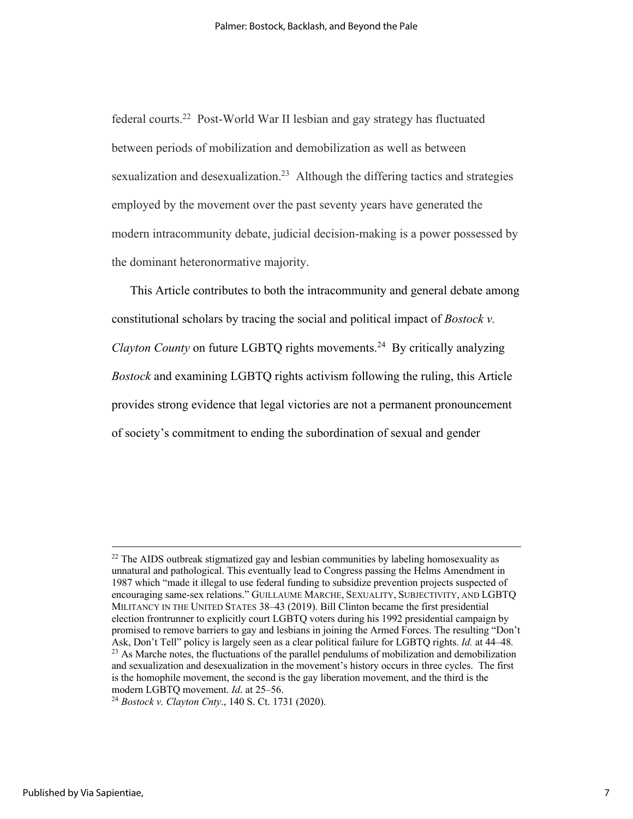federal courts. 22 Post-World War II lesbian and gay strategy has fluctuated between periods of mobilization and demobilization as well as between sexualization and desexualization.<sup>23</sup> Although the differing tactics and strategies employed by the movement over the past seventy years have generated the modern intracommunity debate, judicial decision-making is a power possessed by the dominant heteronormative majority.

This Article contributes to both the intracommunity and general debate among constitutional scholars by tracing the social and political impact of *Bostock v. Clayton County* on future LGBTQ rights movements. 24 By critically analyzing *Bostock* and examining LGBTQ rights activism following the ruling, this Article provides strong evidence that legal victories are not a permanent pronouncement of society's commitment to ending the subordination of sexual and gender

 $22$  The AIDS outbreak stigmatized gay and lesbian communities by labeling homosexuality as unnatural and pathological. This eventually lead to Congress passing the Helms Amendment in 1987 which "made it illegal to use federal funding to subsidize prevention projects suspected of encouraging same-sex relations." GUILLAUME MARCHE, SEXUALITY, SUBJECTIVITY, AND LGBTQ MILITANCY IN THE UNITED STATES 38–43 (2019). Bill Clinton became the first presidential election frontrunner to explicitly court LGBTQ voters during his 1992 presidential campaign by promised to remove barriers to gay and lesbians in joining the Armed Forces. The resulting "Don't Ask, Don't Tell" policy is largely seen as a clear political failure for LGBTQ rights. *Id.* at 44–48*.* <sup>23</sup> As Marche notes, the fluctuations of the parallel pendulums of mobilization and demobilization and sexualization and desexualization in the movement's history occurs in three cycles. The first is the homophile movement, the second is the gay liberation movement, and the third is the modern LGBTQ movement. *Id*. at 25–56.

<sup>24</sup> *Bostock v. Clayton Cnty*., 140 S. Ct. 1731 (2020).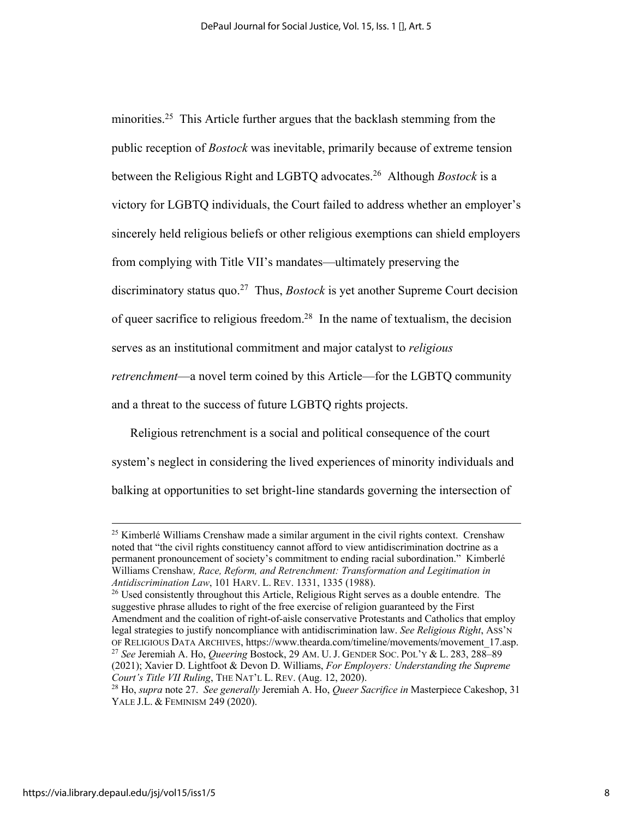minorities.<sup>25</sup> This Article further argues that the backlash stemming from the public reception of *Bostock* was inevitable, primarily because of extreme tension between the Religious Right and LGBTQ advocates.26 Although *Bostock* is a victory for LGBTQ individuals, the Court failed to address whether an employer's sincerely held religious beliefs or other religious exemptions can shield employers from complying with Title VII's mandates—ultimately preserving the discriminatory status quo.27 Thus, *Bostock* is yet another Supreme Court decision of queer sacrifice to religious freedom.<sup>28</sup> In the name of textualism, the decision serves as an institutional commitment and major catalyst to *religious retrenchment*—a novel term coined by this Article—for the LGBTQ community and a threat to the success of future LGBTQ rights projects.

Religious retrenchment is a social and political consequence of the court system's neglect in considering the lived experiences of minority individuals and balking at opportunities to set bright-line standards governing the intersection of

<sup>&</sup>lt;sup>25</sup> Kimberlé Williams Crenshaw made a similar argument in the civil rights context. Crenshaw noted that "the civil rights constituency cannot afford to view antidiscrimination doctrine as a permanent pronouncement of society's commitment to ending racial subordination." Kimberlé Williams Crenshaw*, Race, Reform, and Retrenchment: Transformation and Legitimation in Antidiscrimination Law*, 101 HARV. L. REV. 1331, 1335 (1988).<br><sup>26</sup> Used consistently throughout this Article, Religious Right serves as a double entendre. The

suggestive phrase alludes to right of the free exercise of religion guaranteed by the First Amendment and the coalition of right-of-aisle conservative Protestants and Catholics that employ legal strategies to justify noncompliance with antidiscrimination law. *See Religious Right*, ASS'N OF RELIGIOUS DATA ARCHIVES, https://www.thearda.com/timeline/movements/movement\_17.asp. 27 *See* Jeremiah A. Ho, *Queering* Bostock, 29 AM. U. J. GENDER SOC. POL'Y & L. 283, 288–89 (2021); Xavier D. Lightfoot & Devon D. Williams, *For Employers: Understanding the Supreme Court's Title VII Ruling*, THE NAT'L L. REV. (Aug. 12, 2020). 28 Ho, *supra* note 27. *See generally* Jeremiah A. Ho, *Queer Sacrifice in* Masterpiece Cakeshop, 31

YALE J.L. & FEMINISM 249 (2020).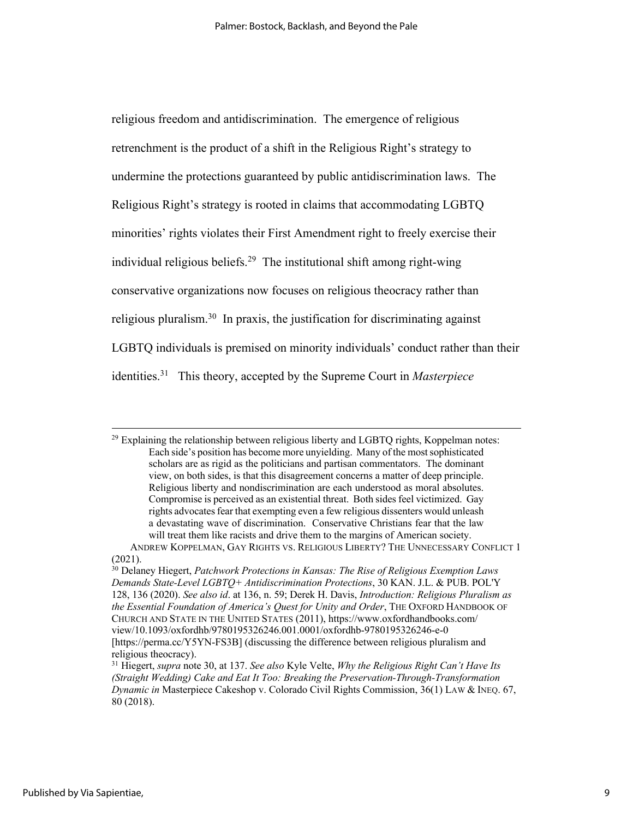religious freedom and antidiscrimination. The emergence of religious retrenchment is the product of a shift in the Religious Right's strategy to undermine the protections guaranteed by public antidiscrimination laws. The Religious Right's strategy is rooted in claims that accommodating LGBTQ minorities' rights violates their First Amendment right to freely exercise their individual religious beliefs. 29 The institutional shift among right-wing conservative organizations now focuses on religious theocracy rather than religious pluralism.<sup>30</sup> In praxis, the justification for discriminating against LGBTQ individuals is premised on minority individuals' conduct rather than their identities. 31 This theory, accepted by the Supreme Court in *Masterpiece* 

 $^{29}$  Explaining the relationship between religious liberty and LGBTQ rights, Koppelman notes: Each side's position has become more unyielding. Many of the most sophisticated scholars are as rigid as the politicians and partisan commentators. The dominant view, on both sides, is that this disagreement concerns a matter of deep principle. Religious liberty and nondiscrimination are each understood as moral absolutes. Compromise is perceived as an existential threat. Both sides feel victimized. Gay rights advocates fear that exempting even a few religious dissenters would unleash a devastating wave of discrimination. Conservative Christians fear that the law will treat them like racists and drive them to the margins of American society.

ANDREW KOPPELMAN, GAY RIGHTS VS. RELIGIOUS LIBERTY? THE UNNECESSARY CONFLICT 1 (2021).

<sup>30</sup> Delaney Hiegert, *Patchwork Protections in Kansas: The Rise of Religious Exemption Laws Demands State-Level LGBTQ+ Antidiscrimination Protections*, 30 KAN. J.L. & PUB. POL'Y 128, 136 (2020). *See also id*. at 136, n. 59; Derek H. Davis, *Introduction: Religious Pluralism as the Essential Foundation of America's Quest for Unity and Order*, THE OXFORD HANDBOOK OF CHURCH AND STATE IN THE UNITED STATES (2011), https://www.oxfordhandbooks.com/ view/10.1093/oxfordhb/9780195326246.001.0001/oxfordhb-9780195326246-e-0 [https://perma.cc/Y5YN-FS3B] (discussing the difference between religious pluralism and religious theocracy).

<sup>31</sup> Hiegert, *supra* note 30, at 137. *See also* Kyle Velte, *Why the Religious Right Can't Have Its (Straight Wedding) Cake and Eat It Too: Breaking the Preservation-Through-Transformation Dynamic in* Masterpiece Cakeshop v. Colorado Civil Rights Commission, 36(1) LAW & INEQ. 67, 80 (2018).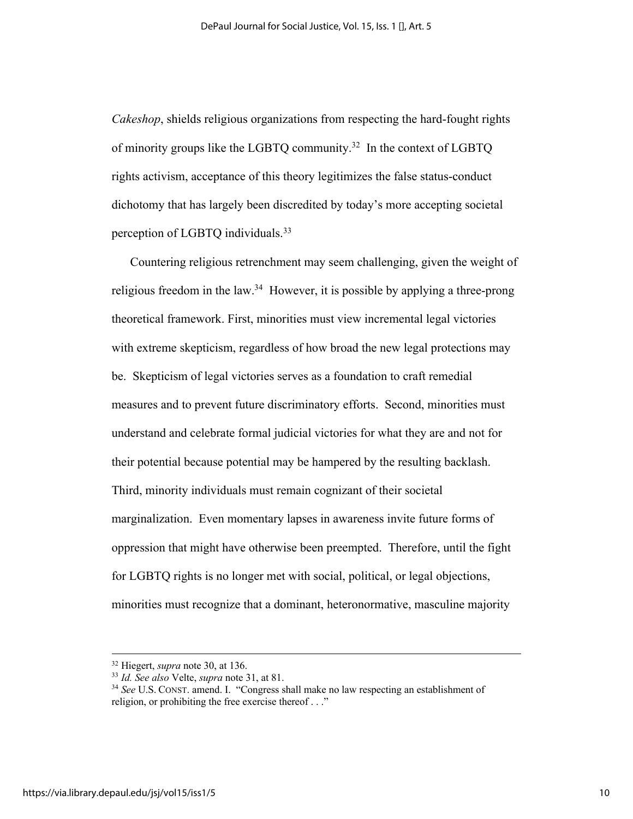*Cakeshop*, shields religious organizations from respecting the hard-fought rights of minority groups like the LGBTQ community.<sup>32</sup> In the context of LGBTQ rights activism, acceptance of this theory legitimizes the false status-conduct dichotomy that has largely been discredited by today's more accepting societal perception of LGBTQ individuals.<sup>33</sup>

Countering religious retrenchment may seem challenging, given the weight of religious freedom in the law.<sup>34</sup> However, it is possible by applying a three-prong theoretical framework. First, minorities must view incremental legal victories with extreme skepticism, regardless of how broad the new legal protections may be. Skepticism of legal victories serves as a foundation to craft remedial measures and to prevent future discriminatory efforts. Second, minorities must understand and celebrate formal judicial victories for what they are and not for their potential because potential may be hampered by the resulting backlash. Third, minority individuals must remain cognizant of their societal marginalization. Even momentary lapses in awareness invite future forms of oppression that might have otherwise been preempted. Therefore, until the fight for LGBTQ rights is no longer met with social, political, or legal objections, minorities must recognize that a dominant, heteronormative, masculine majority

<sup>&</sup>lt;sup>32</sup> Hiegert, *supra* note 30, at 136.<br><sup>33</sup> *Id. See also* Velte, *supra* note 31, at 81.<br><sup>34</sup> *See* U.S. CONST. amend. I. "Congress shall make no law respecting an establishment of religion, or prohibiting the free exercise thereof . . ."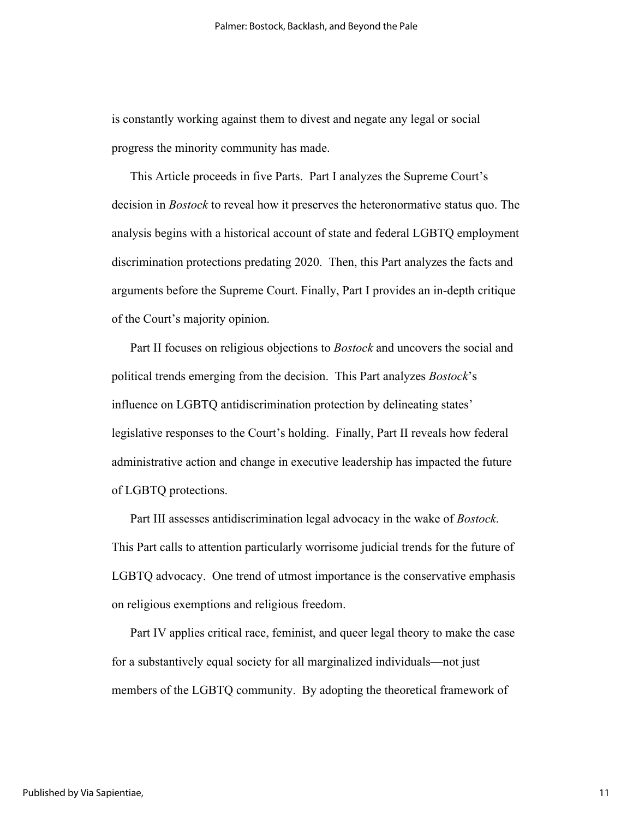is constantly working against them to divest and negate any legal or social progress the minority community has made.

This Article proceeds in five Parts. Part I analyzes the Supreme Court's decision in *Bostock* to reveal how it preserves the heteronormative status quo. The analysis begins with a historical account of state and federal LGBTQ employment discrimination protections predating 2020. Then, this Part analyzes the facts and arguments before the Supreme Court. Finally, Part I provides an in-depth critique of the Court's majority opinion.

Part II focuses on religious objections to *Bostock* and uncovers the social and political trends emerging from the decision. This Part analyzes *Bostock*'s influence on LGBTQ antidiscrimination protection by delineating states' legislative responses to the Court's holding. Finally, Part II reveals how federal administrative action and change in executive leadership has impacted the future of LGBTQ protections.

Part III assesses antidiscrimination legal advocacy in the wake of *Bostock*. This Part calls to attention particularly worrisome judicial trends for the future of LGBTQ advocacy. One trend of utmost importance is the conservative emphasis on religious exemptions and religious freedom.

Part IV applies critical race, feminist, and queer legal theory to make the case for a substantively equal society for all marginalized individuals—not just members of the LGBTQ community. By adopting the theoretical framework of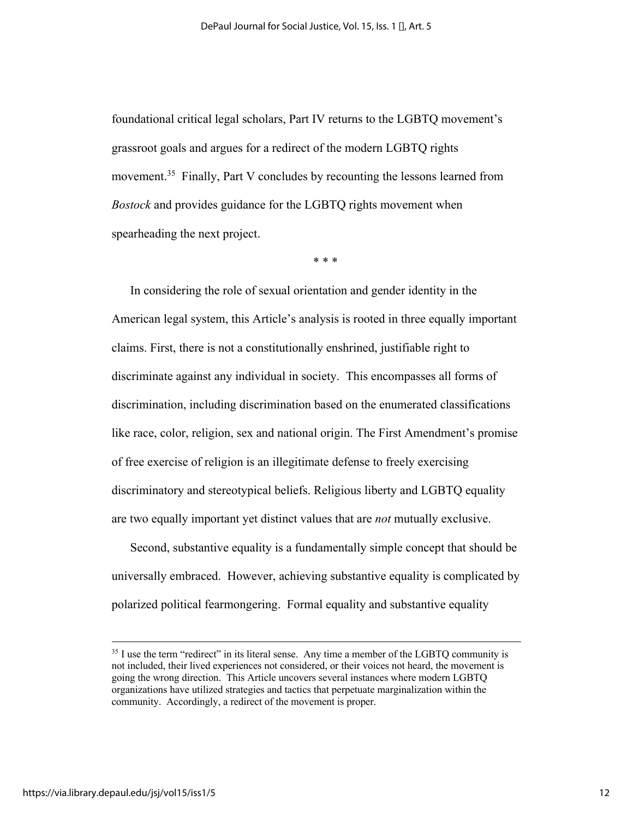foundational critical legal scholars, Part IV returns to the LGBTQ movement's grassroot goals and argues for a redirect of the modern LGBTQ rights movement.<sup>35</sup> Finally, Part V concludes by recounting the lessons learned from *Bostock* and provides guidance for the LGBTQ rights movement when spearheading the next project.

\* \* \*

In considering the role of sexual orientation and gender identity in the American legal system, this Article's analysis is rooted in three equally important claims. First, there is not a constitutionally enshrined, justifiable right to discriminate against any individual in society. This encompasses all forms of discrimination, including discrimination based on the enumerated classifications like race, color, religion, sex and national origin. The First Amendment's promise of free exercise of religion is an illegitimate defense to freely exercising discriminatory and stereotypical beliefs. Religious liberty and LGBTQ equality are two equally important yet distinct values that are *not* mutually exclusive.

Second, substantive equality is a fundamentally simple concept that should be universally embraced. However, achieving substantive equality is complicated by polarized political fearmongering. Formal equality and substantive equality

<sup>&</sup>lt;sup>35</sup> I use the term "redirect" in its literal sense. Any time a member of the LGBTQ community is not included, their lived experiences not considered, or their voices not heard, the movement is going the wrong direction. This Article uncovers several instances where modern LGBTQ organizations have utilized strategies and tactics that perpetuate marginalization within the community. Accordingly, a redirect of the movement is proper.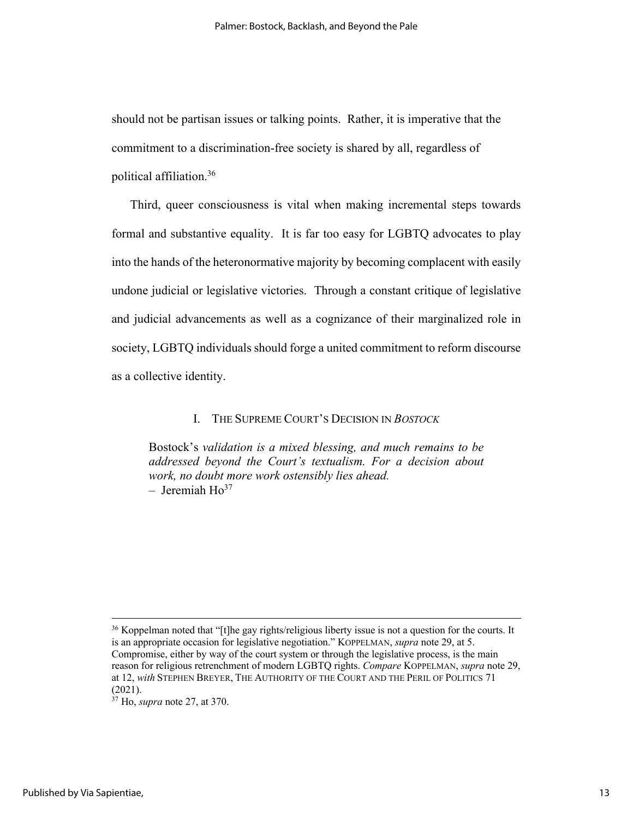should not be partisan issues or talking points. Rather, it is imperative that the commitment to a discrimination-free society is shared by all, regardless of political affiliation.36

Third, queer consciousness is vital when making incremental steps towards formal and substantive equality. It is far too easy for LGBTQ advocates to play into the hands of the heteronormative majority by becoming complacent with easily undone judicial or legislative victories. Through a constant critique of legislative and judicial advancements as well as a cognizance of their marginalized role in society, LGBTQ individuals should forge a united commitment to reform discourse as a collective identity.

#### I. THE SUPREME COURT'S DECISION IN *BOSTOCK*

Bostock's *validation is a mixed blessing, and much remains to be addressed beyond the Court's textualism. For a decision about work, no doubt more work ostensibly lies ahead.*  $-$  Jeremiah  $Ho^{37}$ 

<sup>&</sup>lt;sup>36</sup> Koppelman noted that "[t]he gay rights/religious liberty issue is not a question for the courts. It is an appropriate occasion for legislative negotiation." KOPPELMAN, *supra* note 29, at 5. Compromise, either by way of the court system or through the legislative process, is the main reason for religious retrenchment of modern LGBTQ rights. *Compare* KOPPELMAN, *supra* note 29, at 12, *with* STEPHEN BREYER, THE AUTHORITY OF THE COURT AND THE PERIL OF POLITICS 71 (2021).

<sup>37</sup> Ho, *supra* note 27, at 370.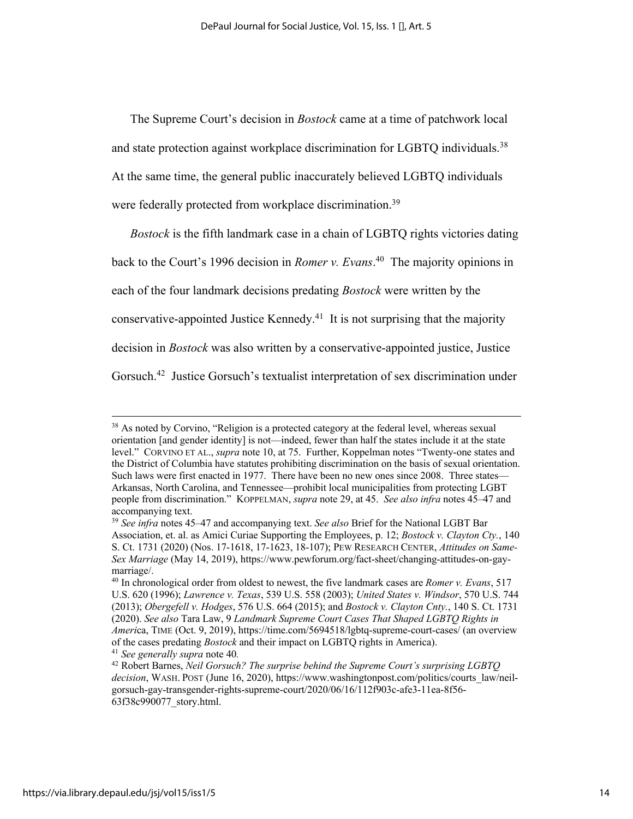The Supreme Court's decision in *Bostock* came at a time of patchwork local and state protection against workplace discrimination for LGBTQ individuals.<sup>38</sup> At the same time, the general public inaccurately believed LGBTQ individuals were federally protected from workplace discrimination.<sup>39</sup>

*Bostock* is the fifth landmark case in a chain of LGBTQ rights victories dating

back to the Court's 1996 decision in *Romer v. Evans*. 40 The majority opinions in

each of the four landmark decisions predating *Bostock* were written by the

conservative-appointed Justice Kennedy.41 It is not surprising that the majority

decision in *Bostock* was also written by a conservative-appointed justice, Justice

Gorsuch.<sup>42</sup> Justice Gorsuch's textualist interpretation of sex discrimination under

 $38$  As noted by Corvino, "Religion is a protected category at the federal level, whereas sexual orientation [and gender identity] is not—indeed, fewer than half the states include it at the state level." CORVINO ET AL., *supra* note 10, at 75. Further, Koppelman notes "Twenty-one states and the District of Columbia have statutes prohibiting discrimination on the basis of sexual orientation. Such laws were first enacted in 1977. There have been no new ones since 2008. Three states— Arkansas, North Carolina, and Tennessee—prohibit local municipalities from protecting LGBT people from discrimination." KOPPELMAN, *supra* note 29, at 45. *See also infra* notes 45–47 and accompanying text.

<sup>39</sup> *See infra* notes 45–47 and accompanying text. *See also* Brief for the National LGBT Bar Association, et. al. as Amici Curiae Supporting the Employees, p. 12; *Bostock v. Clayton Cty.*, 140 S. Ct. 1731 (2020) (Nos. 17-1618, 17-1623, 18-107); PEW RESEARCH CENTER, *Attitudes on Same-Sex Marriage* (May 14, 2019), https://www.pewforum.org/fact-sheet/changing-attitudes-on-gaymarriage/.

<sup>40</sup> In chronological order from oldest to newest, the five landmark cases are *Romer v. Evans*, 517 U.S. 620 (1996); *Lawrence v. Texas*, 539 U.S. 558 (2003); *United States v. Windsor*, 570 U.S. 744 (2013); *Obergefell v. Hodges*, 576 U.S. 664 (2015); and *Bostock v. Clayton Cnty.*, 140 S. Ct. 1731 (2020). *See also* Tara Law, 9 *Landmark Supreme Court Cases That Shaped LGBTQ Rights in Ameri*ca, TIME (Oct. 9, 2019), https://time.com/5694518/lgbtq-supreme-court-cases/ (an overview of the cases predating *Bostock* and their impact on LGBTQ rights in America).

<sup>41</sup> *See generally supra* note 40*.*

<sup>42</sup> Robert Barnes, *Neil Gorsuch? The surprise behind the Supreme Court's surprising LGBTQ decision*, WASH. POST (June 16, 2020), https://www.washingtonpost.com/politics/courts\_law/neilgorsuch-gay-transgender-rights-supreme-court/2020/06/16/112f903c-afe3-11ea-8f56- 63f38c990077\_story.html.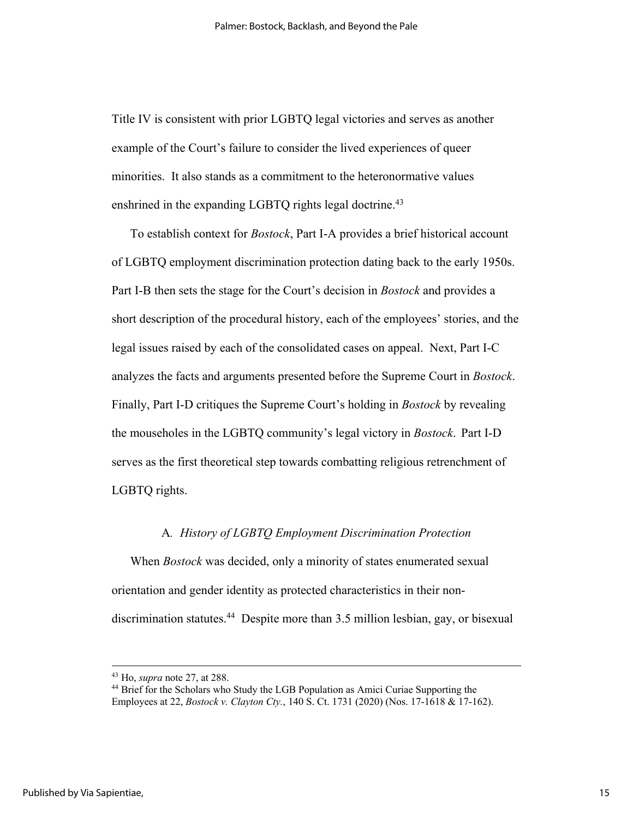Title IV is consistent with prior LGBTQ legal victories and serves as another example of the Court's failure to consider the lived experiences of queer minorities. It also stands as a commitment to the heteronormative values enshrined in the expanding LGBTQ rights legal doctrine.<sup>43</sup>

To establish context for *Bostock*, Part I-A provides a brief historical account of LGBTQ employment discrimination protection dating back to the early 1950s. Part I-B then sets the stage for the Court's decision in *Bostock* and provides a short description of the procedural history, each of the employees' stories, and the legal issues raised by each of the consolidated cases on appeal. Next, Part I-C analyzes the facts and arguments presented before the Supreme Court in *Bostock*. Finally, Part I-D critiques the Supreme Court's holding in *Bostock* by revealing the mouseholes in the LGBTQ community's legal victory in *Bostock*. Part I-D serves as the first theoretical step towards combatting religious retrenchment of LGBTQ rights.

#### A*. History of LGBTQ Employment Discrimination Protection*

When *Bostock* was decided, only a minority of states enumerated sexual orientation and gender identity as protected characteristics in their nondiscrimination statutes.44 Despite more than 3.5 million lesbian, gay, or bisexual

<sup>&</sup>lt;sup>43</sup> Ho, *supra* note 27, at 288.<br><sup>44</sup> Brief for the Scholars who Study the LGB Population as Amici Curiae Supporting the Employees at 22, *Bostock v. Clayton Cty.*, 140 S. Ct. 1731 (2020) (Nos. 17-1618 & 17-162).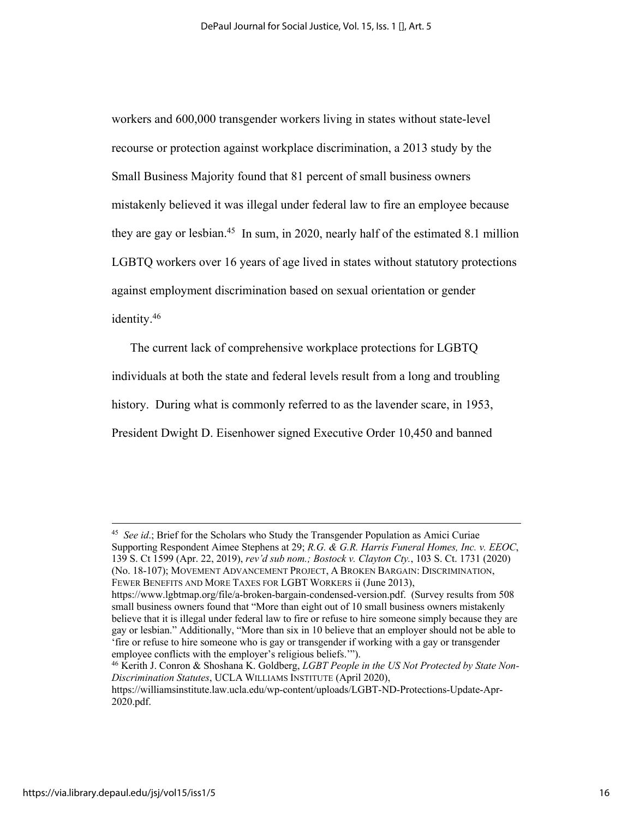workers and 600,000 transgender workers living in states without state-level recourse or protection against workplace discrimination, a 2013 study by the Small Business Majority found that 81 percent of small business owners mistakenly believed it was illegal under federal law to fire an employee because they are gay or lesbian.<sup>45</sup> In sum, in 2020, nearly half of the estimated 8.1 million LGBTQ workers over 16 years of age lived in states without statutory protections against employment discrimination based on sexual orientation or gender identity.46

The current lack of comprehensive workplace protections for LGBTQ

individuals at both the state and federal levels result from a long and troubling

history. During what is commonly referred to as the lavender scare, in 1953,

President Dwight D. Eisenhower signed Executive Order 10,450 and banned

<sup>45</sup> *See id*.; Brief for the Scholars who Study the Transgender Population as Amici Curiae Supporting Respondent Aimee Stephens at 29; *R.G. & G.R. Harris Funeral Homes, Inc. v. EEOC*, 139 S. Ct 1599 (Apr. 22, 2019), *rev'd sub nom.; Bostock v. Clayton Cty.*, 103 S. Ct. 1731 (2020) (No. 18-107); MOVEMENT ADVANCEMENT PROJECT, A BROKEN BARGAIN: DISCRIMINATION, FEWER BENEFITS AND MORE TAXES FOR LGBT WORKERS ii (June 2013),

https://www.lgbtmap.org/file/a-broken-bargain-condensed-version.pdf. (Survey results from 508 small business owners found that "More than eight out of 10 small business owners mistakenly believe that it is illegal under federal law to fire or refuse to hire someone simply because they are gay or lesbian." Additionally, "More than six in 10 believe that an employer should not be able to 'fire or refuse to hire someone who is gay or transgender if working with a gay or transgender employee conflicts with the employer's religious beliefs.'").

<sup>46</sup> Kerith J. Conron & Shoshana K. Goldberg, *LGBT People in the US Not Protected by State Non-Discrimination Statutes*, UCLA WILLIAMS INSTITUTE (April 2020),

https://williamsinstitute.law.ucla.edu/wp-content/uploads/LGBT-ND-Protections-Update-Apr-2020.pdf.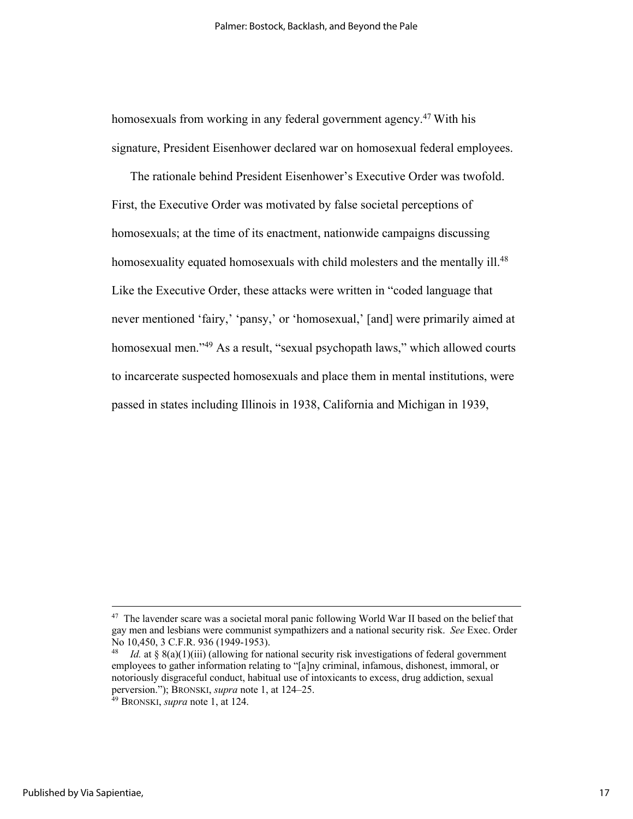homosexuals from working in any federal government agency. <sup>47</sup> With his signature, President Eisenhower declared war on homosexual federal employees.

The rationale behind President Eisenhower's Executive Order was twofold. First, the Executive Order was motivated by false societal perceptions of homosexuals; at the time of its enactment, nationwide campaigns discussing homosexuality equated homosexuals with child molesters and the mentally ill.<sup>48</sup> Like the Executive Order, these attacks were written in "coded language that never mentioned 'fairy,' 'pansy,' or 'homosexual,' [and] were primarily aimed at homosexual men.<sup>349</sup> As a result, "sexual psychopath laws," which allowed courts to incarcerate suspected homosexuals and place them in mental institutions, were passed in states including Illinois in 1938, California and Michigan in 1939,

<sup>&</sup>lt;sup>47</sup> The lavender scare was a societal moral panic following World War II based on the belief that gay men and lesbians were communist sympathizers and a national security risk. *See* Exec. Order No 10,450, 3 C.F.R. 936 (1949-1953).<br><sup>48</sup> *Id.* at § 8(a)(1)(iii) (allowing for national security risk investigations of federal government

employees to gather information relating to "[a]ny criminal, infamous, dishonest, immoral, or notoriously disgraceful conduct, habitual use of intoxicants to excess, drug addiction, sexual perversion."); BRONSKI, *supra* note 1, at 124–25. 49 BRONSKI, *supra* note 1, at 124.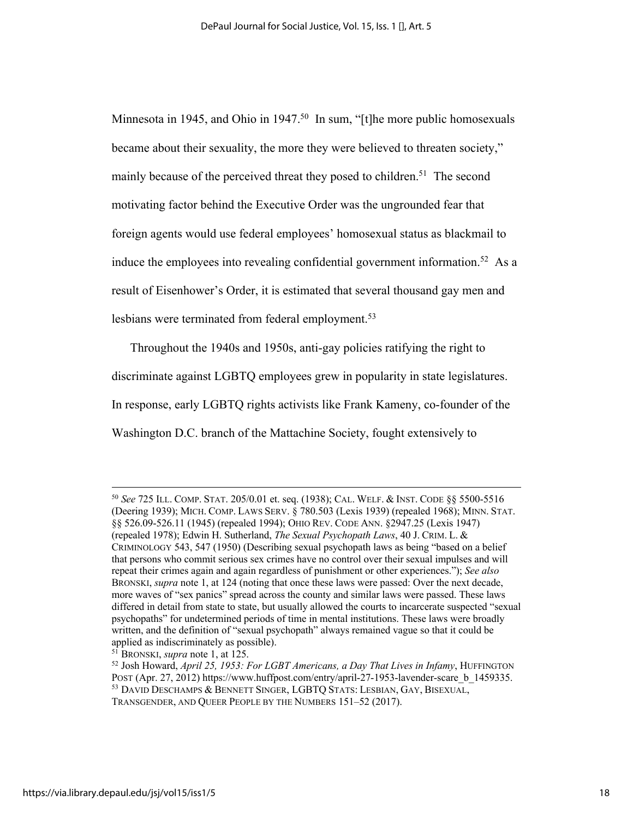Minnesota in 1945, and Ohio in 1947.<sup>50</sup> In sum, "[t]he more public homosexuals became about their sexuality, the more they were believed to threaten society," mainly because of the perceived threat they posed to children.<sup>51</sup> The second motivating factor behind the Executive Order was the ungrounded fear that foreign agents would use federal employees' homosexual status as blackmail to induce the employees into revealing confidential government information.<sup>52</sup> As a result of Eisenhower's Order, it is estimated that several thousand gay men and lesbians were terminated from federal employment.<sup>53</sup>

Throughout the 1940s and 1950s, anti-gay policies ratifying the right to discriminate against LGBTQ employees grew in popularity in state legislatures. In response, early LGBTQ rights activists like Frank Kameny, co-founder of the Washington D.C. branch of the Mattachine Society, fought extensively to

<sup>50</sup> *See* 725 ILL. COMP. STAT. 205/0.01 et. seq. (1938); CAL. WELF. & INST. CODE §§ 5500-5516 (Deering 1939); MICH. COMP. LAWS SERV. § 780.503 (Lexis 1939) (repealed 1968); MINN. STAT. §§ 526.09-526.11 (1945) (repealed 1994); OHIO REV. CODE ANN. §2947.25 (Lexis 1947) (repealed 1978); Edwin H. Sutherland, *The Sexual Psychopath Laws*, 40 J. CRIM. L. & CRIMINOLOGY 543, 547 (1950) (Describing sexual psychopath laws as being "based on a belief that persons who commit serious sex crimes have no control over their sexual impulses and will repeat their crimes again and again regardless of punishment or other experiences."); *See also* BRONSKI, *supra* note 1, at 124 (noting that once these laws were passed: Over the next decade, more waves of "sex panics" spread across the county and similar laws were passed. These laws differed in detail from state to state, but usually allowed the courts to incarcerate suspected "sexual psychopaths" for undetermined periods of time in mental institutions. These laws were broadly written, and the definition of "sexual psychopath" always remained vague so that it could be applied as indiscriminately as possible).

<sup>51</sup> BRONSKI, *supra* note 1, at 125.

<sup>52</sup> Josh Howard, *April 25, 1953: For LGBT Americans, a Day That Lives in Infamy*, HUFFINGTON POST (Apr. 27, 2012) https://www.huffpost.com/entry/april-27-1953-lavender-scare b 1459335. <sup>53</sup> DAVID DESCHAMPS & BENNETT SINGER, LGBTQ STATS: LESBIAN, GAY, BISEXUAL, TRANSGENDER, AND QUEER PEOPLE BY THE NUMBERS 151–52 (2017).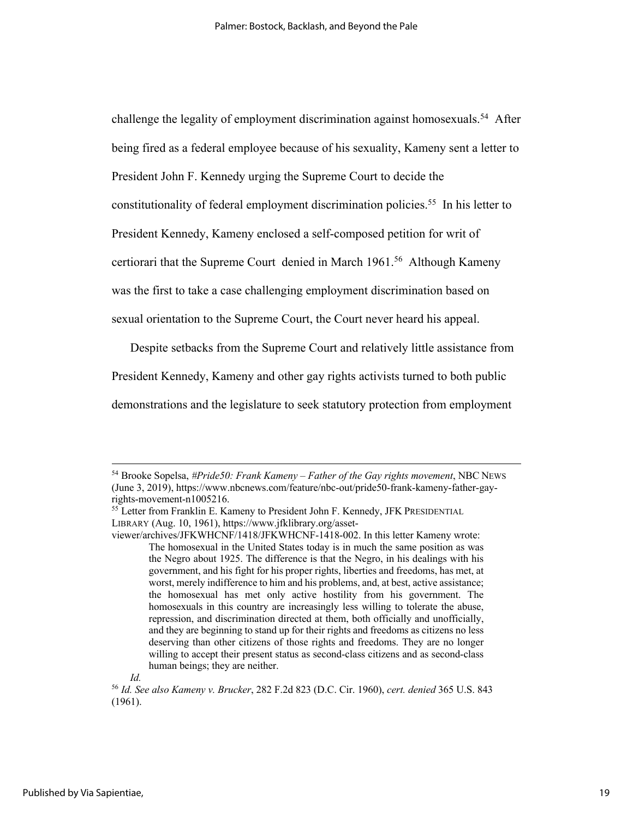challenge the legality of employment discrimination against homosexuals.<sup>54</sup> After being fired as a federal employee because of his sexuality, Kameny sent a letter to President John F. Kennedy urging the Supreme Court to decide the constitutionality of federal employment discrimination policies.<sup>55</sup> In his letter to President Kennedy, Kameny enclosed a self-composed petition for writ of certiorari that the Supreme Court denied in March 1961.<sup>56</sup> Although Kameny was the first to take a case challenging employment discrimination based on

sexual orientation to the Supreme Court, the Court never heard his appeal.

Despite setbacks from the Supreme Court and relatively little assistance from

President Kennedy, Kameny and other gay rights activists turned to both public

demonstrations and the legislature to seek statutory protection from employment

*Id.*

<sup>54</sup> Brooke Sopelsa, *#Pride50: Frank Kameny – Father of the Gay rights movement*, NBC NEWS (June 3, 2019), https://www.nbcnews.com/feature/nbc-out/pride50-frank-kameny-father-gayrights-movement-n1005216.<br><sup>55</sup> Letter from Franklin E. Kameny to President John F. Kennedy, JFK PRESIDENTIAL

LIBRARY (Aug. 10, 1961), https://www.jfklibrary.org/asset-

viewer/archives/JFKWHCNF/1418/JFKWHCNF-1418-002. In this letter Kameny wrote: The homosexual in the United States today is in much the same position as was the Negro about 1925. The difference is that the Negro, in his dealings with his government, and his fight for his proper rights, liberties and freedoms, has met, at worst, merely indifference to him and his problems, and, at best, active assistance; the homosexual has met only active hostility from his government. The homosexuals in this country are increasingly less willing to tolerate the abuse, repression, and discrimination directed at them, both officially and unofficially, and they are beginning to stand up for their rights and freedoms as citizens no less deserving than other citizens of those rights and freedoms. They are no longer willing to accept their present status as second-class citizens and as second-class human beings; they are neither.

<sup>56</sup> *Id. See also Kameny v. Brucker*, 282 F.2d 823 (D.C. Cir. 1960), *cert. denied* 365 U.S. 843 (1961).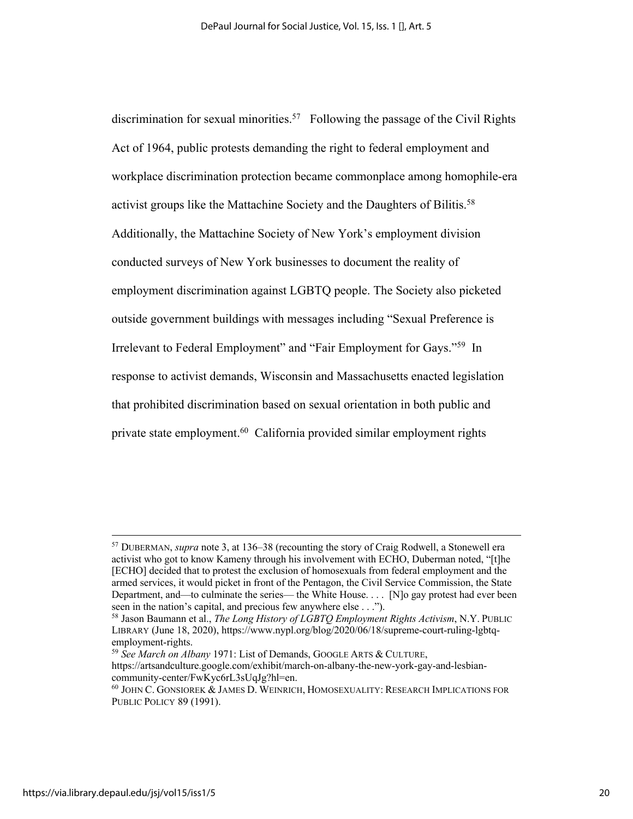discrimination for sexual minorities.<sup>57</sup> Following the passage of the Civil Rights Act of 1964, public protests demanding the right to federal employment and workplace discrimination protection became commonplace among homophile-era activist groups like the Mattachine Society and the Daughters of Bilitis.<sup>58</sup> Additionally, the Mattachine Society of New York's employment division conducted surveys of New York businesses to document the reality of employment discrimination against LGBTQ people. The Society also picketed outside government buildings with messages including "Sexual Preference is Irrelevant to Federal Employment" and "Fair Employment for Gays."59 In response to activist demands, Wisconsin and Massachusetts enacted legislation that prohibited discrimination based on sexual orientation in both public and private state employment. 60 California provided similar employment rights

<sup>57</sup> DUBERMAN, *supra* note 3, at 136–38 (recounting the story of Craig Rodwell, a Stonewell era activist who got to know Kameny through his involvement with ECHO, Duberman noted, "[t]he [ECHO] decided that to protest the exclusion of homosexuals from federal employment and the armed services, it would picket in front of the Pentagon, the Civil Service Commission, the State Department, and—to culminate the series— the White House. . . . [N]o gay protest had ever been seen in the nation's capital, and precious few anywhere else . . .").

<sup>58</sup> Jason Baumann et al., *The Long History of LGBTQ Employment Rights Activism*, N.Y. PUBLIC LIBRARY (June 18, 2020), https://www.nypl.org/blog/2020/06/18/supreme-court-ruling-lgbtqemployment-rights. 59 *See March on Albany* 1971: List of Demands, GOOGLE ARTS & CULTURE,

https://artsandculture.google.com/exhibit/march-on-albany-the-new-york-gay-and-lesbiancommunity-center/FwKyc6rL3sUqJg?hl=en.

<sup>60</sup> JOHN C. GONSIOREK & JAMES D. WEINRICH, HOMOSEXUALITY: RESEARCH IMPLICATIONS FOR PUBLIC POLICY 89 (1991).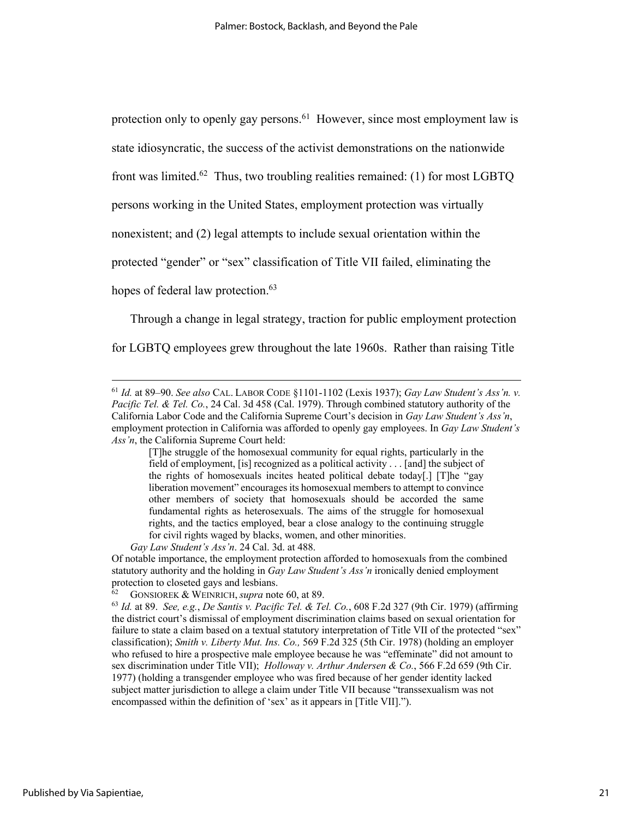protection only to openly gay persons.<sup>61</sup> However, since most employment law is

state idiosyncratic, the success of the activist demonstrations on the nationwide

front was limited.<sup>62</sup> Thus, two troubling realities remained: (1) for most LGBTQ

persons working in the United States, employment protection was virtually

nonexistent; and (2) legal attempts to include sexual orientation within the

protected "gender" or "sex" classification of Title VII failed, eliminating the

hopes of federal law protection.<sup>63</sup>

Through a change in legal strategy, traction for public employment protection

for LGBTQ employees grew throughout the late 1960s. Rather than raising Title

*Gay Law Student's Ass'n*. 24 Cal. 3d. at 488.

Of notable importance, the employment protection afforded to homosexuals from the combined statutory authority and the holding in *Gay Law Student's Ass'n* ironically denied employment protection to closeted gays and lesbians.<br><sup>62</sup> GONSIOREK & WEINRICH, *supra* note 60, at 89.

<sup>61</sup> *Id.* at 89–90. *See also* CAL. LABOR CODE §1101-1102 (Lexis 1937); *Gay Law Student's Ass'n. v. Pacific Tel. & Tel. Co.*, 24 Cal. 3d 458 (Cal. 1979). Through combined statutory authority of the California Labor Code and the California Supreme Court's decision in *Gay Law Student's Ass'n*, employment protection in California was afforded to openly gay employees. In *Gay Law Student's Ass'n*, the California Supreme Court held:

<sup>[</sup>T]he struggle of the homosexual community for equal rights, particularly in the field of employment, [is] recognized as a political activity . . . [and] the subject of the rights of homosexuals incites heated political debate today[.] [T]he "gay liberation movement" encourages its homosexual members to attempt to convince other members of society that homosexuals should be accorded the same fundamental rights as heterosexuals. The aims of the struggle for homosexual rights, and the tactics employed, bear a close analogy to the continuing struggle for civil rights waged by blacks, women, and other minorities.

<sup>62</sup> GONSIOREK & WEINRICH, *supra* note 60, at 89. 63 *Id.* at 89. *See, e.g.*, *De Santis v. Pacific Tel. & Tel. Co.*, 608 F.2d 327 (9th Cir. 1979) (affirming the district court's dismissal of employment discrimination claims based on sexual orientation for failure to state a claim based on a textual statutory interpretation of Title VII of the protected "sex" classification); *Smith v. Liberty Mut. Ins. Co.,* 569 F.2d 325 (5th Cir. 1978) (holding an employer who refused to hire a prospective male employee because he was "effeminate" did not amount to sex discrimination under Title VII); *Holloway v. Arthur Andersen & Co.*, 566 F.2d 659 (9th Cir. 1977) (holding a transgender employee who was fired because of her gender identity lacked subject matter jurisdiction to allege a claim under Title VII because "transsexualism was not encompassed within the definition of 'sex' as it appears in [Title VII].").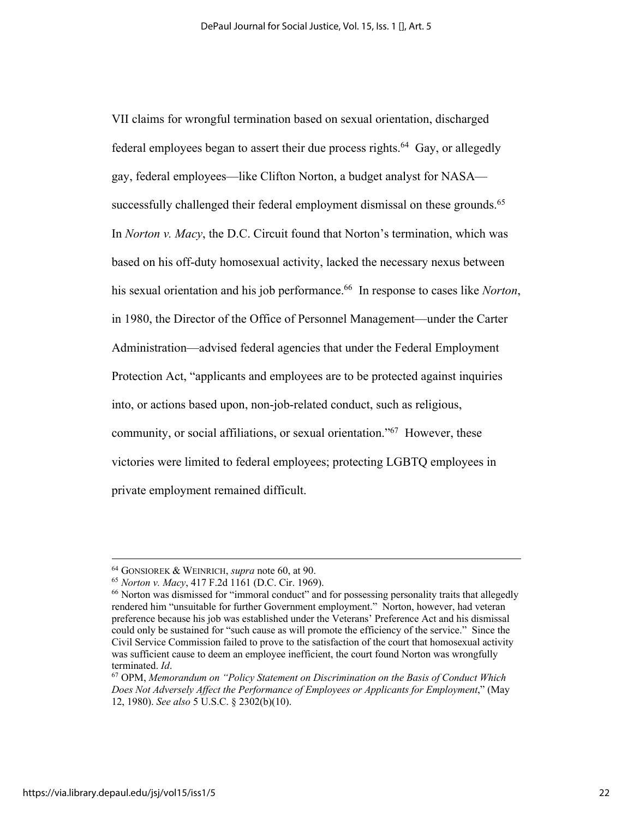VII claims for wrongful termination based on sexual orientation, discharged federal employees began to assert their due process rights.<sup>64</sup> Gay, or allegedly gay, federal employees—like Clifton Norton, a budget analyst for NASA successfully challenged their federal employment dismissal on these grounds.<sup>65</sup> In *Norton v. Macy*, the D.C. Circuit found that Norton's termination, which was based on his off-duty homosexual activity, lacked the necessary nexus between his sexual orientation and his job performance.<sup>66</sup> In response to cases like *Norton*, in 1980, the Director of the Office of Personnel Management—under the Carter Administration—advised federal agencies that under the Federal Employment Protection Act, "applicants and employees are to be protected against inquiries into, or actions based upon, non-job-related conduct, such as religious, community, or social affiliations, or sexual orientation."<sup>67</sup> However, these victories were limited to federal employees; protecting LGBTQ employees in private employment remained difficult.

<sup>&</sup>lt;sup>64</sup> GONSIOREK & WEINRICH, *supra* note 60, at 90.<br><sup>65</sup> Norton v. Macv. 417 F.2d 1161 (D.C. Cir. 1969).

<sup>&</sup>lt;sup>66</sup> Norton was dismissed for "immoral conduct" and for possessing personality traits that allegedly rendered him "unsuitable for further Government employment." Norton, however, had veteran preference because his job was established under the Veterans' Preference Act and his dismissal could only be sustained for "such cause as will promote the efficiency of the service." Since the Civil Service Commission failed to prove to the satisfaction of the court that homosexual activity was sufficient cause to deem an employee inefficient, the court found Norton was wrongfully terminated. *Id*.<br><sup>67</sup> OPM, *Memorandum on "Policy Statement on Discrimination on the Basis of Conduct Which* 

*Does Not Adversely Affect the Performance of Employees or Applicants for Employment*," (May 12, 1980). *See also* 5 U.S.C. § 2302(b)(10).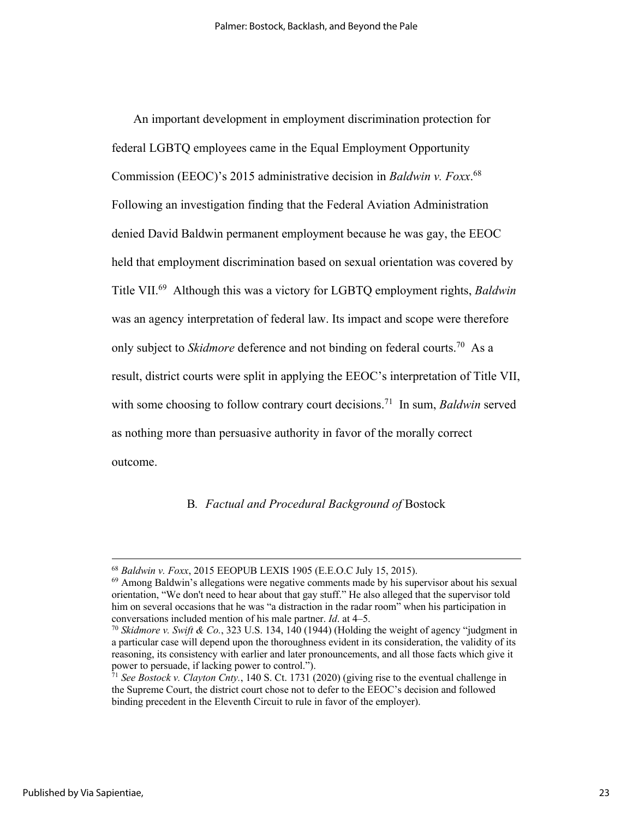An important development in employment discrimination protection for federal LGBTQ employees came in the Equal Employment Opportunity Commission (EEOC)'s 2015 administrative decision in *Baldwin v. Foxx*. 68 Following an investigation finding that the Federal Aviation Administration denied David Baldwin permanent employment because he was gay, the EEOC held that employment discrimination based on sexual orientation was covered by Title VII.69 Although this was a victory for LGBTQ employment rights, *Baldwin* was an agency interpretation of federal law. Its impact and scope were therefore only subject to *Skidmore* deference and not binding on federal courts. 70 As a result, district courts were split in applying the EEOC's interpretation of Title VII, with some choosing to follow contrary court decisions. 71 In sum, *Baldwin* served as nothing more than persuasive authority in favor of the morally correct outcome.

### B*. Factual and Procedural Background of* Bostock

 $^{68}$  *Baldwin v. Foxx*, 2015 EEOPUB LEXIS 1905 (E.E.O.C July 15, 2015).<br> $^{69}$  Among Baldwin's allegations were negative comments made by his supervisor about his sexual orientation, "We don't need to hear about that gay stuff." He also alleged that the supervisor told him on several occasions that he was "a distraction in the radar room" when his participation in conversations included mention of his male partner.  $Id$ . at  $4-5$ .

<sup>&</sup>lt;sup>70</sup> *Skidmore v. Swift & Co.*, 323 U.S. 134, 140 (1944) (Holding the weight of agency "judgment in a particular case will depend upon the thoroughness evident in its consideration, the validity of its reasoning, its consistency with earlier and later pronouncements, and all those facts which give it power to persuade, if lacking power to control.").

<sup>71</sup> *See Bostock v. Clayton Cnty.*, 140 S. Ct. 1731 (2020) (giving rise to the eventual challenge in the Supreme Court, the district court chose not to defer to the EEOC's decision and followed binding precedent in the Eleventh Circuit to rule in favor of the employer).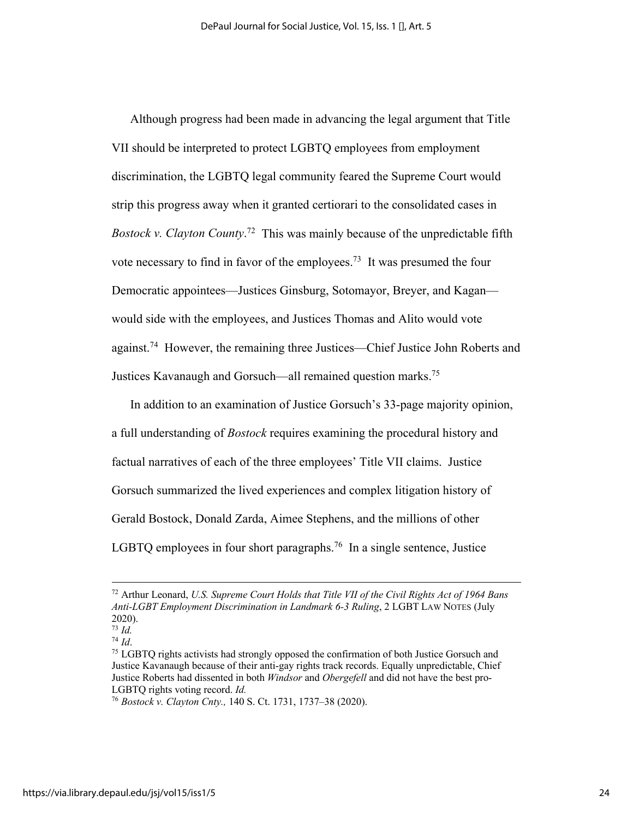Although progress had been made in advancing the legal argument that Title VII should be interpreted to protect LGBTQ employees from employment discrimination, the LGBTQ legal community feared the Supreme Court would strip this progress away when it granted certiorari to the consolidated cases in *Bostock v. Clayton County*. 72 This was mainly because of the unpredictable fifth vote necessary to find in favor of the employees.<sup>73</sup> It was presumed the four Democratic appointees—Justices Ginsburg, Sotomayor, Breyer, and Kagan would side with the employees, and Justices Thomas and Alito would vote against.<sup>74</sup> However, the remaining three Justices—Chief Justice John Roberts and Justices Kavanaugh and Gorsuch—all remained question marks.75

In addition to an examination of Justice Gorsuch's 33-page majority opinion, a full understanding of *Bostock* requires examining the procedural history and factual narratives of each of the three employees' Title VII claims. Justice Gorsuch summarized the lived experiences and complex litigation history of Gerald Bostock, Donald Zarda, Aimee Stephens, and the millions of other LGBTQ employees in four short paragraphs.<sup>76</sup> In a single sentence, Justice

<sup>72</sup> Arthur Leonard, *U.S. Supreme Court Holds that Title VII of the Civil Rights Act of 1964 Bans Anti-LGBT Employment Discrimination in Landmark 6-3 Ruling*, 2 LGBT LAW NOTES (July 2020). 73 *Id.*

<sup>&</sup>lt;sup>75</sup> LGBTQ rights activists had strongly opposed the confirmation of both Justice Gorsuch and Justice Kavanaugh because of their anti-gay rights track records. Equally unpredictable, Chief Justice Roberts had dissented in both *Windsor* and *Obergefell* and did not have the best pro-LGBTQ rights voting record. *Id.*

<sup>76</sup> *Bostock v. Clayton Cnty.,* 140 S. Ct. 1731, 1737–38 (2020).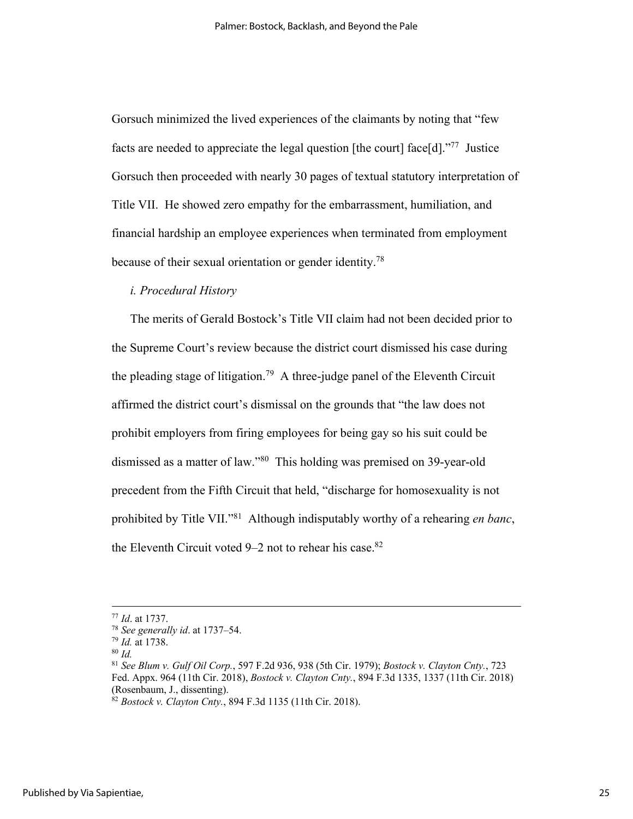Gorsuch minimized the lived experiences of the claimants by noting that "few facts are needed to appreciate the legal question [the court] face[d]."77 Justice Gorsuch then proceeded with nearly 30 pages of textual statutory interpretation of Title VII. He showed zero empathy for the embarrassment, humiliation, and financial hardship an employee experiences when terminated from employment because of their sexual orientation or gender identity.<sup>78</sup>

### *i. Procedural History*

The merits of Gerald Bostock's Title VII claim had not been decided prior to the Supreme Court's review because the district court dismissed his case during the pleading stage of litigation. 79 A three-judge panel of the Eleventh Circuit affirmed the district court's dismissal on the grounds that "the law does not prohibit employers from firing employees for being gay so his suit could be dismissed as a matter of law."80 This holding was premised on 39-year-old precedent from the Fifth Circuit that held, "discharge for homosexuality is not prohibited by Title VII."81 Although indisputably worthy of a rehearing *en banc*, the Eleventh Circuit voted  $9-2$  not to rehear his case.<sup>82</sup>

<sup>77</sup> *Id*. at 1737.

<sup>78</sup> *See generally id*. at 1737–54. 79 *Id.* at 1738. 80 *Id.*

<sup>81</sup> *See Blum v. Gulf Oil Corp.*, 597 F.2d 936, 938 (5th Cir. 1979); *Bostock v. Clayton Cnty.*, 723 Fed. Appx. 964 (11th Cir. 2018), *Bostock v. Clayton Cnty.*, 894 F.3d 1335, 1337 (11th Cir. 2018)

 $\frac{\hat{\mathcal{R}}_2}{\hat{\mathcal{R}}}$  *Bostock v. Clayton Cnty.*, 894 F.3d 1135 (11th Cir. 2018).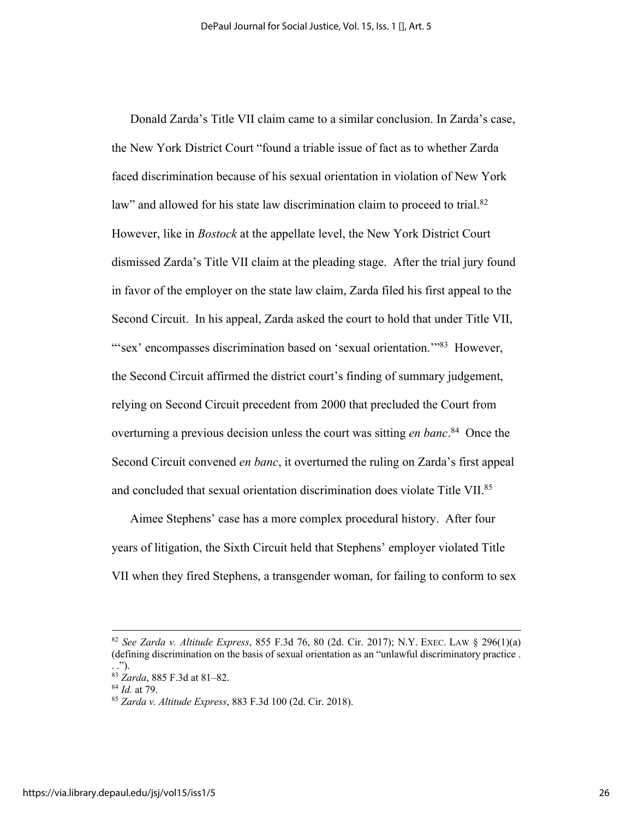Donald Zarda's Title VII claim came to a similar conclusion. In Zarda's case, the New York District Court "found a triable issue of fact as to whether Zarda faced discrimination because of his sexual orientation in violation of New York law" and allowed for his state law discrimination claim to proceed to trial.<sup>82</sup> However, like in *Bostock* at the appellate level, the New York District Court dismissed Zarda's Title VII claim at the pleading stage. After the trial jury found in favor of the employer on the state law claim, Zarda filed his first appeal to the Second Circuit. In his appeal, Zarda asked the court to hold that under Title VII, "'sex' encompasses discrimination based on 'sexual orientation."<sup>83</sup> However, the Second Circuit affirmed the district court's finding of summary judgement, relying on Second Circuit precedent from 2000 that precluded the Court from overturning a previous decision unless the court was sitting *en banc*. 84 Once the Second Circuit convened *en banc*, it overturned the ruling on Zarda's first appeal and concluded that sexual orientation discrimination does violate Title VII.<sup>85</sup>

Aimee Stephens' case has a more complex procedural history. After four years of litigation, the Sixth Circuit held that Stephens' employer violated Title VII when they fired Stephens, a transgender woman, for failing to conform to sex

<sup>82</sup> *See Zarda v. Altitude Express*, 855 F.3d 76, 80 (2d. Cir. 2017); N.Y. EXEC. LAW § 296(1)(a) (defining discrimination on the basis of sexual orientation as an "unlawful discriminatory practice . . .").

<sup>83</sup> *Zarda*, 885 F.3d at 81–82. 84 *Id.* at 79. 85 *Zarda v. Altitude Express*, 883 F.3d 100 (2d. Cir. 2018).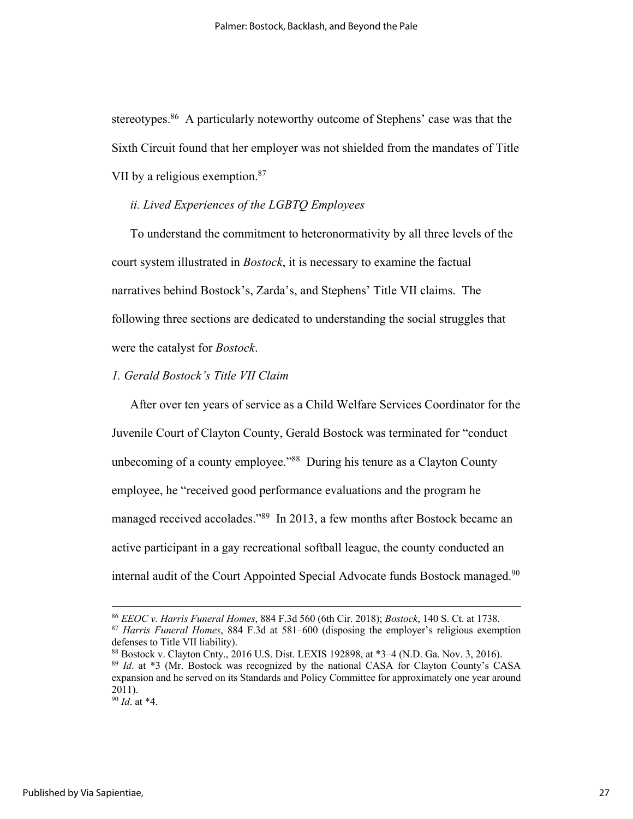stereotypes.<sup>86</sup> A particularly noteworthy outcome of Stephens' case was that the Sixth Circuit found that her employer was not shielded from the mandates of Title VII by a religious exemption.<sup>87</sup>

### *ii. Lived Experiences of the LGBTQ Employees*

To understand the commitment to heteronormativity by all three levels of the court system illustrated in *Bostock*, it is necessary to examine the factual narratives behind Bostock's, Zarda's, and Stephens' Title VII claims. The following three sections are dedicated to understanding the social struggles that were the catalyst for *Bostock*.

# *1. Gerald Bostock's Title VII Claim*

After over ten years of service as a Child Welfare Services Coordinator for the Juvenile Court of Clayton County, Gerald Bostock was terminated for "conduct unbecoming of a county employee."<sup>88</sup> During his tenure as a Clayton County employee, he "received good performance evaluations and the program he managed received accolades."<sup>89</sup> In 2013, a few months after Bostock became an active participant in a gay recreational softball league, the county conducted an internal audit of the Court Appointed Special Advocate funds Bostock managed.<sup>90</sup>

<sup>86</sup> *EEOC v. Harris Funeral Homes*, 884 F.3d 560 (6th Cir. 2018); *Bostock*, 140 S. Ct. at 1738. <sup>87</sup> *Harris Funeral Homes*, 884 F.3d at 581–600 (disposing the employer's religious exemption defenses to Title VII liability).

<sup>88</sup> Bostock v. Clayton Cnty., 2016 U.S. Dist. LEXIS 192898, at \*3–4 (N.D. Ga. Nov. 3, 2016). <sup>89</sup> *Id*. at \*3 (Mr. Bostock was recognized by the national CASA for Clayton County's CASA expansion and he served on its Standards and Policy Committee for approximately one year around 2011).

<sup>90</sup> *Id*. at \*4.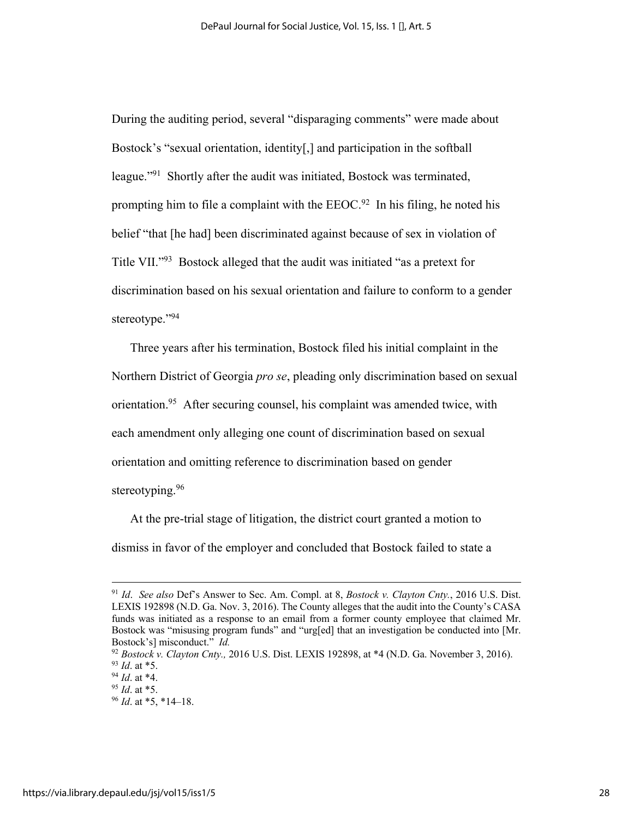During the auditing period, several "disparaging comments" were made about Bostock's "sexual orientation, identity[,] and participation in the softball league."91 Shortly after the audit was initiated, Bostock was terminated, prompting him to file a complaint with the  $EEOC<sup>92</sup>$  In his filing, he noted his belief "that [he had] been discriminated against because of sex in violation of Title VII."93 Bostock alleged that the audit was initiated "as a pretext for discrimination based on his sexual orientation and failure to conform to a gender stereotype."94

Three years after his termination, Bostock filed his initial complaint in the Northern District of Georgia *pro se*, pleading only discrimination based on sexual orientation.95 After securing counsel, his complaint was amended twice, with each amendment only alleging one count of discrimination based on sexual orientation and omitting reference to discrimination based on gender stereotyping.<sup>96</sup>

At the pre-trial stage of litigation, the district court granted a motion to dismiss in favor of the employer and concluded that Bostock failed to state a

<sup>91</sup> *Id*. *See also* Def's Answer to Sec. Am. Compl. at 8, *Bostock v. Clayton Cnty.*, 2016 U.S. Dist. LEXIS 192898 (N.D. Ga. Nov. 3, 2016). The County alleges that the audit into the County's CASA funds was initiated as a response to an email from a former county employee that claimed Mr. Bostock was "misusing program funds" and "urg[ed] that an investigation be conducted into [Mr. Bostock's] misconduct." *Id.*

<sup>92</sup> *Bostock v. Clayton Cnty.,* 2016 U.S. Dist. LEXIS 192898, at \*4 (N.D. Ga. November 3, 2016).

<sup>93</sup> *Id*. at \*5. 94 *Id*. at \*4. 95 *Id*. at \*5. 96 *Id*. at \*5, \*14–18.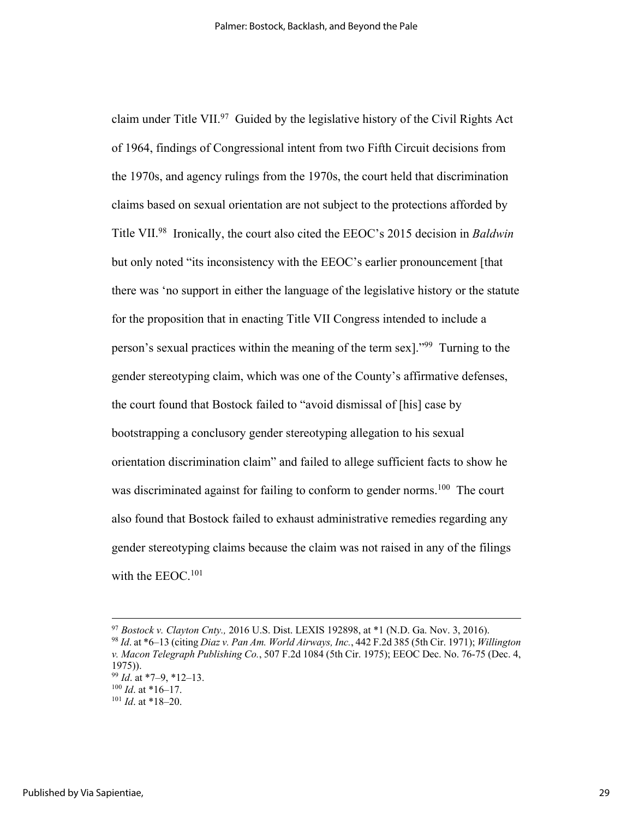claim under Title VII. $97$  Guided by the legislative history of the Civil Rights Act of 1964, findings of Congressional intent from two Fifth Circuit decisions from the 1970s, and agency rulings from the 1970s, the court held that discrimination claims based on sexual orientation are not subject to the protections afforded by Title VII.98 Ironically, the court also cited the EEOC's 2015 decision in *Baldwin* but only noted "its inconsistency with the EEOC's earlier pronouncement [that there was 'no support in either the language of the legislative history or the statute for the proposition that in enacting Title VII Congress intended to include a person's sexual practices within the meaning of the term sex]."99 Turning to the gender stereotyping claim, which was one of the County's affirmative defenses, the court found that Bostock failed to "avoid dismissal of [his] case by bootstrapping a conclusory gender stereotyping allegation to his sexual orientation discrimination claim" and failed to allege sufficient facts to show he was discriminated against for failing to conform to gender norms.<sup>100</sup> The court also found that Bostock failed to exhaust administrative remedies regarding any gender stereotyping claims because the claim was not raised in any of the filings with the EEOC.<sup>101</sup>

<sup>97</sup> *Bostock v. Clayton Cnty.,* 2016 U.S. Dist. LEXIS 192898, at \*1 (N.D. Ga. Nov. 3, 2016). <sup>98</sup> *Id*. at \*6–13 (citing *Diaz v. Pan Am. World Airways, Inc.*, 442 F.2d 385 (5th Cir. 1971); *Willington v. Macon Telegraph Publishing Co.*, 507 F.2d 1084 (5th Cir. 1975); EEOC Dec. No. 76-75 (Dec. 4, 1975)).

<sup>99</sup> *Id*. at \*7–9, \*12–13. 100 *Id*. at \*16–17. 101 *Id*. at \*18–20.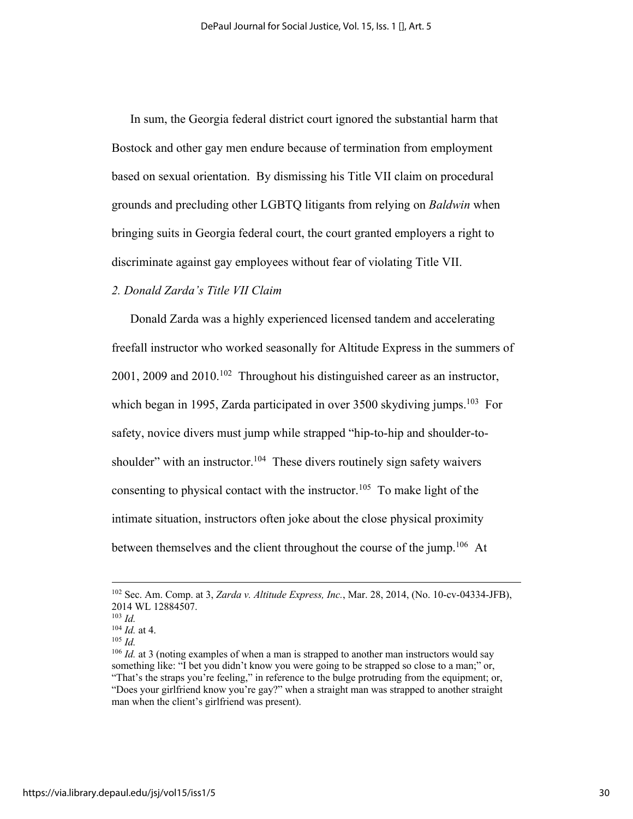In sum, the Georgia federal district court ignored the substantial harm that Bostock and other gay men endure because of termination from employment based on sexual orientation. By dismissing his Title VII claim on procedural grounds and precluding other LGBTQ litigants from relying on *Baldwin* when bringing suits in Georgia federal court, the court granted employers a right to discriminate against gay employees without fear of violating Title VII.

## *2. Donald Zarda's Title VII Claim*

Donald Zarda was a highly experienced licensed tandem and accelerating freefall instructor who worked seasonally for Altitude Express in the summers of 2001, 2009 and 2010.102 Throughout his distinguished career as an instructor, which began in 1995, Zarda participated in over 3500 skydiving jumps.<sup>103</sup> For safety, novice divers must jump while strapped "hip-to-hip and shoulder-toshoulder" with an instructor.<sup>104</sup> These divers routinely sign safety waivers consenting to physical contact with the instructor.<sup>105</sup> To make light of the intimate situation, instructors often joke about the close physical proximity between themselves and the client throughout the course of the jump.<sup>106</sup> At

<sup>102</sup> Sec. Am. Comp. at 3, *Zarda v. Altitude Express, Inc.*, Mar. 28, 2014, (No. 10-cv-04334-JFB), 2014 WL 12884507.

<sup>103</sup> *Id.*

 $\frac{104}{105}$  *Id.* at 4.

<sup>&</sup>lt;sup>106</sup> *Id.* at 3 (noting examples of when a man is strapped to another man instructors would say something like: "I bet you didn't know you were going to be strapped so close to a man;" or, "That's the straps you're feeling," in reference to the bulge protruding from the equipment; or, "Does your girlfriend know you're gay?" when a straight man was strapped to another straight man when the client's girlfriend was present).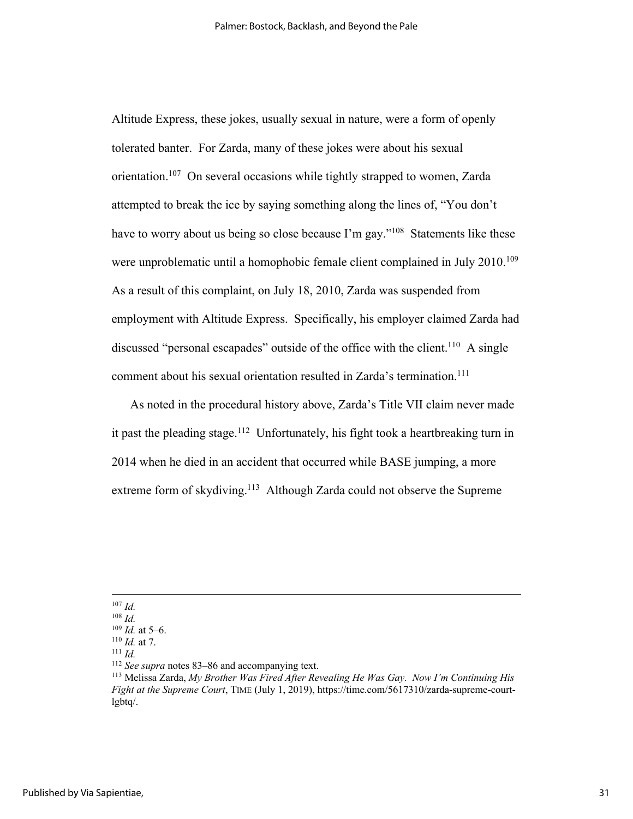Altitude Express, these jokes, usually sexual in nature, were a form of openly tolerated banter. For Zarda, many of these jokes were about his sexual orientation.<sup>107</sup> On several occasions while tightly strapped to women, Zarda attempted to break the ice by saying something along the lines of, "You don't have to worry about us being so close because I'm gay."<sup>108</sup> Statements like these were unproblematic until a homophobic female client complained in July 2010.<sup>109</sup> As a result of this complaint, on July 18, 2010, Zarda was suspended from employment with Altitude Express. Specifically, his employer claimed Zarda had discussed "personal escapades" outside of the office with the client.<sup>110</sup> A single comment about his sexual orientation resulted in Zarda's termination. 111

As noted in the procedural history above, Zarda's Title VII claim never made it past the pleading stage.<sup>112</sup> Unfortunately, his fight took a heartbreaking turn in 2014 when he died in an accident that occurred while BASE jumping, a more extreme form of skydiving.<sup>113</sup> Although Zarda could not observe the Supreme

<sup>107</sup> *Id.*

 $\frac{108}{109}$  *Id.* at 5–6.

<sup>&</sup>lt;sup>110</sup> *Id.* at 7.<br><sup>111</sup> *Id.*  $\frac{111}{2}$  *Id.* See supra notes 83–86 and accompanying text.

<sup>&</sup>lt;sup>113</sup> Melissa Zarda, *My Brother Was Fired After Revealing He Was Gay. Now I'm Continuing His Fight at the Supreme Court*, TIME (July 1, 2019), https://time.com/5617310/zarda-supreme-courtlgbtq/.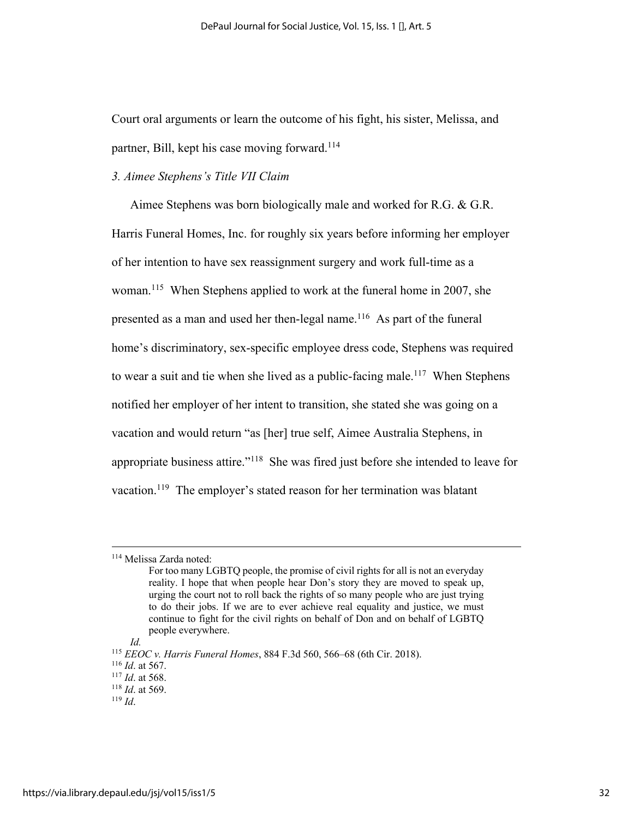Court oral arguments or learn the outcome of his fight, his sister, Melissa, and partner, Bill, kept his case moving forward.<sup>114</sup>

#### *3. Aimee Stephens's Title VII Claim*

Aimee Stephens was born biologically male and worked for R.G. & G.R. Harris Funeral Homes, Inc. for roughly six years before informing her employer of her intention to have sex reassignment surgery and work full-time as a woman.<sup>115</sup> When Stephens applied to work at the funeral home in 2007, she presented as a man and used her then-legal name.<sup>116</sup> As part of the funeral home's discriminatory, sex-specific employee dress code, Stephens was required to wear a suit and tie when she lived as a public-facing male.<sup>117</sup> When Stephens notified her employer of her intent to transition, she stated she was going on a vacation and would return "as [her] true self, Aimee Australia Stephens, in appropriate business attire."118 She was fired just before she intended to leave for vacation.<sup>119</sup> The employer's stated reason for her termination was blatant

*Id.*

<sup>114</sup> Melissa Zarda noted:

For too many LGBTQ people, the promise of civil rights for all is not an everyday reality. I hope that when people hear Don's story they are moved to speak up, urging the court not to roll back the rights of so many people who are just trying to do their jobs. If we are to ever achieve real equality and justice, we must continue to fight for the civil rights on behalf of Don and on behalf of LGBTQ people everywhere.

<sup>115</sup> *EEOC v. Harris Funeral Homes*, 884 F.3d 560, 566–68 (6th Cir. 2018).

<sup>116</sup> *Id*. at 567.

<sup>117</sup> *Id*. at 568. 118 *Id*. at 569. 119 *Id*.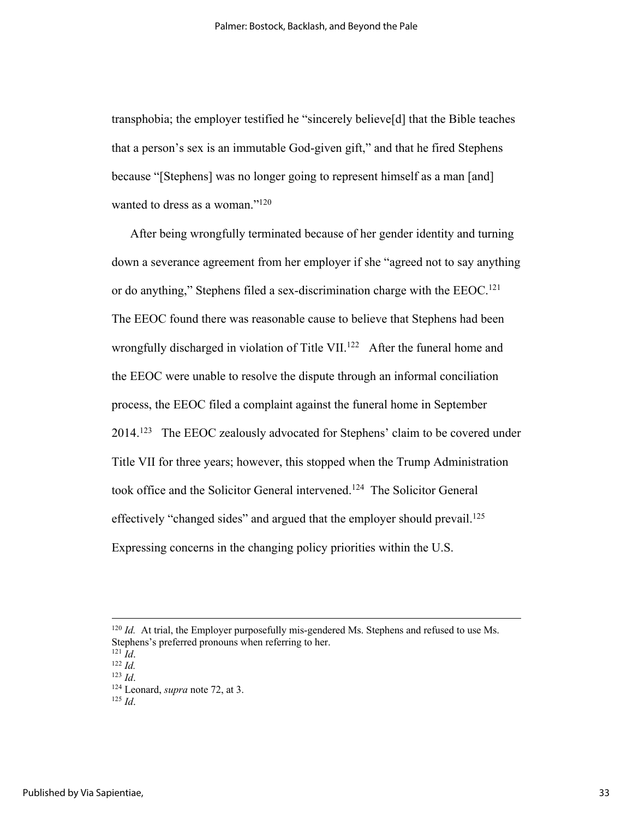transphobia; the employer testified he "sincerely believe[d] that the Bible teaches that a person's sex is an immutable God-given gift," and that he fired Stephens because "[Stephens] was no longer going to represent himself as a man [and] wanted to dress as a woman."<sup>120</sup>

After being wrongfully terminated because of her gender identity and turning down a severance agreement from her employer if she "agreed not to say anything or do anything," Stephens filed a sex-discrimination charge with the EEOC.<sup>121</sup> The EEOC found there was reasonable cause to believe that Stephens had been wrongfully discharged in violation of Title VII.<sup>122</sup> After the funeral home and the EEOC were unable to resolve the dispute through an informal conciliation process, the EEOC filed a complaint against the funeral home in September 2014.123 The EEOC zealously advocated for Stephens' claim to be covered under Title VII for three years; however, this stopped when the Trump Administration took office and the Solicitor General intervened. 124 The Solicitor General effectively "changed sides" and argued that the employer should prevail.<sup>125</sup> Expressing concerns in the changing policy priorities within the U.S.

 $120$  *Id.* At trial, the Employer purposefully mis-gendered Ms. Stephens and refused to use Ms. Stephens's preferred pronouns when referring to her.

<sup>121</sup> *Id*. 122 *Id.*

<sup>123</sup> *Id*.

<sup>124</sup> Leonard, *supra* note 72, at 3. 125 *Id*.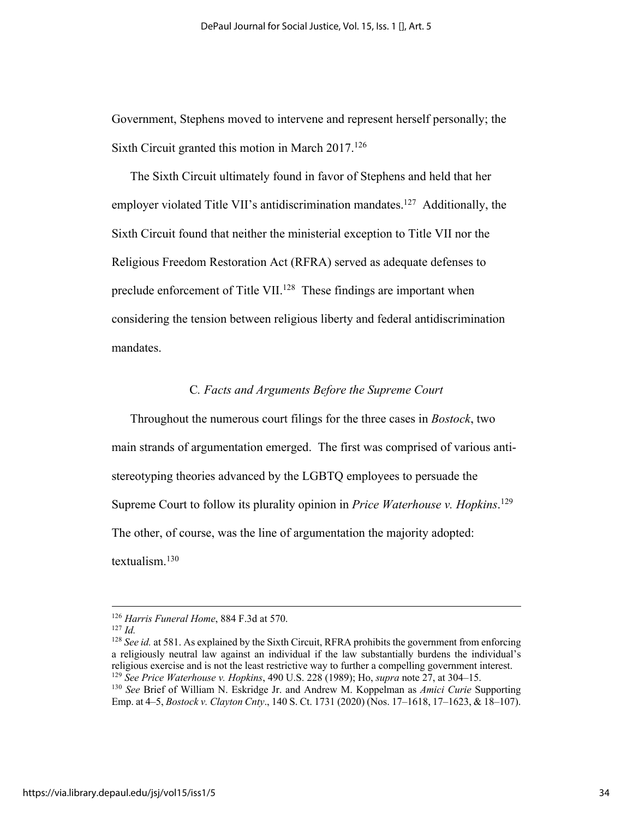Government, Stephens moved to intervene and represent herself personally; the Sixth Circuit granted this motion in March 2017.126

The Sixth Circuit ultimately found in favor of Stephens and held that her employer violated Title VII's antidiscrimination mandates.<sup>127</sup> Additionally, the Sixth Circuit found that neither the ministerial exception to Title VII nor the Religious Freedom Restoration Act (RFRA) served as adequate defenses to preclude enforcement of Title VII.<sup>128</sup> These findings are important when considering the tension between religious liberty and federal antidiscrimination mandates.

#### C*. Facts and Arguments Before the Supreme Court*

Throughout the numerous court filings for the three cases in *Bostock*, two main strands of argumentation emerged. The first was comprised of various antistereotyping theories advanced by the LGBTQ employees to persuade the Supreme Court to follow its plurality opinion in *Price Waterhouse v. Hopkins*. 129 The other, of course, was the line of argumentation the majority adopted: textualism.130

<sup>126</sup> *Harris Funeral Home*, 884 F.3d at 570.

 $127$  *Id.* 

<sup>128</sup> *See id.* at 581. As explained by the Sixth Circuit, RFRA prohibits the government from enforcing a religiously neutral law against an individual if the law substantially burdens the individual's religious exercise and is not the least restrictive way to further a compelling government interest. <sup>129</sup> See Price Waterhouse v. Hopkins, 490 U.S. 228 (1989); Ho, *supra* note 27, at 304–15.<br><sup>130</sup> See Brief of William N. Eskridge Jr. and Andrew M. Koppelman as *Amici Curie* Supporting Emp. at 4–5, *Bostock v. Clayton Cnty*., 140 S. Ct. 1731 (2020) (Nos. 17–1618, 17–1623, & 18–107).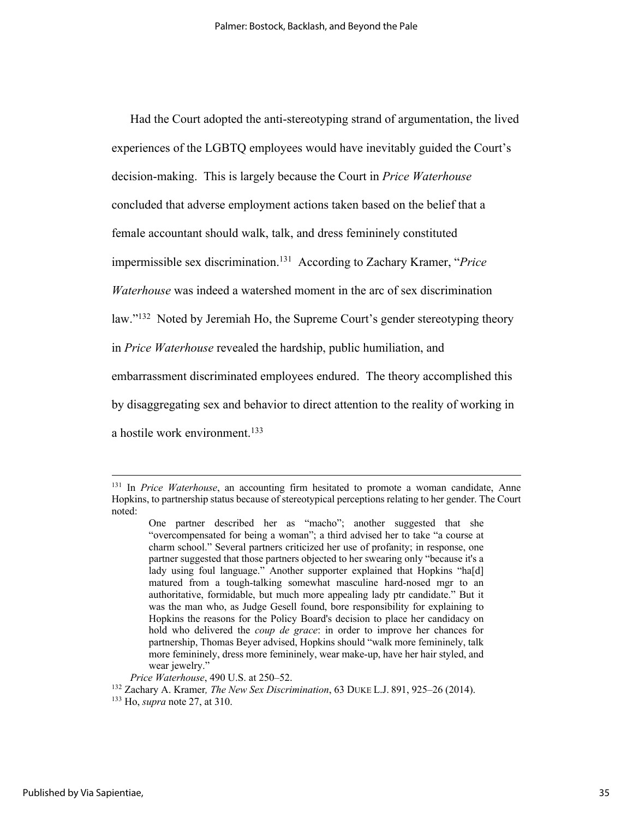Had the Court adopted the anti-stereotyping strand of argumentation, the lived experiences of the LGBTQ employees would have inevitably guided the Court's decision-making. This is largely because the Court in *Price Waterhouse*  concluded that adverse employment actions taken based on the belief that a female accountant should walk, talk, and dress femininely constituted impermissible sex discrimination.131 According to Zachary Kramer, "*Price Waterhouse* was indeed a watershed moment in the arc of sex discrimination law."<sup>132</sup> Noted by Jeremiah Ho, the Supreme Court's gender stereotyping theory in *Price Waterhouse* revealed the hardship, public humiliation, and embarrassment discriminated employees endured. The theory accomplished this by disaggregating sex and behavior to direct attention to the reality of working in a hostile work environment. 133

<sup>&</sup>lt;sup>131</sup> In *Price Waterhouse*, an accounting firm hesitated to promote a woman candidate, Anne Hopkins, to partnership status because of stereotypical perceptions relating to her gender. The Court noted:

One partner described her as "macho"; another suggested that she "overcompensated for being a woman"; a third advised her to take "a course at charm school." Several partners criticized her use of profanity; in response, one partner suggested that those partners objected to her swearing only "because it's a lady using foul language." Another supporter explained that Hopkins "ha[d] matured from a tough-talking somewhat masculine hard-nosed mgr to an authoritative, formidable, but much more appealing lady ptr candidate." But it was the man who, as Judge Gesell found, bore responsibility for explaining to Hopkins the reasons for the Policy Board's decision to place her candidacy on hold who delivered the *coup de grace*: in order to improve her chances for partnership, Thomas Beyer advised, Hopkins should "walk more femininely, talk more femininely, dress more femininely, wear make-up, have her hair styled, and wear jewelry."

*Price Waterhouse*, 490 U.S. at 250–52.<br><sup>132</sup> Zachary A. Kramer, *The New Sex Discrimination*, 63 DUKE L.J. 891, 925–26 (2014).<br><sup>133</sup> Ho, *supra* note 27, at 310.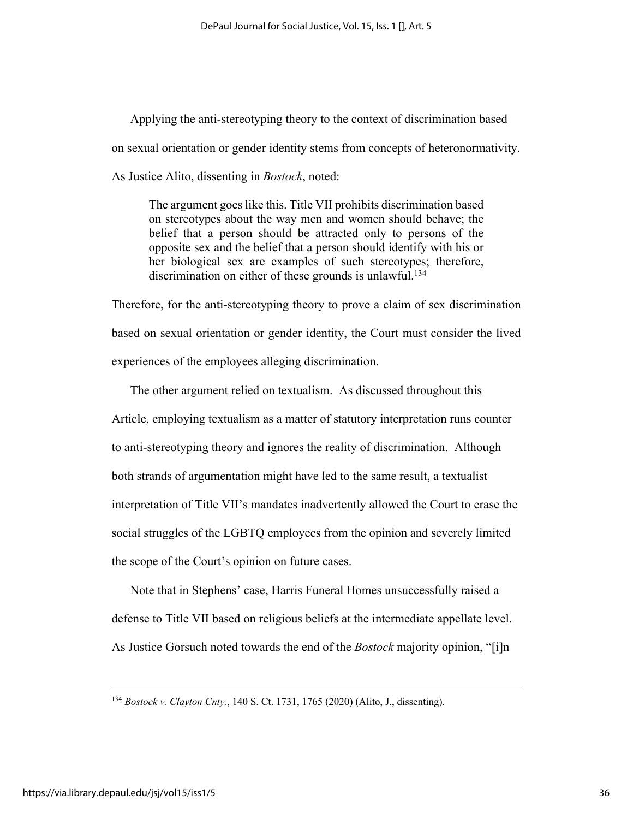Applying the anti-stereotyping theory to the context of discrimination based on sexual orientation or gender identity stems from concepts of heteronormativity. As Justice Alito, dissenting in *Bostock*, noted:

The argument goes like this. Title VII prohibits discrimination based on stereotypes about the way men and women should behave; the belief that a person should be attracted only to persons of the opposite sex and the belief that a person should identify with his or her biological sex are examples of such stereotypes; therefore, discrimination on either of these grounds is unlawful.<sup>134</sup>

Therefore, for the anti-stereotyping theory to prove a claim of sex discrimination based on sexual orientation or gender identity, the Court must consider the lived experiences of the employees alleging discrimination.

The other argument relied on textualism. As discussed throughout this Article, employing textualism as a matter of statutory interpretation runs counter to anti-stereotyping theory and ignores the reality of discrimination. Although both strands of argumentation might have led to the same result, a textualist interpretation of Title VII's mandates inadvertently allowed the Court to erase the social struggles of the LGBTQ employees from the opinion and severely limited the scope of the Court's opinion on future cases.

Note that in Stephens' case, Harris Funeral Homes unsuccessfully raised a defense to Title VII based on religious beliefs at the intermediate appellate level. As Justice Gorsuch noted towards the end of the *Bostock* majority opinion, "[i]n

<sup>134</sup> *Bostock v. Clayton Cnty.*, 140 S. Ct. 1731, 1765 (2020) (Alito, J., dissenting).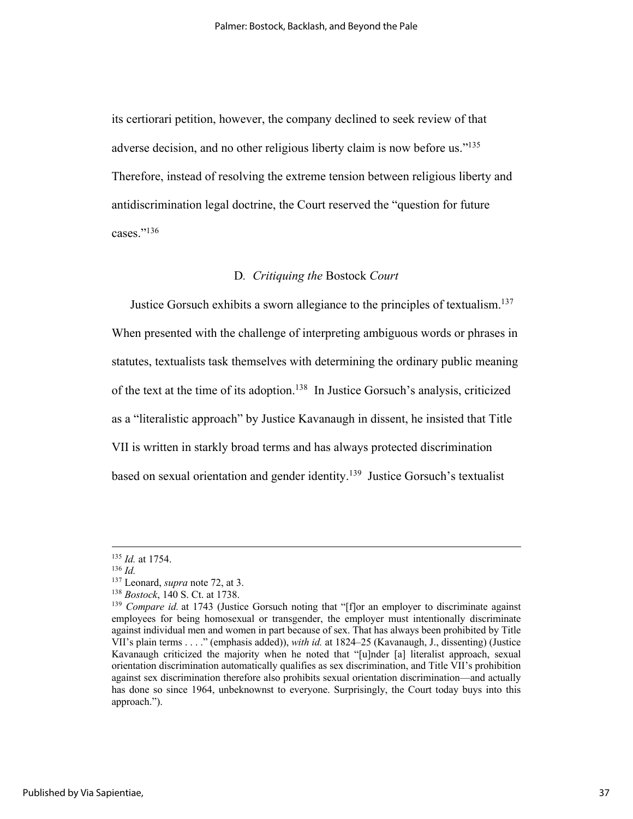its certiorari petition, however, the company declined to seek review of that adverse decision, and no other religious liberty claim is now before us."<sup>135</sup> Therefore, instead of resolving the extreme tension between religious liberty and antidiscrimination legal doctrine, the Court reserved the "question for future cases."136

#### D*. Critiquing the* Bostock *Court*

Justice Gorsuch exhibits a sworn allegiance to the principles of textualism.<sup>137</sup> When presented with the challenge of interpreting ambiguous words or phrases in statutes, textualists task themselves with determining the ordinary public meaning of the text at the time of its adoption.138 In Justice Gorsuch's analysis, criticized as a "literalistic approach" by Justice Kavanaugh in dissent, he insisted that Title VII is written in starkly broad terms and has always protected discrimination based on sexual orientation and gender identity.<sup>139</sup> Justice Gorsuch's textualist

<sup>135</sup> *Id.* at 1754.<br><sup>136</sup> *Id.*<br><sup>137</sup> Leonard, *supra* note 72, at 3.

<sup>&</sup>lt;sup>138</sup> Bostock, 140 S. Ct. at 1738.

<sup>&</sup>lt;sup>139</sup> *Compare id.* at 1743 (Justice Gorsuch noting that "[f]or an employer to discriminate against employees for being homosexual or transgender, the employer must intentionally discriminate against individual men and women in part because of sex. That has always been prohibited by Title VII's plain terms . . . ." (emphasis added)), *with id.* at 1824–25 (Kavanaugh, J., dissenting) (Justice Kavanaugh criticized the majority when he noted that "[u]nder [a] literalist approach, sexual orientation discrimination automatically qualifies as sex discrimination, and Title VII's prohibition against sex discrimination therefore also prohibits sexual orientation discrimination—and actually has done so since 1964, unbeknownst to everyone. Surprisingly, the Court today buys into this approach.").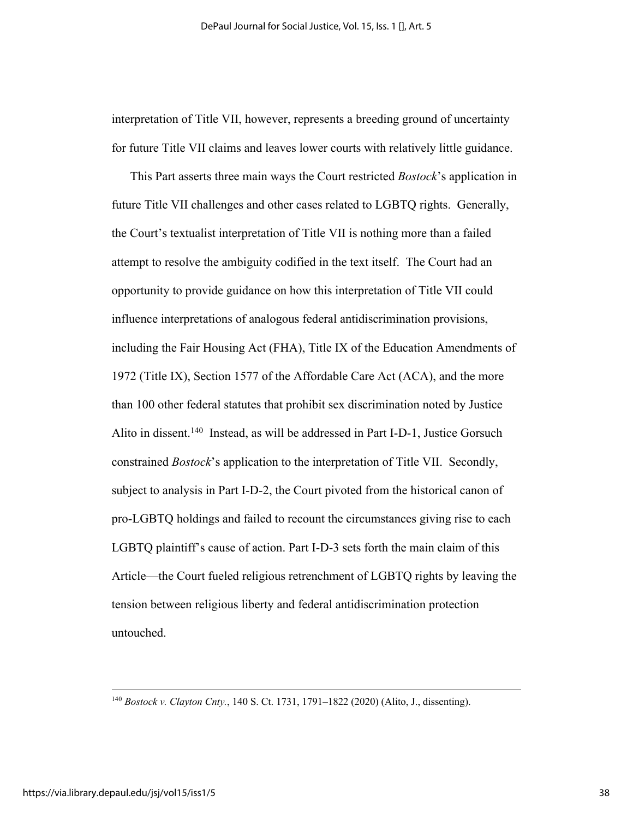interpretation of Title VII, however, represents a breeding ground of uncertainty for future Title VII claims and leaves lower courts with relatively little guidance.

This Part asserts three main ways the Court restricted *Bostock*'s application in future Title VII challenges and other cases related to LGBTQ rights. Generally, the Court's textualist interpretation of Title VII is nothing more than a failed attempt to resolve the ambiguity codified in the text itself. The Court had an opportunity to provide guidance on how this interpretation of Title VII could influence interpretations of analogous federal antidiscrimination provisions, including the Fair Housing Act (FHA), Title IX of the Education Amendments of 1972 (Title IX), Section 1577 of the Affordable Care Act (ACA), and the more than 100 other federal statutes that prohibit sex discrimination noted by Justice Alito in dissent.<sup>140</sup> Instead, as will be addressed in Part I-D-1, Justice Gorsuch constrained *Bostock*'s application to the interpretation of Title VII. Secondly, subject to analysis in Part I-D-2, the Court pivoted from the historical canon of pro-LGBTQ holdings and failed to recount the circumstances giving rise to each LGBTQ plaintiff's cause of action. Part I-D-3 sets forth the main claim of this Article—the Court fueled religious retrenchment of LGBTQ rights by leaving the tension between religious liberty and federal antidiscrimination protection untouched.

<sup>140</sup> *Bostock v. Clayton Cnty.*, 140 S. Ct. 1731, 1791–1822 (2020) (Alito, J., dissenting).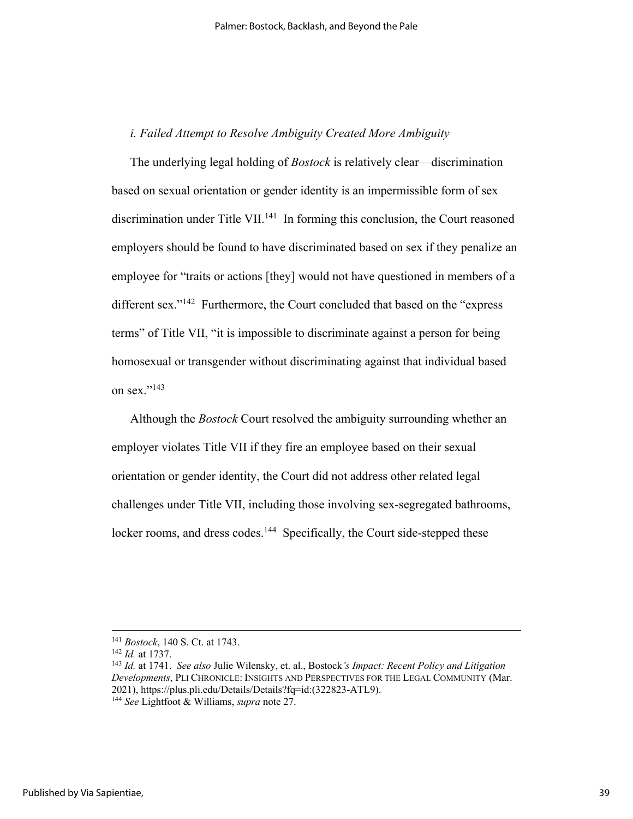# *i. Failed Attempt to Resolve Ambiguity Created More Ambiguity*

The underlying legal holding of *Bostock* is relatively clear—discrimination based on sexual orientation or gender identity is an impermissible form of sex discrimination under Title VII.<sup>141</sup> In forming this conclusion, the Court reasoned employers should be found to have discriminated based on sex if they penalize an employee for "traits or actions [they] would not have questioned in members of a different sex."<sup>142</sup> Furthermore, the Court concluded that based on the "express" terms" of Title VII, "it is impossible to discriminate against a person for being homosexual or transgender without discriminating against that individual based on sex."<sup>143</sup>

Although the *Bostock* Court resolved the ambiguity surrounding whether an employer violates Title VII if they fire an employee based on their sexual orientation or gender identity, the Court did not address other related legal challenges under Title VII, including those involving sex-segregated bathrooms, locker rooms, and dress codes.<sup>144</sup> Specifically, the Court side-stepped these

<sup>141</sup> *Bostock*, 140 S. Ct. at 1743. 142 *Id.* at 1737. 143 *Id.* at 1741. *See also* Julie Wilensky, et. al., Bostock*'s Impact: Recent Policy and Litigation Developments*, PLI CHRONICLE: INSIGHTS AND PERSPECTIVES FOR THE LEGAL COMMUNITY (Mar. 2021), https://plus.pli.edu/Details/Details?fq=id:(322823-ATL9). 144 *See* Lightfoot & Williams, *supra* note 27.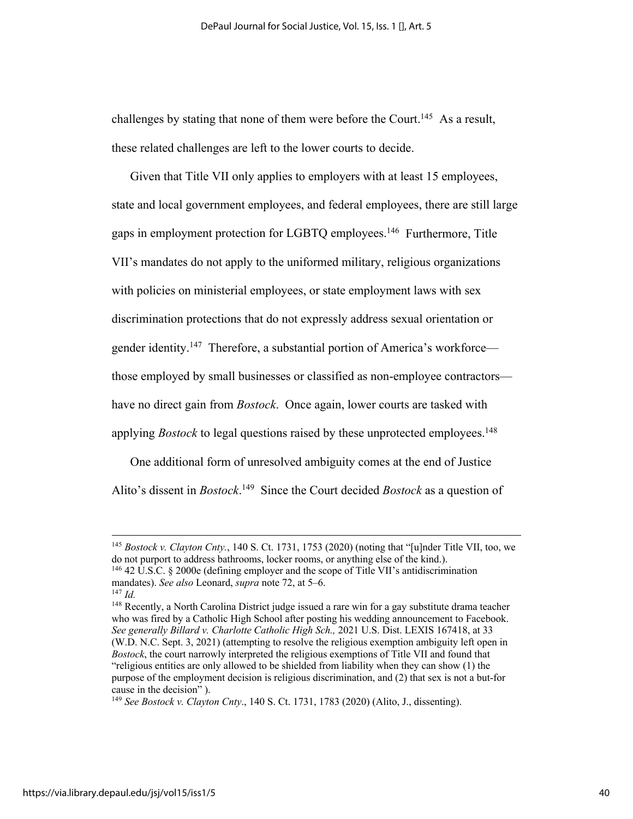challenges by stating that none of them were before the Court.<sup>145</sup> As a result, these related challenges are left to the lower courts to decide.

Given that Title VII only applies to employers with at least 15 employees, state and local government employees, and federal employees, there are still large gaps in employment protection for LGBTQ employees.146 Furthermore, Title VII's mandates do not apply to the uniformed military, religious organizations with policies on ministerial employees, or state employment laws with sex discrimination protections that do not expressly address sexual orientation or gender identity.<sup>147</sup> Therefore, a substantial portion of America's workforce those employed by small businesses or classified as non-employee contractors have no direct gain from *Bostock*. Once again, lower courts are tasked with applying *Bostock* to legal questions raised by these unprotected employees.<sup>148</sup>

One additional form of unresolved ambiguity comes at the end of Justice Alito's dissent in *Bostock*. 149 Since the Court decided *Bostock* as a question of

<sup>&</sup>lt;sup>145</sup> *Bostock v. Clayton Cnty.*, 140 S. Ct. 1731, 1753 (2020) (noting that "[u]nder Title VII, too, we do not purport to address bathrooms, locker rooms, or anything else of the kind.). <sup>146</sup> 42 U.S.C. § 2000e (defining employer and the scope of Title VII's antidiscrimination

mandates). *See also* Leonard, *supra* note 72, at 5–6. 147 *Id.*

<sup>&</sup>lt;sup>148</sup> Recently, a North Carolina District judge issued a rare win for a gay substitute drama teacher who was fired by a Catholic High School after posting his wedding announcement to Facebook. *See generally Billard v. Charlotte Catholic High Sch.,* 2021 U.S. Dist. LEXIS 167418, at 33 (W.D. N.C. Sept. 3, 2021) (attempting to resolve the religious exemption ambiguity left open in *Bostock*, the court narrowly interpreted the religious exemptions of Title VII and found that "religious entities are only allowed to be shielded from liability when they can show (1) the purpose of the employment decision is religious discrimination, and (2) that sex is not a but-for cause in the decision" ).

<sup>149</sup> *See Bostock v. Clayton Cnty*., 140 S. Ct. 1731, 1783 (2020) (Alito, J., dissenting).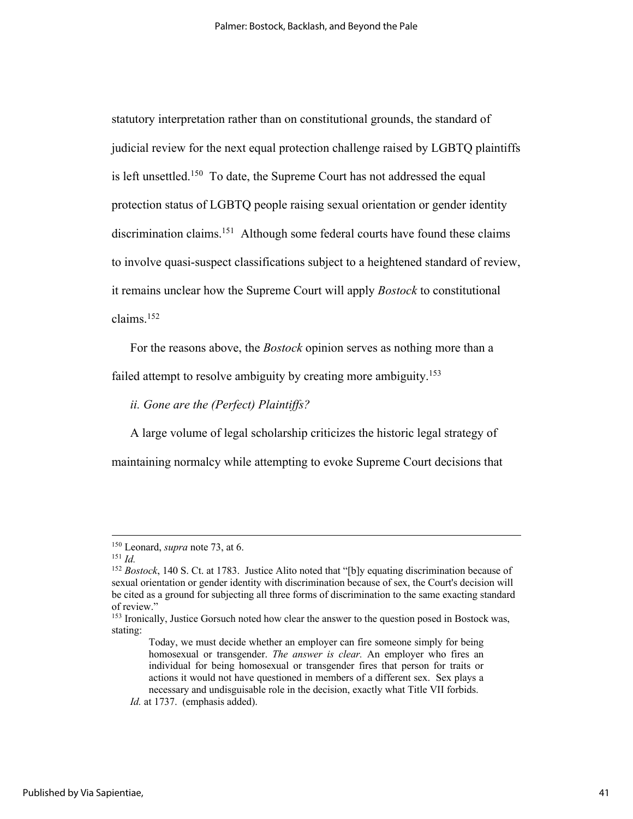statutory interpretation rather than on constitutional grounds, the standard of judicial review for the next equal protection challenge raised by LGBTQ plaintiffs is left unsettled.<sup>150</sup> To date, the Supreme Court has not addressed the equal protection status of LGBTQ people raising sexual orientation or gender identity discrimination claims.<sup>151</sup> Although some federal courts have found these claims to involve quasi-suspect classifications subject to a heightened standard of review, it remains unclear how the Supreme Court will apply *Bostock* to constitutional claims.152

For the reasons above, the *Bostock* opinion serves as nothing more than a

failed attempt to resolve ambiguity by creating more ambiguity.<sup>153</sup>

*ii. Gone are the (Perfect) Plaintiffs?* 

A large volume of legal scholarship criticizes the historic legal strategy of maintaining normalcy while attempting to evoke Supreme Court decisions that

<sup>150</sup> Leonard, *supra* note 73, at 6. 151 *Id.*

<sup>152</sup> *Bostock*, 140 S. Ct. at 1783. Justice Alito noted that "[b]y equating discrimination because of sexual orientation or gender identity with discrimination because of sex, the Court's decision will be cited as a ground for subjecting all three forms of discrimination to the same exacting standard of review."

<sup>&</sup>lt;sup>153</sup> Ironically, Justice Gorsuch noted how clear the answer to the question posed in Bostock was, stating:

Today, we must decide whether an employer can fire someone simply for being homosexual or transgender. *The answer is clear.* An employer who fires an individual for being homosexual or transgender fires that person for traits or actions it would not have questioned in members of a different sex. Sex plays a necessary and undisguisable role in the decision, exactly what Title VII forbids.

*Id.* at 1737. (emphasis added).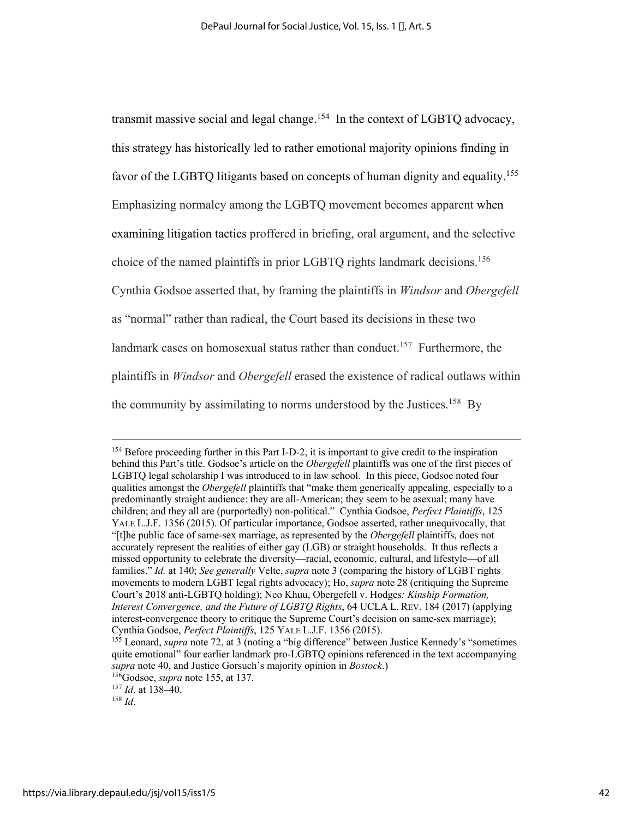transmit massive social and legal change.<sup>154</sup> In the context of LGBTQ advocacy, this strategy has historically led to rather emotional majority opinions finding in favor of the LGBTQ litigants based on concepts of human dignity and equality.<sup>155</sup> Emphasizing normalcy among the LGBTQ movement becomes apparent when examining litigation tactics proffered in briefing, oral argument, and the selective choice of the named plaintiffs in prior LGBTQ rights landmark decisions.<sup>156</sup> Cynthia Godsoe asserted that, by framing the plaintiffs in *Windsor* and *Obergefell* as "normal" rather than radical, the Court based its decisions in these two landmark cases on homosexual status rather than conduct.<sup>157</sup> Furthermore, the plaintiffs in *Windsor* and *Obergefell* erased the existence of radical outlaws within the community by assimilating to norms understood by the Justices.<sup>158</sup> By

<sup>&</sup>lt;sup>154</sup> Before proceeding further in this Part I-D-2, it is important to give credit to the inspiration behind this Part's title. Godsoe's article on the *Obergefell* plaintiffs was one of the first pieces of LGBTQ legal scholarship I was introduced to in law school. In this piece, Godsoe noted four qualities amongst the *Obergefell* plaintiffs that "make them generically appealing, especially to a predominantly straight audience: they are all-American; they seem to be asexual; many have children; and they all are (purportedly) non-political." Cynthia Godsoe, *Perfect Plaintiffs*, 125 YALE L.J.F. 1356 (2015). Of particular importance, Godsoe asserted, rather unequivocally, that "[t]he public face of same-sex marriage, as represented by the *Obergefell* plaintiffs, does not accurately represent the realities of either gay (LGB) or straight households. It thus reflects a missed opportunity to celebrate the diversity—racial, economic, cultural, and lifestyle—of all families." *Id.* at 140; *See generally* Velte, *supra* note 3 (comparing the history of LGBT rights movements to modern LGBT legal rights advocacy); Ho, *supra* note 28 (critiquing the Supreme Court's 2018 anti-LGBTQ holding); Neo Khuu, Obergefell v. Hodges*: Kinship Formation, Interest Convergence, and the Future of LGBTQ Rights*, 64 UCLA L. REV. 184 (2017) (applying interest-convergence theory to critique the Supreme Court's decision on same-sex marriage); Cynthia Godsoe, *Perfect Plaintiffs*, 125 YALE L.J.F. 1356 (2015).

<sup>&</sup>lt;sup>155</sup> Leonard, *supra* note 72, at 3 (noting a "big difference" between Justice Kennedy's "sometimes" quite emotional" four earlier landmark pro-LGBTQ opinions referenced in the text accompanying *supra* note 40, and Justice Gorsuch's majority opinion in *Bostock*.)

<sup>156</sup>Godsoe, *supra* note 155, at 137.

<sup>157</sup> *Id*. at 138–40. 158 *Id*.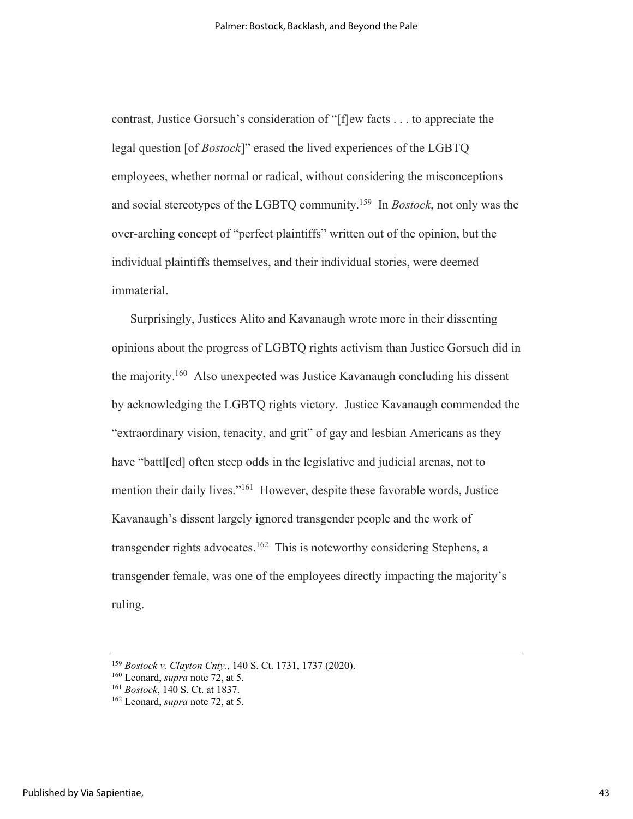contrast, Justice Gorsuch's consideration of "[f]ew facts . . . to appreciate the legal question [of *Bostock*]" erased the lived experiences of the LGBTQ employees, whether normal or radical, without considering the misconceptions and social stereotypes of the LGBTQ community.159 In *Bostock*, not only was the over-arching concept of "perfect plaintiffs" written out of the opinion, but the individual plaintiffs themselves, and their individual stories, were deemed immaterial.

Surprisingly, Justices Alito and Kavanaugh wrote more in their dissenting opinions about the progress of LGBTQ rights activism than Justice Gorsuch did in the majority.160 Also unexpected was Justice Kavanaugh concluding his dissent by acknowledging the LGBTQ rights victory. Justice Kavanaugh commended the "extraordinary vision, tenacity, and grit" of gay and lesbian Americans as they have "battled" often steep odds in the legislative and judicial arenas, not to mention their daily lives."161 However, despite these favorable words, Justice Kavanaugh's dissent largely ignored transgender people and the work of transgender rights advocates.<sup>162</sup> This is noteworthy considering Stephens, a transgender female, was one of the employees directly impacting the majority's ruling.

<sup>159</sup> *Bostock v. Clayton Cnty.*, 140 S. Ct. 1731, 1737 (2020).

<sup>160</sup> Leonard, *supra* note 72, at 5. 161 *Bostock*, 140 S. Ct. at 1837.

<sup>162</sup> Leonard, *supra* note 72, at 5.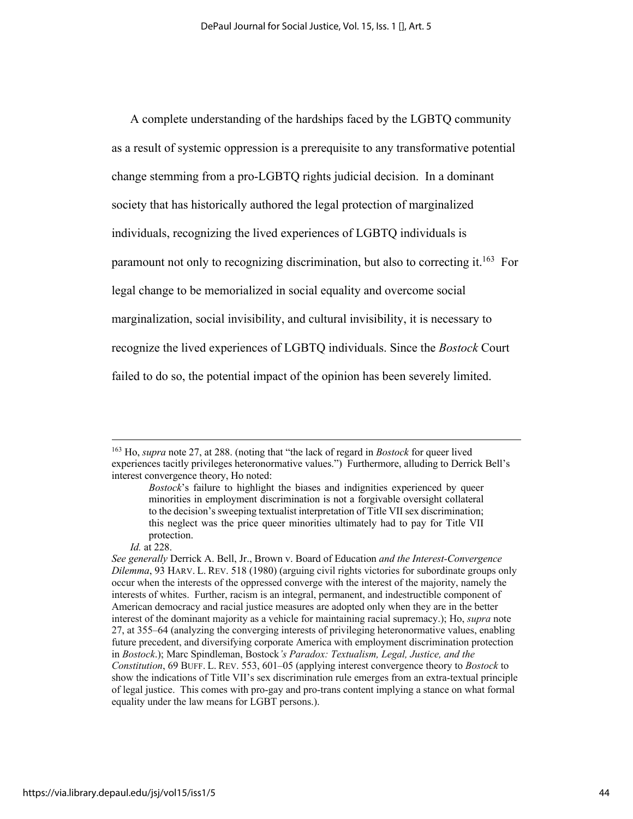A complete understanding of the hardships faced by the LGBTQ community as a result of systemic oppression is a prerequisite to any transformative potential change stemming from a pro-LGBTQ rights judicial decision. In a dominant society that has historically authored the legal protection of marginalized individuals, recognizing the lived experiences of LGBTQ individuals is paramount not only to recognizing discrimination, but also to correcting it.<sup>163</sup> For legal change to be memorialized in social equality and overcome social marginalization, social invisibility, and cultural invisibility, it is necessary to recognize the lived experiences of LGBTQ individuals. Since the *Bostock* Court failed to do so, the potential impact of the opinion has been severely limited.

<sup>163</sup> Ho, *supra* note 27, at 288. (noting that "the lack of regard in *Bostock* for queer lived experiences tacitly privileges heteronormative values.") Furthermore, alluding to Derrick Bell's interest convergence theory, Ho noted:

*Bostock*'s failure to highlight the biases and indignities experienced by queer minorities in employment discrimination is not a forgivable oversight collateral to the decision's sweeping textualist interpretation of Title VII sex discrimination; this neglect was the price queer minorities ultimately had to pay for Title VII protection.

*Id.* at 228.

*See generally* Derrick A. Bell, Jr., Brown v. Board of Education *and the Interest-Convergence Dilemma*, 93 HARV. L. REV. 518 (1980) (arguing civil rights victories for subordinate groups only occur when the interests of the oppressed converge with the interest of the majority, namely the interests of whites. Further, racism is an integral, permanent, and indestructible component of American democracy and racial justice measures are adopted only when they are in the better interest of the dominant majority as a vehicle for maintaining racial supremacy.); Ho, *supra* note 27, at 355–64 (analyzing the converging interests of privileging heteronormative values, enabling future precedent, and diversifying corporate America with employment discrimination protection in *Bostock*.); Marc Spindleman, Bostock*'s Paradox: Textualism, Legal, Justice, and the Constitution*, 69 BUFF. L. REV. 553, 601–05 (applying interest convergence theory to *Bostock* to show the indications of Title VII's sex discrimination rule emerges from an extra-textual principle of legal justice. This comes with pro-gay and pro-trans content implying a stance on what formal equality under the law means for LGBT persons.).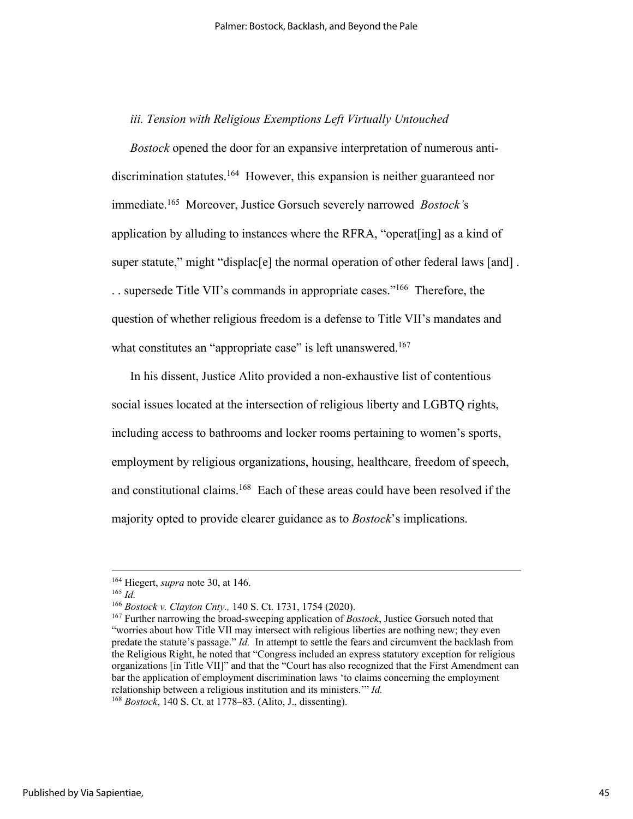### *iii. Tension with Religious Exemptions Left Virtually Untouched*

*Bostock* opened the door for an expansive interpretation of numerous antidiscrimination statutes.<sup>164</sup> However, this expansion is neither guaranteed nor immediate.165 Moreover, Justice Gorsuch severely narrowed *Bostock'*s application by alluding to instances where the RFRA, "operat[ing] as a kind of super statute," might "displac[e] the normal operation of other federal laws [and] . . . supersede Title VII's commands in appropriate cases."166 Therefore, the question of whether religious freedom is a defense to Title VII's mandates and what constitutes an "appropriate case" is left unanswered.<sup>167</sup>

In his dissent, Justice Alito provided a non-exhaustive list of contentious social issues located at the intersection of religious liberty and LGBTQ rights, including access to bathrooms and locker rooms pertaining to women's sports, employment by religious organizations, housing, healthcare, freedom of speech, and constitutional claims.<sup>168</sup> Each of these areas could have been resolved if the majority opted to provide clearer guidance as to *Bostock*'s implications.

<sup>164</sup> Hiegert, *supra* note 30, at 146. 165 *Id.*

<sup>&</sup>lt;sup>166</sup> *Bostock v. Clayton Cnty.*, 140 S. Ct. 1731, 1754 (2020).<br><sup>167</sup> Further narrowing the broad-sweeping application of *Bostock*, Justice Gorsuch noted that "worries about how Title VII may intersect with religious liberties are nothing new; they even predate the statute's passage." *Id.* In attempt to settle the fears and circumvent the backlash from the Religious Right, he noted that "Congress included an express statutory exception for religious organizations [in Title VII]" and that the "Court has also recognized that the First Amendment can bar the application of employment discrimination laws 'to claims concerning the employment relationship between a religious institution and its ministers.'" *Id.*

<sup>168</sup> *Bostock*, 140 S. Ct. at 1778–83. (Alito, J., dissenting).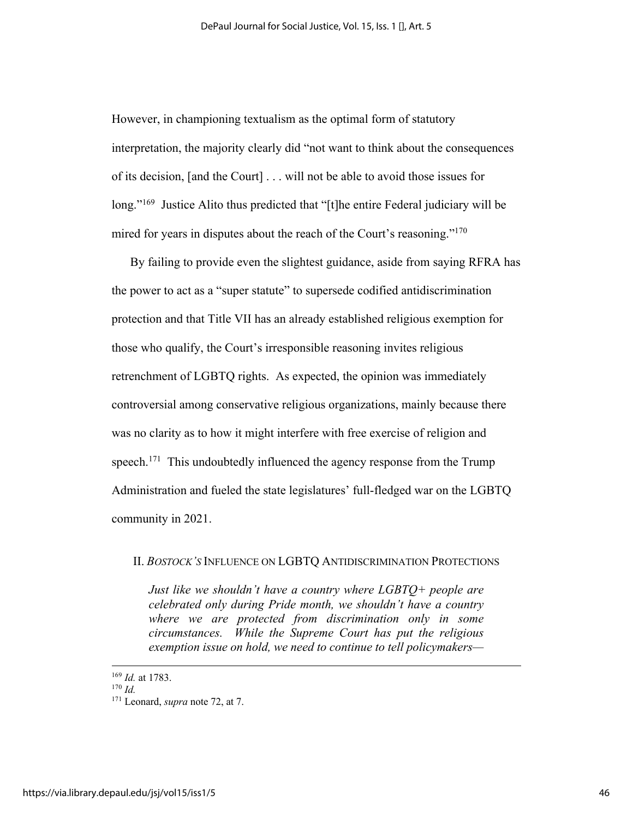However, in championing textualism as the optimal form of statutory interpretation, the majority clearly did "not want to think about the consequences of its decision, [and the Court] . . . will not be able to avoid those issues for long."<sup>169</sup> Justice Alito thus predicted that "[t]he entire Federal judiciary will be mired for years in disputes about the reach of the Court's reasoning."170

By failing to provide even the slightest guidance, aside from saying RFRA has the power to act as a "super statute" to supersede codified antidiscrimination protection and that Title VII has an already established religious exemption for those who qualify, the Court's irresponsible reasoning invites religious retrenchment of LGBTQ rights. As expected, the opinion was immediately controversial among conservative religious organizations, mainly because there was no clarity as to how it might interfere with free exercise of religion and speech.<sup>171</sup> This undoubtedly influenced the agency response from the Trump Administration and fueled the state legislatures' full-fledged war on the LGBTQ community in 2021.

### II. *BOSTOCK'S* INFLUENCE ON LGBTQ ANTIDISCRIMINATION PROTECTIONS

*Just like we shouldn't have a country where LGBTQ+ people are celebrated only during Pride month, we shouldn't have a country where we are protected from discrimination only in some circumstances. While the Supreme Court has put the religious exemption issue on hold, we need to continue to tell policymakers—*

<sup>169</sup> *Id.* at 1783.

 $170$  *Id.* 

<sup>171</sup> Leonard, *supra* note 72, at 7.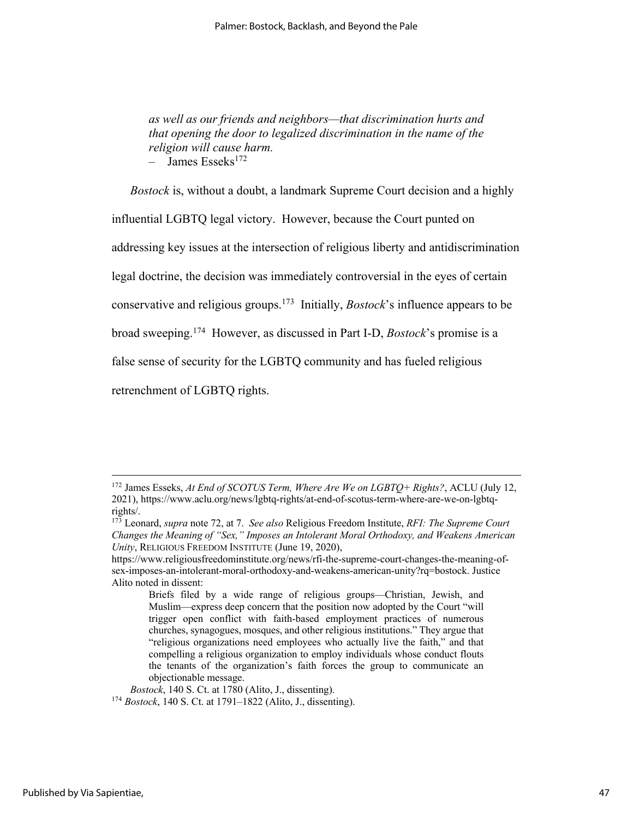*as well as our friends and neighbors—that discrimination hurts and that opening the door to legalized discrimination in the name of the religion will cause harm.*  $-$  James Esseks<sup>172</sup>

*Bostock* is, without a doubt, a landmark Supreme Court decision and a highly

influential LGBTQ legal victory. However, because the Court punted on

addressing key issues at the intersection of religious liberty and antidiscrimination

legal doctrine, the decision was immediately controversial in the eyes of certain

conservative and religious groups.173 Initially, *Bostock*'s influence appears to be

broad sweeping. 174 However, as discussed in Part I-D, *Bostock*'s promise is a

false sense of security for the LGBTQ community and has fueled religious

retrenchment of LGBTQ rights.

<sup>172</sup> James Esseks, *At End of SCOTUS Term, Where Are We on LGBTQ+ Rights?*, ACLU (July 12, 2021), https://www.aclu.org/news/lgbtq-rights/at-end-of-scotus-term-where-are-we-on-lgbtq-

<sup>&</sup>lt;sup>173</sup> Leonard, *supra* note 72, at 7. *See also* Religious Freedom Institute, *RFI: The Supreme Court Changes the Meaning of "Sex," Imposes an Intolerant Moral Orthodoxy, and Weakens American Unity*, RELIGIOUS FREEDOM INSTITUTE (June 19, 2020),

https://www.religiousfreedominstitute.org/news/rfi-the-supreme-court-changes-the-meaning-ofsex-imposes-an-intolerant-moral-orthodoxy-and-weakens-american-unity?rq=bostock. Justice Alito noted in dissent:

Briefs filed by a wide range of religious groups—Christian, Jewish, and Muslim—express deep concern that the position now adopted by the Court "will trigger open conflict with faith-based employment practices of numerous churches, synagogues, mosques, and other religious institutions." They argue that "religious organizations need employees who actually live the faith," and that compelling a religious organization to employ individuals whose conduct flouts the tenants of the organization's faith forces the group to communicate an objectionable message.<br>Bostock, 140 S. Ct. at 1780 (Alito, J., dissenting).

*Bostock*, 140 S. Ct. at 1780 (Alito, J., dissenting). 174 *Bostock*, 140 S. Ct. at 1791–1822 (Alito, J., dissenting).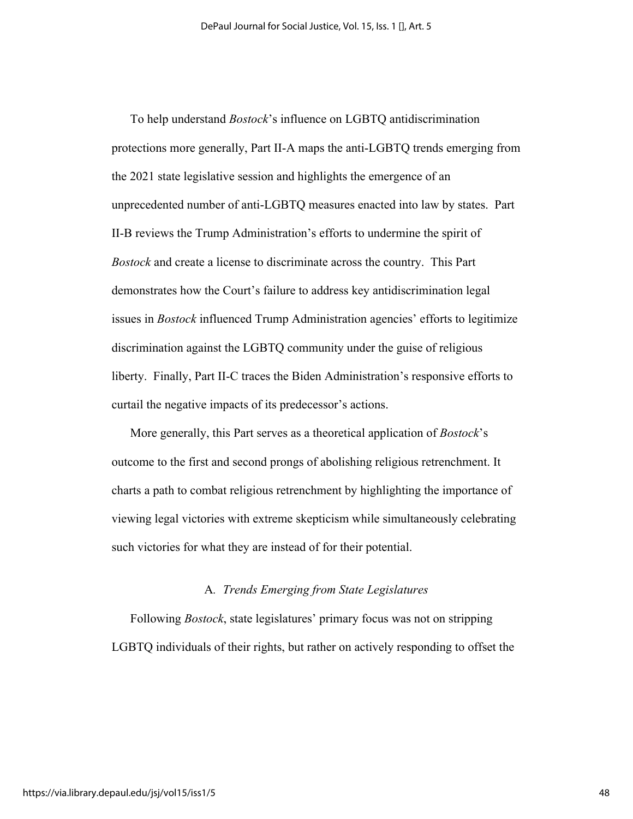To help understand *Bostock*'s influence on LGBTQ antidiscrimination protections more generally, Part II-A maps the anti-LGBTQ trends emerging from the 2021 state legislative session and highlights the emergence of an unprecedented number of anti-LGBTQ measures enacted into law by states. Part II-B reviews the Trump Administration's efforts to undermine the spirit of *Bostock* and create a license to discriminate across the country. This Part demonstrates how the Court's failure to address key antidiscrimination legal issues in *Bostock* influenced Trump Administration agencies' efforts to legitimize discrimination against the LGBTQ community under the guise of religious liberty. Finally, Part II-C traces the Biden Administration's responsive efforts to curtail the negative impacts of its predecessor's actions.

More generally, this Part serves as a theoretical application of *Bostock*'s outcome to the first and second prongs of abolishing religious retrenchment. It charts a path to combat religious retrenchment by highlighting the importance of viewing legal victories with extreme skepticism while simultaneously celebrating such victories for what they are instead of for their potential.

#### A*. Trends Emerging from State Legislatures*

Following *Bostock*, state legislatures' primary focus was not on stripping LGBTQ individuals of their rights, but rather on actively responding to offset the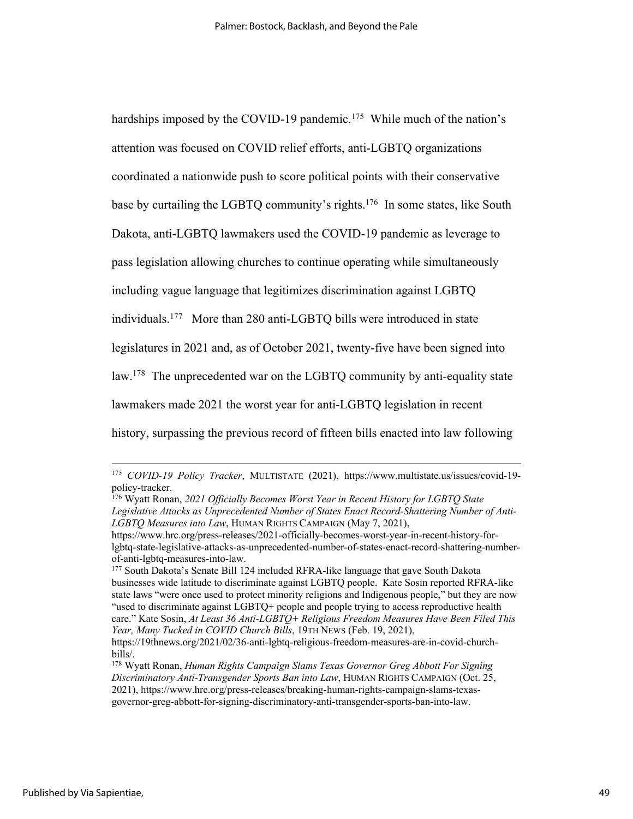hardships imposed by the COVID-19 pandemic.<sup>175</sup> While much of the nation's attention was focused on COVID relief efforts, anti-LGBTQ organizations coordinated a nationwide push to score political points with their conservative base by curtailing the LGBTQ community's rights.<sup>176</sup> In some states, like South Dakota, anti-LGBTQ lawmakers used the COVID-19 pandemic as leverage to pass legislation allowing churches to continue operating while simultaneously including vague language that legitimizes discrimination against LGBTQ individuals.177 More than 280 anti-LGBTQ bills were introduced in state legislatures in 2021 and, as of October 2021, twenty-five have been signed into law.178 The unprecedented war on the LGBTQ community by anti-equality state lawmakers made 2021 the worst year for anti-LGBTQ legislation in recent history, surpassing the previous record of fifteen bills enacted into law following

<sup>177</sup> South Dakota's Senate Bill 124 included RFRA-like language that gave South Dakota businesses wide latitude to discriminate against LGBTQ people. Kate Sosin reported RFRA-like state laws "were once used to protect minority religions and Indigenous people," but they are now "used to discriminate against LGBTQ+ people and people trying to access reproductive health care." Kate Sosin, *At Least 36 Anti-LGBTQ+ Religious Freedom Measures Have Been Filed This Year, Many Tucked in COVID Church Bills*, 19TH NEWS (Feb. 19, 2021),

<sup>&</sup>lt;sup>175</sup> *COVID-19 Policy Tracker*, MULTISTATE (2021), https://www.multistate.us/issues/covid-19-<br>policy-tracker.

<sup>&</sup>lt;sup>176</sup> Wyatt Ronan, *2021 Officially Becomes Worst Year in Recent History for LGBTQ State Legislative Attacks as Unprecedented Number of States Enact Record-Shattering Number of Anti-LGBTQ Measures into Law*, HUMAN RIGHTS CAMPAIGN (May 7, 2021),

https://www.hrc.org/press-releases/2021-officially-becomes-worst-year-in-recent-history-forlgbtq-state-legislative-attacks-as-unprecedented-number-of-states-enact-record-shattering-numberof-anti-lgbtq-measures-into-law.

https://19thnews.org/2021/02/36-anti-lgbtq-religious-freedom-measures-are-in-covid-churchbills/.<br><sup>178</sup> Wyatt Ronan, *Human Rights Campaign Slams Texas Governor Greg Abbott For Signing* 

*Discriminatory Anti-Transgender Sports Ban into Law*, HUMAN RIGHTS CAMPAIGN (Oct. 25, 2021), https://www.hrc.org/press-releases/breaking-human-rights-campaign-slams-texasgovernor-greg-abbott-for-signing-discriminatory-anti-transgender-sports-ban-into-law.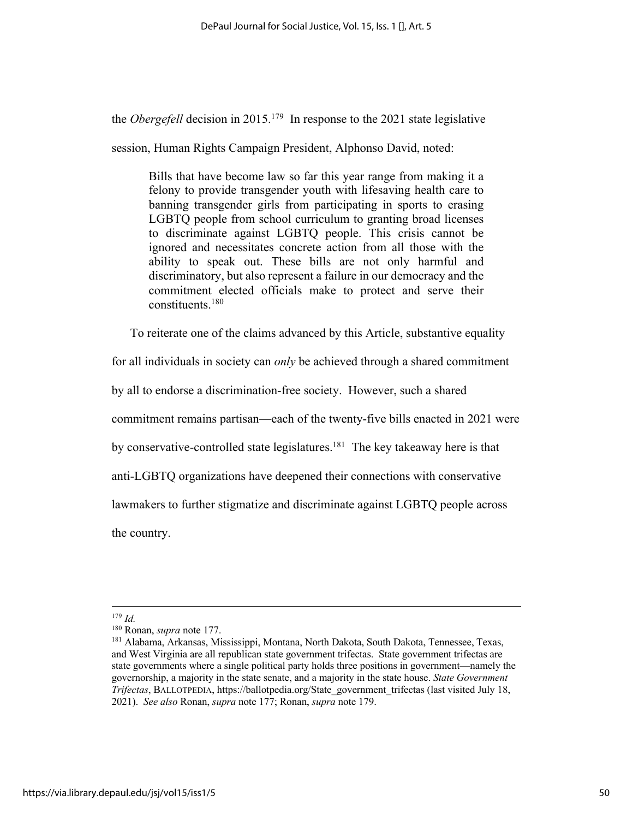the *Obergefell* decision in 2015. 179 In response to the 2021 state legislative

session, Human Rights Campaign President, Alphonso David, noted:

Bills that have become law so far this year range from making it a felony to provide transgender youth with lifesaving health care to banning transgender girls from participating in sports to erasing LGBTQ people from school curriculum to granting broad licenses to discriminate against LGBTQ people. This crisis cannot be ignored and necessitates concrete action from all those with the ability to speak out. These bills are not only harmful and discriminatory, but also represent a failure in our democracy and the commitment elected officials make to protect and serve their constituents.180

To reiterate one of the claims advanced by this Article, substantive equality

for all individuals in society can *only* be achieved through a shared commitment

by all to endorse a discrimination-free society. However, such a shared

commitment remains partisan—each of the twenty-five bills enacted in 2021 were

by conservative-controlled state legislatures.<sup>181</sup> The key takeaway here is that

anti-LGBTQ organizations have deepened their connections with conservative

lawmakers to further stigmatize and discriminate against LGBTQ people across

the country.

<sup>&</sup>lt;sup>179</sup> *Id.* Ronan, *supra* note 177.

<sup>&</sup>lt;sup>181</sup> Alabama, Arkansas, Mississippi, Montana, North Dakota, South Dakota, Tennessee, Texas, and West Virginia are all republican state government trifectas. State government trifectas are state governments where a single political party holds three positions in government—namely the governorship, a majority in the state senate, and a majority in the state house. *State Government Trifectas*, BALLOTPEDIA, https://ballotpedia.org/State\_government\_trifectas (last visited July 18, 2021). *See also* Ronan, *supra* note 177; Ronan, *supra* note 179.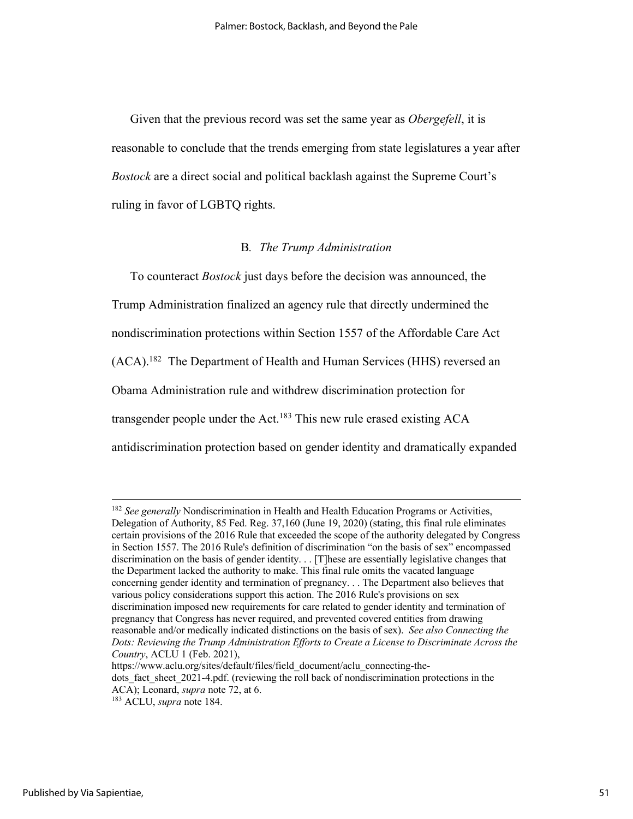Given that the previous record was set the same year as *Obergefell*, it is reasonable to conclude that the trends emerging from state legislatures a year after *Bostock* are a direct social and political backlash against the Supreme Court's ruling in favor of LGBTQ rights.

### B*. The Trump Administration*

To counteract *Bostock* just days before the decision was announced, the Trump Administration finalized an agency rule that directly undermined the nondiscrimination protections within Section 1557 of the Affordable Care Act (ACA).<sup>182</sup> The Department of Health and Human Services (HHS) reversed an Obama Administration rule and withdrew discrimination protection for transgender people under the Act.<sup>183</sup> This new rule erased existing ACA antidiscrimination protection based on gender identity and dramatically expanded

<sup>&</sup>lt;sup>182</sup> See generally Nondiscrimination in Health and Health Education Programs or Activities, Delegation of Authority, 85 Fed. Reg. 37,160 (June 19, 2020) (stating, this final rule eliminates certain provisions of the 2016 Rule that exceeded the scope of the authority delegated by Congress in Section 1557. The 2016 Rule's definition of discrimination "on the basis of sex" encompassed discrimination on the basis of gender identity. . . [T]hese are essentially legislative changes that the Department lacked the authority to make. This final rule omits the vacated language concerning gender identity and termination of pregnancy. . . The Department also believes that various policy considerations support this action. The 2016 Rule's provisions on sex discrimination imposed new requirements for care related to gender identity and termination of pregnancy that Congress has never required, and prevented covered entities from drawing reasonable and/or medically indicated distinctions on the basis of sex). *See also Connecting the Dots: Reviewing the Trump Administration Efforts to Create a License to Discriminate Across the Country*, ACLU 1 (Feb. 2021),

https://www.aclu.org/sites/default/files/field\_document/aclu\_connecting-thedots fact sheet 2021-4.pdf. (reviewing the roll back of nondiscrimination protections in the ACA); Leonard, *supra* note 72, at 6. 183 ACLU, *supra* note 184.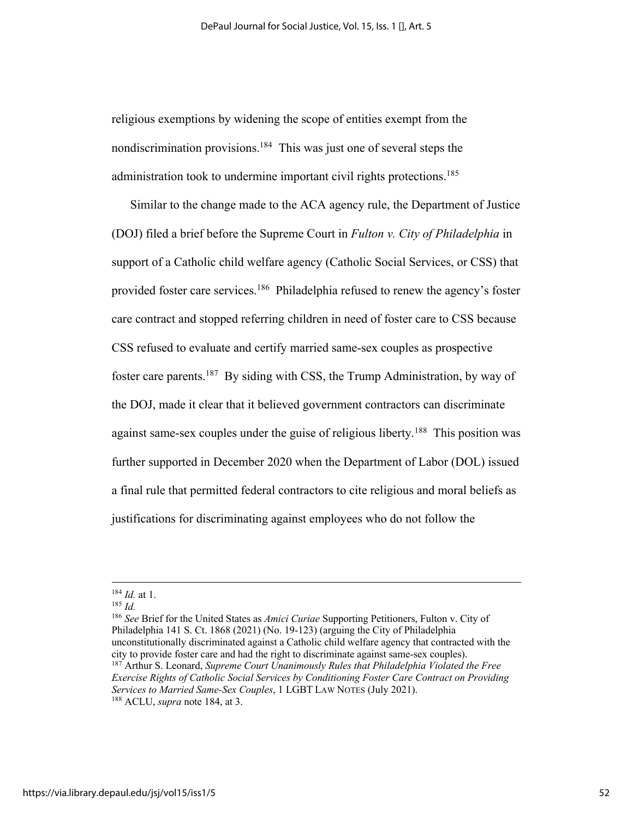religious exemptions by widening the scope of entities exempt from the nondiscrimination provisions.184 This was just one of several steps the administration took to undermine important civil rights protections.<sup>185</sup>

Similar to the change made to the ACA agency rule, the Department of Justice (DOJ) filed a brief before the Supreme Court in *Fulton v. City of Philadelphia* in support of a Catholic child welfare agency (Catholic Social Services, or CSS) that provided foster care services.186 Philadelphia refused to renew the agency's foster care contract and stopped referring children in need of foster care to CSS because CSS refused to evaluate and certify married same-sex couples as prospective foster care parents.187 By siding with CSS, the Trump Administration, by way of the DOJ, made it clear that it believed government contractors can discriminate against same-sex couples under the guise of religious liberty.<sup>188</sup> This position was further supported in December 2020 when the Department of Labor (DOL) issued a final rule that permitted federal contractors to cite religious and moral beliefs as justifications for discriminating against employees who do not follow the

<sup>186</sup> *See* Brief for the United States as *Amici Curiae* Supporting Petitioners, Fulton v. City of Philadelphia 141 S. Ct. 1868 (2021) (No. 19-123) (arguing the City of Philadelphia unconstitutionally discriminated against a Catholic child welfare agency that contracted with the city to provide foster care and had the right to discriminate against same-sex couples). 187 Arthur S. Leonard, *Supreme Court Unanimously Rules that Philadelphia Violated the Free* 

<sup>184</sup> *Id.* at 1. 185 *Id.*

*Exercise Rights of Catholic Social Services by Conditioning Foster Care Contract on Providing Services to Married Same-Sex Couples*, 1 LGBT LAW NOTES (July 2021). 188 ACLU, *supra* note 184, at 3.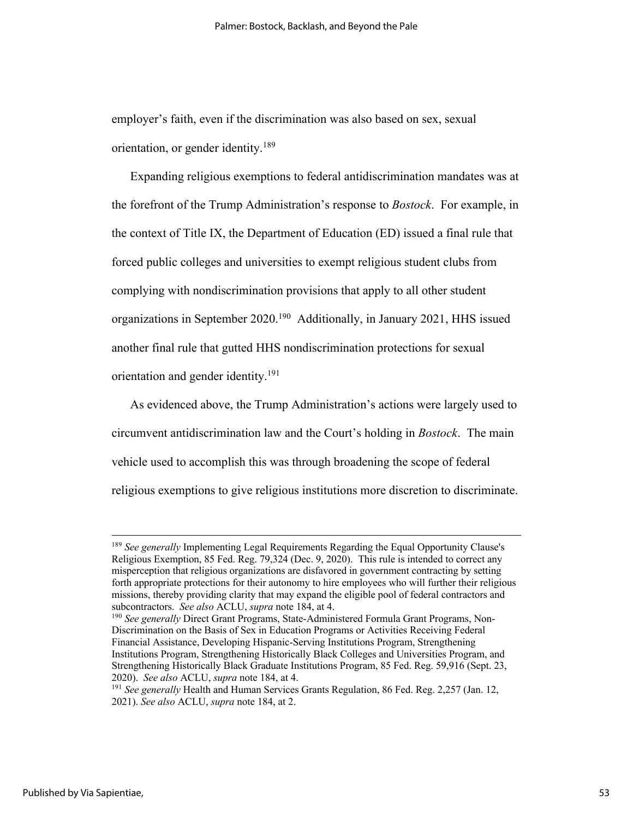employer's faith, even if the discrimination was also based on sex, sexual orientation, or gender identity.189

Expanding religious exemptions to federal antidiscrimination mandates was at the forefront of the Trump Administration's response to *Bostock*. For example, in the context of Title IX, the Department of Education (ED) issued a final rule that forced public colleges and universities to exempt religious student clubs from complying with nondiscrimination provisions that apply to all other student organizations in September 2020.190 Additionally, in January 2021, HHS issued another final rule that gutted HHS nondiscrimination protections for sexual orientation and gender identity.191

As evidenced above, the Trump Administration's actions were largely used to circumvent antidiscrimination law and the Court's holding in *Bostock*. The main vehicle used to accomplish this was through broadening the scope of federal religious exemptions to give religious institutions more discretion to discriminate.

<sup>&</sup>lt;sup>189</sup> *See generally* Implementing Legal Requirements Regarding the Equal Opportunity Clause's Religious Exemption, 85 Fed. Reg. 79,324 (Dec. 9, 2020). This rule is intended to correct any misperception that religious organizations are disfavored in government contracting by setting forth appropriate protections for their autonomy to hire employees who will further their religious missions, thereby providing clarity that may expand the eligible pool of federal contractors and subcontractors. *See also* ACLU, *supra* note 184, at 4.

<sup>&</sup>lt;sup>190</sup> See generally Direct Grant Programs, State-Administered Formula Grant Programs, Non-Discrimination on the Basis of Sex in Education Programs or Activities Receiving Federal Financial Assistance, Developing Hispanic-Serving Institutions Program, Strengthening Institutions Program, Strengthening Historically Black Colleges and Universities Program, and Strengthening Historically Black Graduate Institutions Program, 85 Fed. Reg. 59,916 (Sept. 23, 2020). *See also* ACLU, *supra* note 184, at 4.

<sup>191</sup> *See generally* Health and Human Services Grants Regulation, 86 Fed. Reg. 2,257 (Jan. 12, 2021). *See also* ACLU, *supra* note 184, at 2.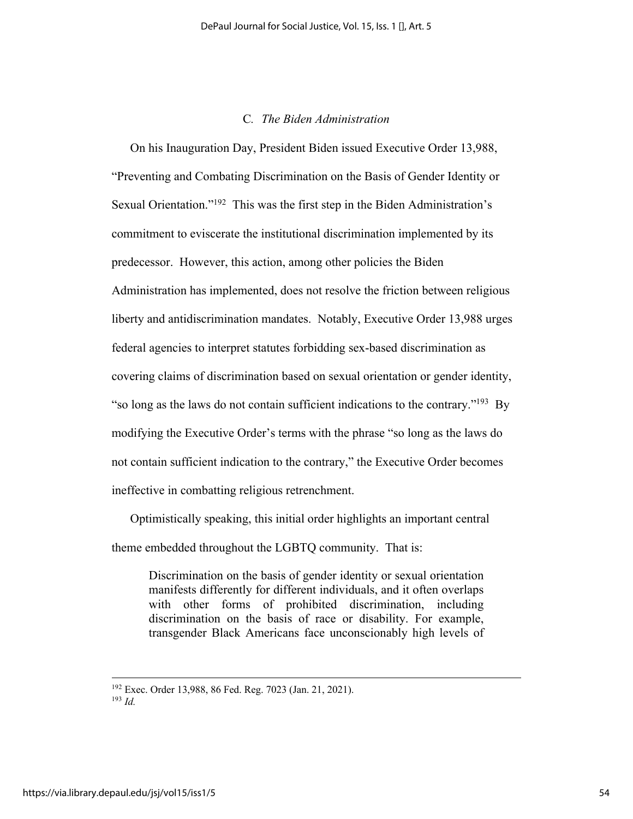# C*. The Biden Administration*

On his Inauguration Day, President Biden issued Executive Order 13,988, "Preventing and Combating Discrimination on the Basis of Gender Identity or Sexual Orientation."192 This was the first step in the Biden Administration's commitment to eviscerate the institutional discrimination implemented by its predecessor. However, this action, among other policies the Biden Administration has implemented, does not resolve the friction between religious liberty and antidiscrimination mandates. Notably, Executive Order 13,988 urges federal agencies to interpret statutes forbidding sex-based discrimination as covering claims of discrimination based on sexual orientation or gender identity, "so long as the laws do not contain sufficient indications to the contrary."193 By modifying the Executive Order's terms with the phrase "so long as the laws do not contain sufficient indication to the contrary," the Executive Order becomes ineffective in combatting religious retrenchment.

Optimistically speaking, this initial order highlights an important central theme embedded throughout the LGBTQ community. That is:

Discrimination on the basis of gender identity or sexual orientation manifests differently for different individuals, and it often overlaps with other forms of prohibited discrimination, including discrimination on the basis of race or disability. For example, transgender Black Americans face unconscionably high levels of

<sup>192</sup> Exec. Order 13,988, 86 Fed. Reg. 7023 (Jan. 21, 2021). 193 *Id.*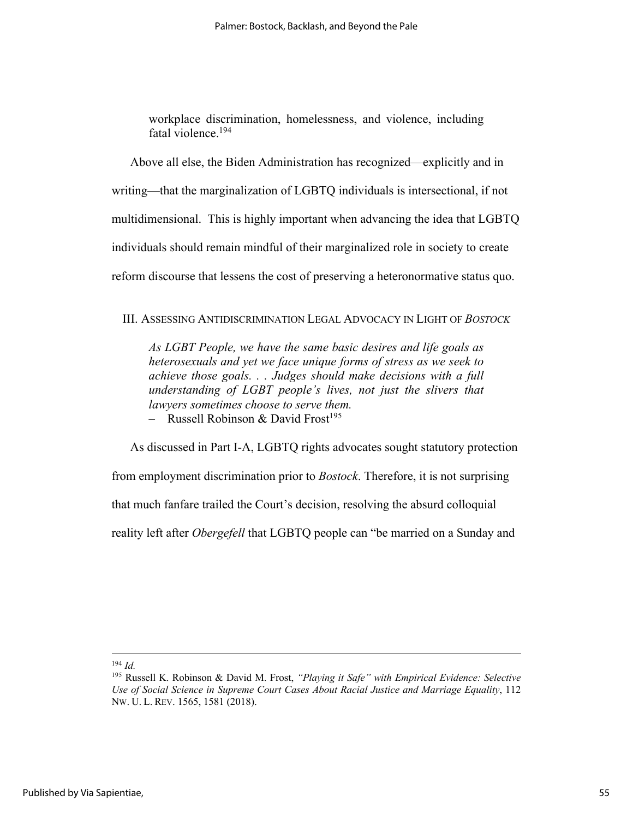workplace discrimination, homelessness, and violence, including fatal violence.194

Above all else, the Biden Administration has recognized—explicitly and in writing—that the marginalization of LGBTQ individuals is intersectional, if not multidimensional. This is highly important when advancing the idea that LGBTQ individuals should remain mindful of their marginalized role in society to create reform discourse that lessens the cost of preserving a heteronormative status quo.

### III. ASSESSING ANTIDISCRIMINATION LEGAL ADVOCACY IN LIGHT OF *BOSTOCK*

*As LGBT People, we have the same basic desires and life goals as heterosexuals and yet we face unique forms of stress as we seek to achieve those goals. . . Judges should make decisions with a full understanding of LGBT people's lives, not just the slivers that lawyers sometimes choose to serve them.* – Russell Robinson & David Frost<sup>195</sup>

As discussed in Part I-A, LGBTQ rights advocates sought statutory protection from employment discrimination prior to *Bostock*. Therefore, it is not surprising that much fanfare trailed the Court's decision, resolving the absurd colloquial

reality left after *Obergefell* that LGBTQ people can "be married on a Sunday and

 $194$  *Id.* 

<sup>195</sup> Russell K. Robinson & David M. Frost, *"Playing it Safe" with Empirical Evidence: Selective Use of Social Science in Supreme Court Cases About Racial Justice and Marriage Equality*, 112 NW. U. L. REV. 1565, 1581 (2018).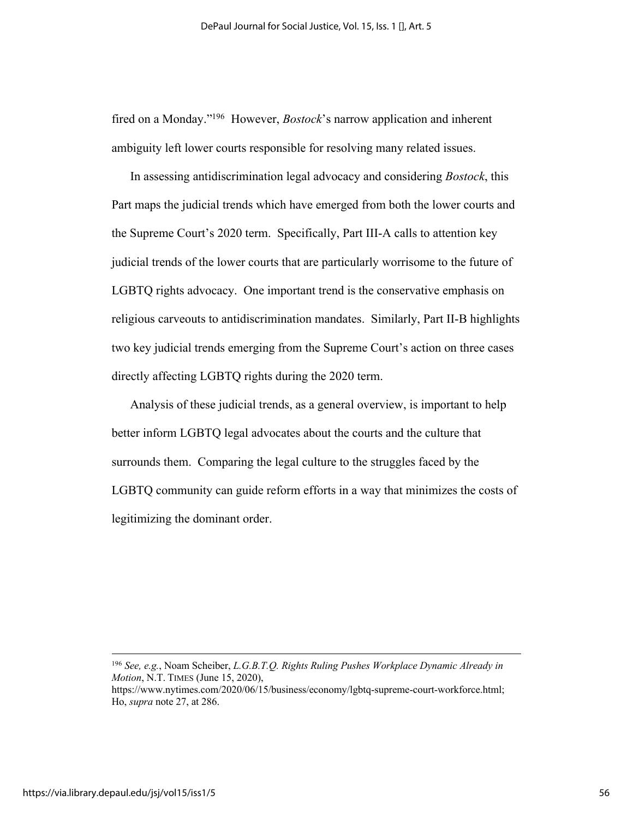fired on a Monday."196 However, *Bostock*'s narrow application and inherent ambiguity left lower courts responsible for resolving many related issues.

In assessing antidiscrimination legal advocacy and considering *Bostock*, this Part maps the judicial trends which have emerged from both the lower courts and the Supreme Court's 2020 term. Specifically, Part III-A calls to attention key judicial trends of the lower courts that are particularly worrisome to the future of LGBTQ rights advocacy. One important trend is the conservative emphasis on religious carveouts to antidiscrimination mandates. Similarly, Part II-B highlights two key judicial trends emerging from the Supreme Court's action on three cases directly affecting LGBTQ rights during the 2020 term.

Analysis of these judicial trends, as a general overview, is important to help better inform LGBTQ legal advocates about the courts and the culture that surrounds them. Comparing the legal culture to the struggles faced by the LGBTQ community can guide reform efforts in a way that minimizes the costs of legitimizing the dominant order.

<sup>196</sup> *See, e.g.*, Noam Scheiber, *L.G.B.T.Q. Rights Ruling Pushes Workplace Dynamic Already in Motion*, N.T. TIMES (June 15, 2020),

https://www.nytimes.com/2020/06/15/business/economy/lgbtq-supreme-court-workforce.html; Ho, *supra* note 27, at 286.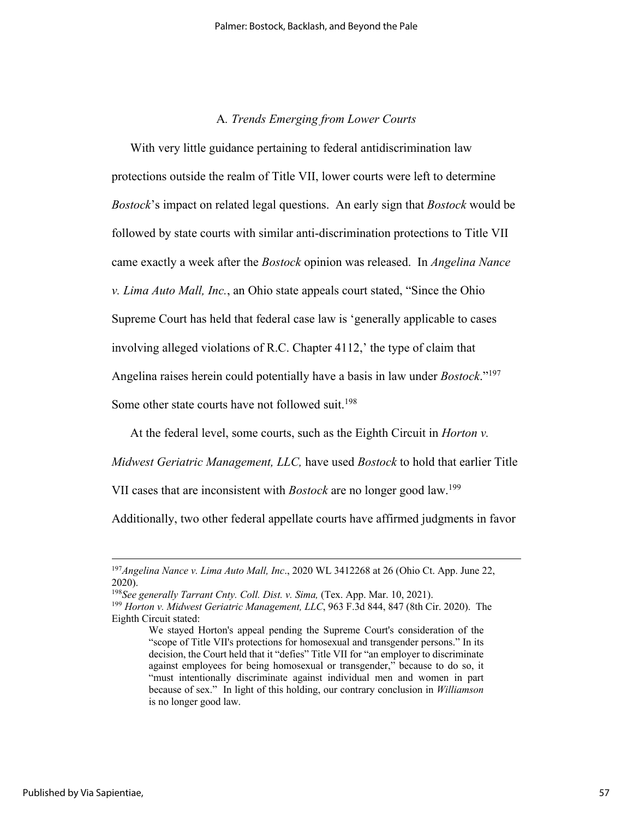# A*. Trends Emerging from Lower Courts*

With very little guidance pertaining to federal antidiscrimination law protections outside the realm of Title VII, lower courts were left to determine *Bostock*'s impact on related legal questions. An early sign that *Bostock* would be followed by state courts with similar anti-discrimination protections to Title VII came exactly a week after the *Bostock* opinion was released. In *Angelina Nance v. Lima Auto Mall, Inc.*, an Ohio state appeals court stated, "Since the Ohio Supreme Court has held that federal case law is 'generally applicable to cases involving alleged violations of R.C. Chapter 4112,' the type of claim that Angelina raises herein could potentially have a basis in law under *Bostock*."197

Some other state courts have not followed suit.<sup>198</sup>

At the federal level, some courts, such as the Eighth Circuit in *Horton v.* 

*Midwest Geriatric Management, LLC,* have used *Bostock* to hold that earlier Title

VII cases that are inconsistent with *Bostock* are no longer good law.199

Additionally, two other federal appellate courts have affirmed judgments in favor

<sup>197</sup>*Angelina Nance v. Lima Auto Mall, Inc*., 2020 WL 3412268 at 26 (Ohio Ct. App. June 22, 2020).

<sup>&</sup>lt;sup>198</sup>See generally *Tarrant Cnty. Coll. Dist. v. Sima,* (Tex. App. Mar. 10, 2021).<br><sup>199</sup> *Horton v. Midwest Geriatric Management, LLC*, 963 F.3d 844, 847 (8th Cir. 2020). The Eighth Circuit stated:

We stayed Horton's appeal pending the Supreme Court's consideration of the "scope of Title VII's protections for homosexual and transgender persons." In its decision, the Court held that it "defies" Title VII for "an employer to discriminate against employees for being homosexual or transgender," because to do so, it "must intentionally discriminate against individual men and women in part because of sex." In light of this holding, our contrary conclusion in *Williamson* is no longer good law.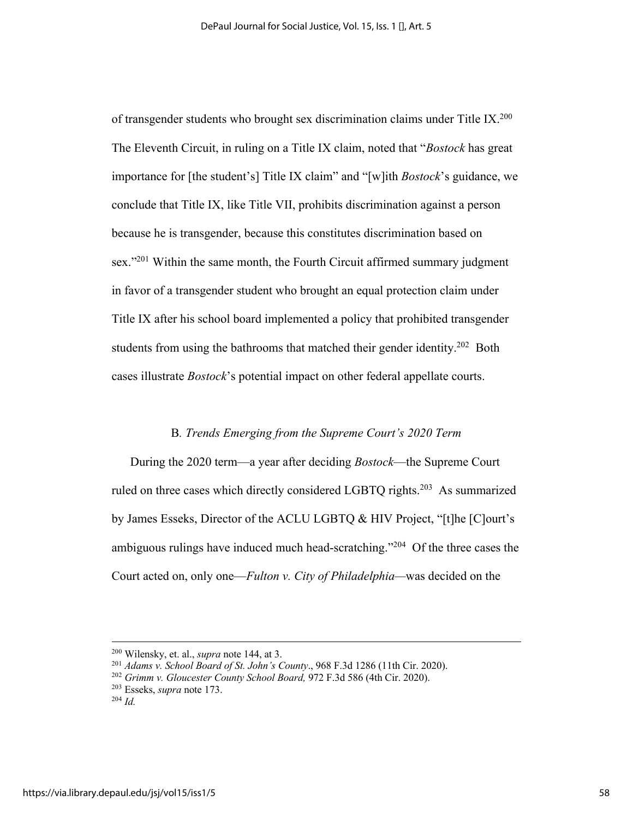of transgender students who brought sex discrimination claims under Title IX.<sup>200</sup> The Eleventh Circuit, in ruling on a Title IX claim, noted that "*Bostock* has great importance for [the student's] Title IX claim" and "[w]ith *Bostock*'s guidance, we conclude that Title IX, like Title VII, prohibits discrimination against a person because he is transgender, because this constitutes discrimination based on sex."<sup>201</sup> Within the same month, the Fourth Circuit affirmed summary judgment in favor of a transgender student who brought an equal protection claim under Title IX after his school board implemented a policy that prohibited transgender students from using the bathrooms that matched their gender identity.<sup>202</sup> Both cases illustrate *Bostock*'s potential impact on other federal appellate courts.

### B*. Trends Emerging from the Supreme Court's 2020 Term*

During the 2020 term—a year after deciding *Bostock*—the Supreme Court ruled on three cases which directly considered LGBTQ rights.<sup>203</sup> As summarized by James Esseks, Director of the ACLU LGBTQ & HIV Project, "[t]he [C]ourt's ambiguous rulings have induced much head-scratching."<sup>204</sup> Of the three cases the Court acted on, only one—*Fulton v. City of Philadelphia—*was decided on the

<sup>&</sup>lt;sup>200</sup> Wilensky, et. al., *supra* note 144, at 3.<br><sup>201</sup> *Adams v. School Board of St. John's County*., 968 F.3d 1286 (11th Cir. 2020).<br><sup>202</sup> *Grimm v. Gloucester County School Board*, 972 F.3d 586 (4th Cir. 2020).<br><sup>203</sup> Es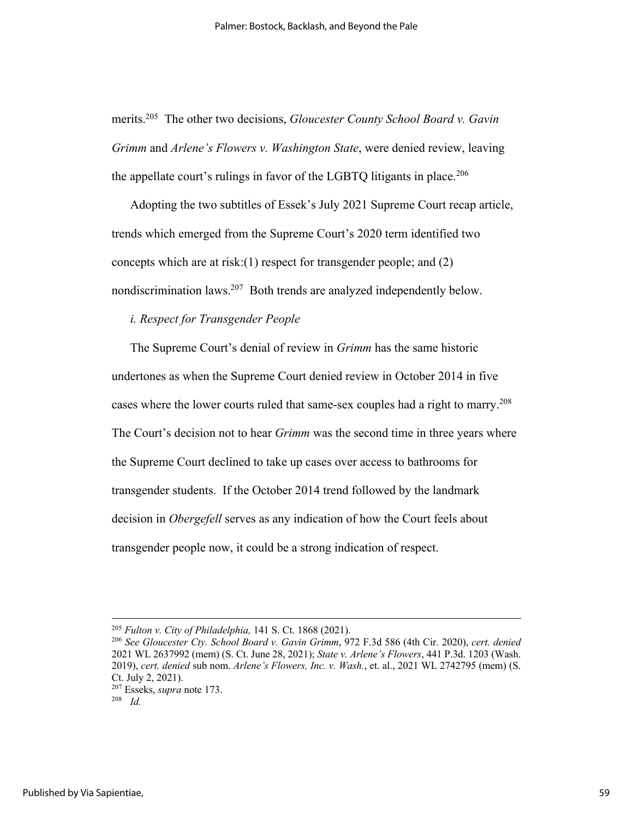merits.205 The other two decisions, *Gloucester County School Board v. Gavin Grimm* and *Arlene's Flowers v. Washington State*, were denied review, leaving the appellate court's rulings in favor of the LGBTQ litigants in place.<sup>206</sup>

Adopting the two subtitles of Essek's July 2021 Supreme Court recap article, trends which emerged from the Supreme Court's 2020 term identified two concepts which are at risk:(1) respect for transgender people; and (2) nondiscrimination laws.207 Both trends are analyzed independently below.

# *i. Respect for Transgender People*

The Supreme Court's denial of review in *Grimm* has the same historic undertones as when the Supreme Court denied review in October 2014 in five cases where the lower courts ruled that same-sex couples had a right to marry.<sup>208</sup> The Court's decision not to hear *Grimm* was the second time in three years where the Supreme Court declined to take up cases over access to bathrooms for transgender students. If the October 2014 trend followed by the landmark decision in *Obergefell* serves as any indication of how the Court feels about transgender people now, it could be a strong indication of respect.

<sup>205</sup> *Fulton v. City of Philadelphia,* 141 S. Ct. 1868 (2021). 206 *See Gloucester Cty. School Board v. Gavin Grimm*, 972 F.3d 586 (4th Cir. 2020), *cert. denied* 2021 WL 2637992 (mem) (S. Ct. June 28, 2021); *State v. Arlene's Flowers*, 441 P.3d. 1203 (Wash. 2019), *cert. denied* sub nom. *Arlene's Flowers, Inc. v. Wash.*, et. al., 2021 WL 2742795 (mem) (S. Ct. July 2, 2021).

<sup>207</sup> Esseks, *supra* note 173. 208 *Id.*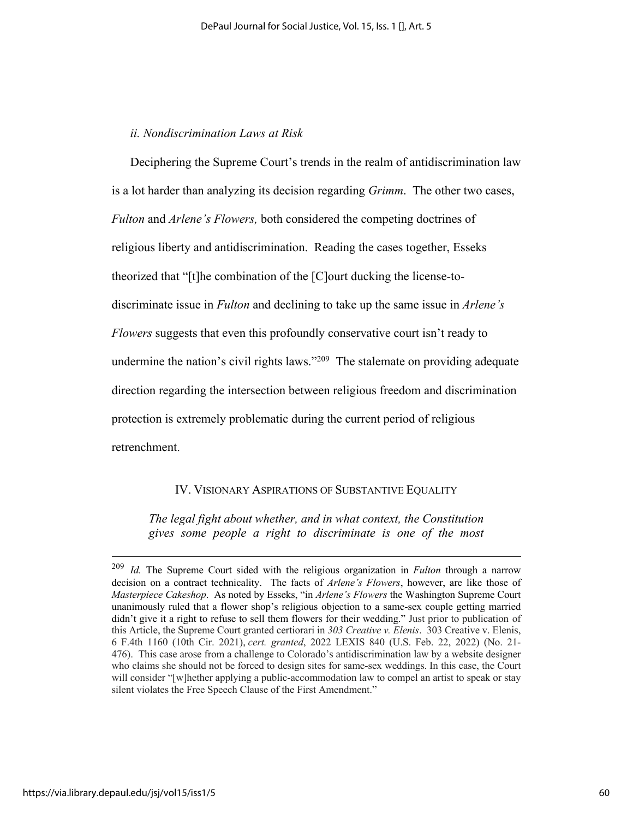### *ii. Nondiscrimination Laws at Risk*

Deciphering the Supreme Court's trends in the realm of antidiscrimination law is a lot harder than analyzing its decision regarding *Grimm*. The other two cases, *Fulton* and *Arlene's Flowers,* both considered the competing doctrines of religious liberty and antidiscrimination. Reading the cases together, Esseks theorized that "[t]he combination of the [C]ourt ducking the license-todiscriminate issue in *Fulton* and declining to take up the same issue in *Arlene's Flowers* suggests that even this profoundly conservative court isn't ready to undermine the nation's civil rights laws."<sup>209</sup> The stalemate on providing adequate direction regarding the intersection between religious freedom and discrimination protection is extremely problematic during the current period of religious retrenchment.

# IV. VISIONARY ASPIRATIONS OF SUBSTANTIVE EQUALITY

*The legal fight about whether, and in what context, the Constitution gives some people a right to discriminate is one of the most* 

<sup>209</sup> *Id.* The Supreme Court sided with the religious organization in *Fulton* through a narrow decision on a contract technicality. The facts of *Arlene's Flowers*, however, are like those of *Masterpiece Cakeshop*. As noted by Esseks, "in *Arlene's Flowers* the Washington Supreme Court unanimously ruled that a flower shop's religious objection to a same-sex couple getting married didn't give it a right to refuse to sell them flowers for their wedding." Just prior to publication of this Article, the Supreme Court granted certiorari in *303 Creative v. Elenis*. 303 Creative v. Elenis, 6 F.4th 1160 (10th Cir. 2021), *cert. granted*, 2022 LEXIS 840 (U.S. Feb. 22, 2022) (No. 21- 476). This case arose from a challenge to Colorado's antidiscrimination law by a website designer who claims she should not be forced to design sites for same-sex weddings. In this case, the Court will consider "[w]hether applying a public-accommodation law to compel an artist to speak or stay silent violates the Free Speech Clause of the First Amendment."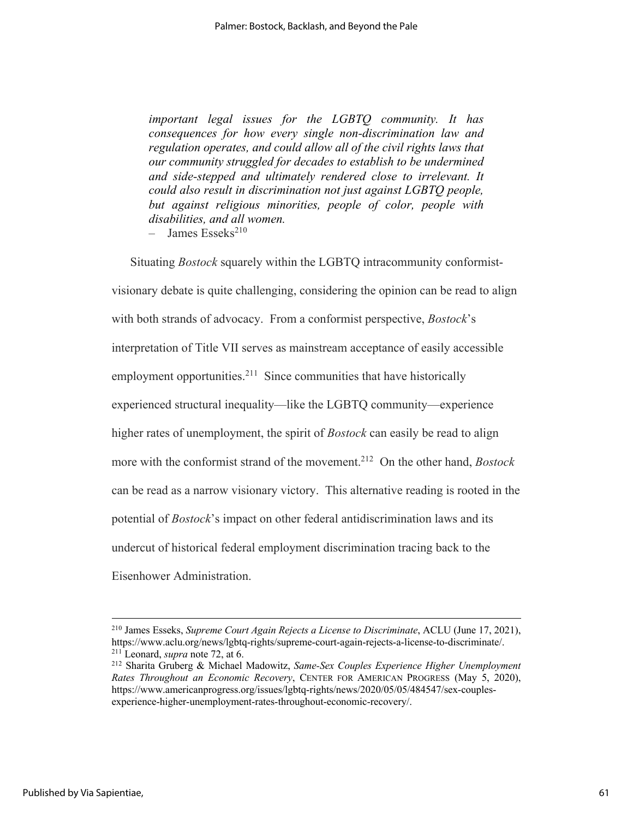*important legal issues for the LGBTQ community. It has consequences for how every single non-discrimination law and regulation operates, and could allow all of the civil rights laws that our community struggled for decades to establish to be undermined and side-stepped and ultimately rendered close to irrelevant. It could also result in discrimination not just against LGBTQ people, but against religious minorities, people of color, people with disabilities, and all women.*

 $-$  James Esseks<sup>210</sup>

Situating *Bostock* squarely within the LGBTQ intracommunity conformistvisionary debate is quite challenging, considering the opinion can be read to align with both strands of advocacy. From a conformist perspective, *Bostock*'s interpretation of Title VII serves as mainstream acceptance of easily accessible employment opportunities.<sup>211</sup> Since communities that have historically experienced structural inequality—like the LGBTQ community—experience higher rates of unemployment, the spirit of *Bostock* can easily be read to align more with the conformist strand of the movement.212 On the other hand, *Bostock* can be read as a narrow visionary victory. This alternative reading is rooted in the potential of *Bostock*'s impact on other federal antidiscrimination laws and its undercut of historical federal employment discrimination tracing back to the Eisenhower Administration.

<sup>210</sup> James Esseks, *Supreme Court Again Rejects a License to Discriminate*, ACLU (June 17, 2021), https://www.aclu.org/news/lgbtq-rights/supreme-court-again-rejects-a-license-to-discriminate/.<br><sup>211</sup> Leonard, *supra* note 72, at 6.<br><sup>212</sup> Sharita Gruberg & Michael Madowitz, *Same-Sex Couples Experience Higher Unemploymen* 

*Rates Throughout an Economic Recovery*, CENTER FOR AMERICAN PROGRESS (May 5, 2020), https://www.americanprogress.org/issues/lgbtq-rights/news/2020/05/05/484547/sex-couplesexperience-higher-unemployment-rates-throughout-economic-recovery/.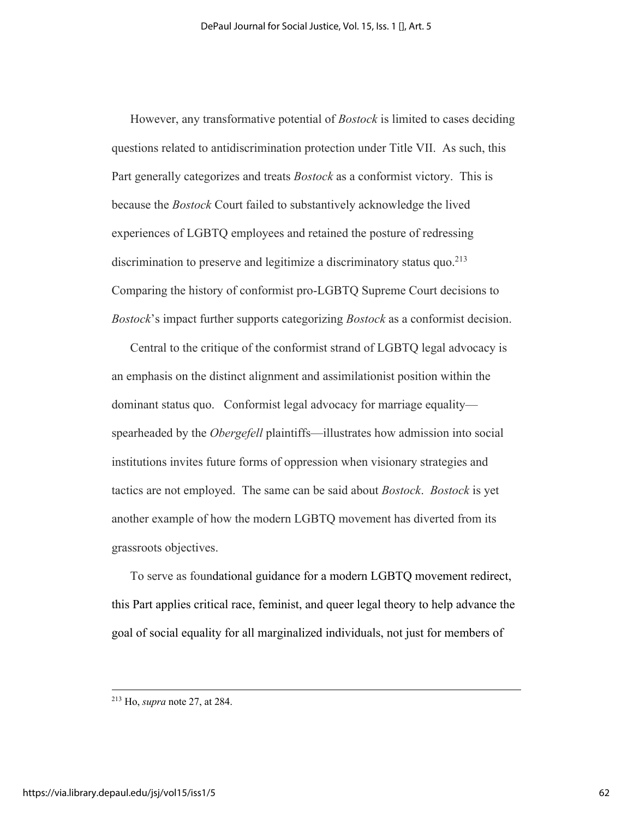However, any transformative potential of *Bostock* is limited to cases deciding questions related to antidiscrimination protection under Title VII. As such, this Part generally categorizes and treats *Bostock* as a conformist victory. This is because the *Bostock* Court failed to substantively acknowledge the lived experiences of LGBTQ employees and retained the posture of redressing discrimination to preserve and legitimize a discriminatory status quo.<sup>213</sup> Comparing the history of conformist pro-LGBTQ Supreme Court decisions to *Bostock*'s impact further supports categorizing *Bostock* as a conformist decision.

Central to the critique of the conformist strand of LGBTQ legal advocacy is an emphasis on the distinct alignment and assimilationist position within the dominant status quo. Conformist legal advocacy for marriage equality spearheaded by the *Obergefell* plaintiffs—illustrates how admission into social institutions invites future forms of oppression when visionary strategies and tactics are not employed. The same can be said about *Bostock*. *Bostock* is yet another example of how the modern LGBTQ movement has diverted from its grassroots objectives.

To serve as foundational guidance for a modern LGBTQ movement redirect, this Part applies critical race, feminist, and queer legal theory to help advance the goal of social equality for all marginalized individuals, not just for members of

<sup>213</sup> Ho, *supra* note 27, at 284.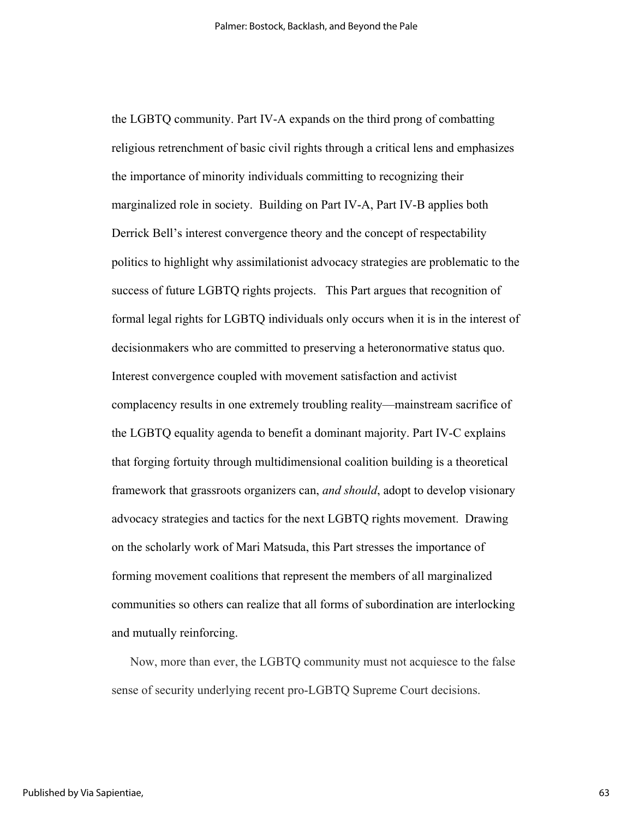the LGBTQ community. Part IV-A expands on the third prong of combatting religious retrenchment of basic civil rights through a critical lens and emphasizes the importance of minority individuals committing to recognizing their marginalized role in society. Building on Part IV-A, Part IV-B applies both Derrick Bell's interest convergence theory and the concept of respectability politics to highlight why assimilationist advocacy strategies are problematic to the success of future LGBTQ rights projects. This Part argues that recognition of formal legal rights for LGBTQ individuals only occurs when it is in the interest of decisionmakers who are committed to preserving a heteronormative status quo. Interest convergence coupled with movement satisfaction and activist complacency results in one extremely troubling reality—mainstream sacrifice of the LGBTQ equality agenda to benefit a dominant majority. Part IV-C explains that forging fortuity through multidimensional coalition building is a theoretical framework that grassroots organizers can, *and should*, adopt to develop visionary advocacy strategies and tactics for the next LGBTQ rights movement. Drawing on the scholarly work of Mari Matsuda, this Part stresses the importance of forming movement coalitions that represent the members of all marginalized communities so others can realize that all forms of subordination are interlocking and mutually reinforcing.

Now, more than ever, the LGBTQ community must not acquiesce to the false sense of security underlying recent pro-LGBTQ Supreme Court decisions.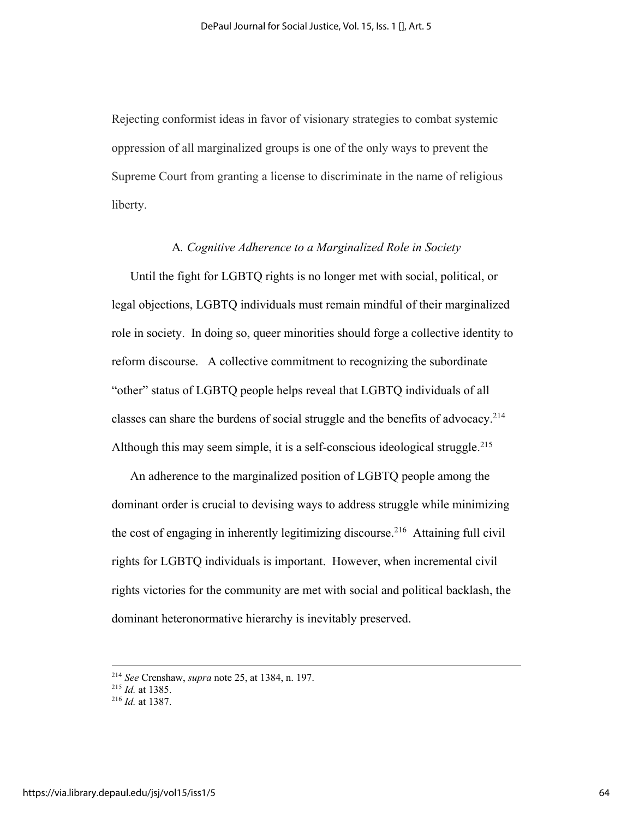Rejecting conformist ideas in favor of visionary strategies to combat systemic oppression of all marginalized groups is one of the only ways to prevent the Supreme Court from granting a license to discriminate in the name of religious liberty.

#### A*. Cognitive Adherence to a Marginalized Role in Society*

Until the fight for LGBTQ rights is no longer met with social, political, or legal objections, LGBTQ individuals must remain mindful of their marginalized role in society. In doing so, queer minorities should forge a collective identity to reform discourse. A collective commitment to recognizing the subordinate "other" status of LGBTQ people helps reveal that LGBTQ individuals of all classes can share the burdens of social struggle and the benefits of advocacy. 214 Although this may seem simple, it is a self-conscious ideological struggle.<sup>215</sup>

An adherence to the marginalized position of LGBTQ people among the dominant order is crucial to devising ways to address struggle while minimizing the cost of engaging in inherently legitimizing discourse.<sup>216</sup> Attaining full civil rights for LGBTQ individuals is important. However, when incremental civil rights victories for the community are met with social and political backlash, the dominant heteronormative hierarchy is inevitably preserved.

<sup>214</sup> *See* Crenshaw, *supra* note 25, at 1384, n. 197. 215 *Id.* at 1385. 216 *Id.* at 1387.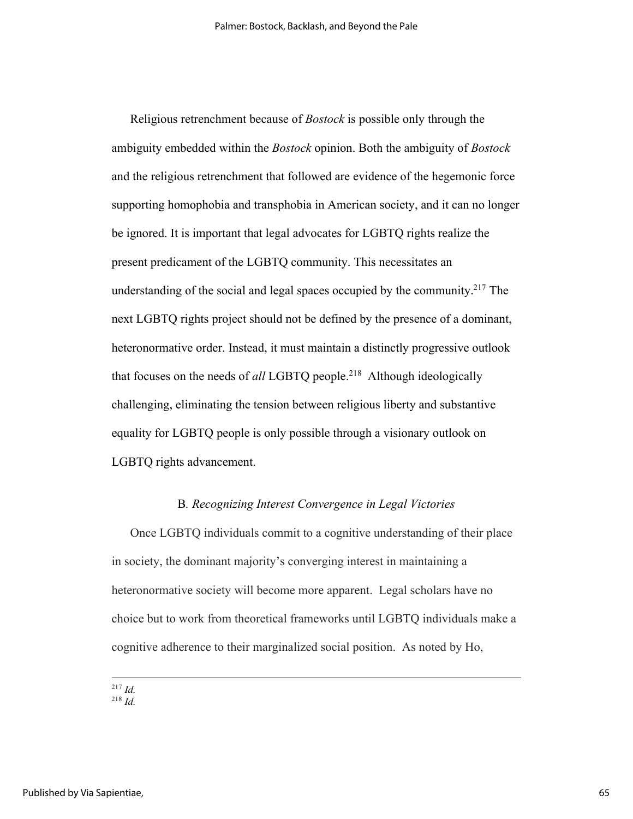Religious retrenchment because of *Bostock* is possible only through the ambiguity embedded within the *Bostock* opinion. Both the ambiguity of *Bostock* and the religious retrenchment that followed are evidence of the hegemonic force supporting homophobia and transphobia in American society, and it can no longer be ignored. It is important that legal advocates for LGBTQ rights realize the present predicament of the LGBTQ community. This necessitates an understanding of the social and legal spaces occupied by the community.<sup>217</sup> The next LGBTQ rights project should not be defined by the presence of a dominant, heteronormative order. Instead, it must maintain a distinctly progressive outlook that focuses on the needs of *all* LGBTQ people.218 Although ideologically challenging, eliminating the tension between religious liberty and substantive equality for LGBTQ people is only possible through a visionary outlook on LGBTQ rights advancement.

# B*. Recognizing Interest Convergence in Legal Victories*

Once LGBTQ individuals commit to a cognitive understanding of their place in society, the dominant majority's converging interest in maintaining a heteronormative society will become more apparent. Legal scholars have no choice but to work from theoretical frameworks until LGBTQ individuals make a cognitive adherence to their marginalized social position. As noted by Ho,

<sup>217</sup> *Id.*

 $^{218}$  *Id.*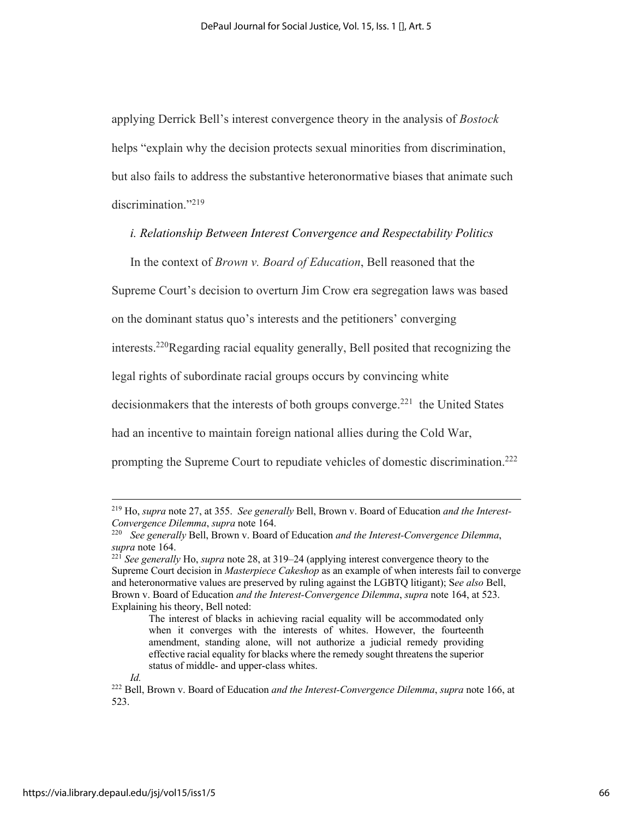applying Derrick Bell's interest convergence theory in the analysis of *Bostock* helps "explain why the decision protects sexual minorities from discrimination, but also fails to address the substantive heteronormative biases that animate such discrimination."<sup>219</sup>

# *i. Relationship Between Interest Convergence and Respectability Politics*

In the context of *Brown v. Board of Education*, Bell reasoned that the

Supreme Court's decision to overturn Jim Crow era segregation laws was based

on the dominant status quo's interests and the petitioners' converging

interests.220Regarding racial equality generally, Bell posited that recognizing the

legal rights of subordinate racial groups occurs by convincing white

decision makers that the interests of both groups converge.<sup>221</sup> the United States

had an incentive to maintain foreign national allies during the Cold War,

prompting the Supreme Court to repudiate vehicles of domestic discrimination.<sup>222</sup>

<sup>219</sup> Ho, *supra* note 27, at 355. *See generally* Bell, Brown v. Board of Education *and the Interest-*

<sup>&</sup>lt;sup>220</sup> *See generally* Bell, Brown v. Board of Education *and the Interest-Convergence Dilemma*, *supra* note 164.

*supra* note 164. 221 *See generally* Ho, *supra* note 28, at 319–24 (applying interest convergence theory to the Supreme Court decision in *Masterpiece Cakeshop* as an example of when interests fail to converge and heteronormative values are preserved by ruling against the LGBTQ litigant); S*ee also* Bell, Brown v. Board of Education *and the Interest-Convergence Dilemma*, *supra* note 164, at 523. Explaining his theory, Bell noted:

The interest of blacks in achieving racial equality will be accommodated only when it converges with the interests of whites. However, the fourteenth amendment, standing alone, will not authorize a judicial remedy providing effective racial equality for blacks where the remedy sought threatens the superior status of middle- and upper-class whites.

*Id.* 

<sup>222</sup> Bell, Brown v. Board of Education *and the Interest-Convergence Dilemma*, *supra* note 166, at 523.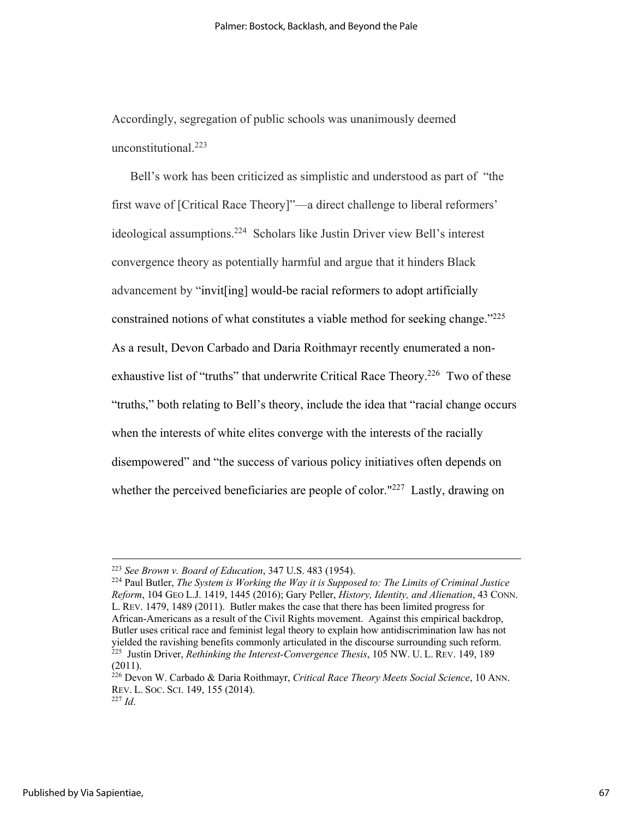Accordingly, segregation of public schools was unanimously deemed unconstitutional.223

Bell's work has been criticized as simplistic and understood as part of "the first wave of [Critical Race Theory]"—a direct challenge to liberal reformers' ideological assumptions. 224 Scholars like Justin Driver view Bell's interest convergence theory as potentially harmful and argue that it hinders Black advancement by "invit[ing] would-be racial reformers to adopt artificially constrained notions of what constitutes a viable method for seeking change."<sup>225</sup> As a result, Devon Carbado and Daria Roithmayr recently enumerated a nonexhaustive list of "truths" that underwrite Critical Race Theory.<sup>226</sup> Two of these "truths," both relating to Bell's theory, include the idea that "racial change occurs when the interests of white elites converge with the interests of the racially disempowered" and "the success of various policy initiatives often depends on whether the perceived beneficiaries are people of color."<sup>227</sup> Lastly, drawing on

<sup>223</sup> *See Brown v. Board of Education*, 347 U.S. 483 (1954).

<sup>224</sup> Paul Butler, *The System is Working the Way it is Supposed to: The Limits of Criminal Justice Reform*, 104 GEO L.J. 1419, 1445 (2016); Gary Peller, *History, Identity, and Alienation*, 43 CONN. L. REV. 1479, 1489 (2011). Butler makes the case that there has been limited progress for African-Americans as a result of the Civil Rights movement. Against this empirical backdrop, Butler uses critical race and feminist legal theory to explain how antidiscrimination law has not <sup>225</sup> Justin Driver, *Rethinking the Interest-Convergence Thesis*, 105 NW. U. L. REV. 149, 189 (2011).

<sup>226</sup> Devon W. Carbado & Daria Roithmayr, *Critical Race Theory Meets Social Science*, 10 ANN. REV. L. SOC. SCI. 149, 155 (2014).

<sup>227</sup> *Id*.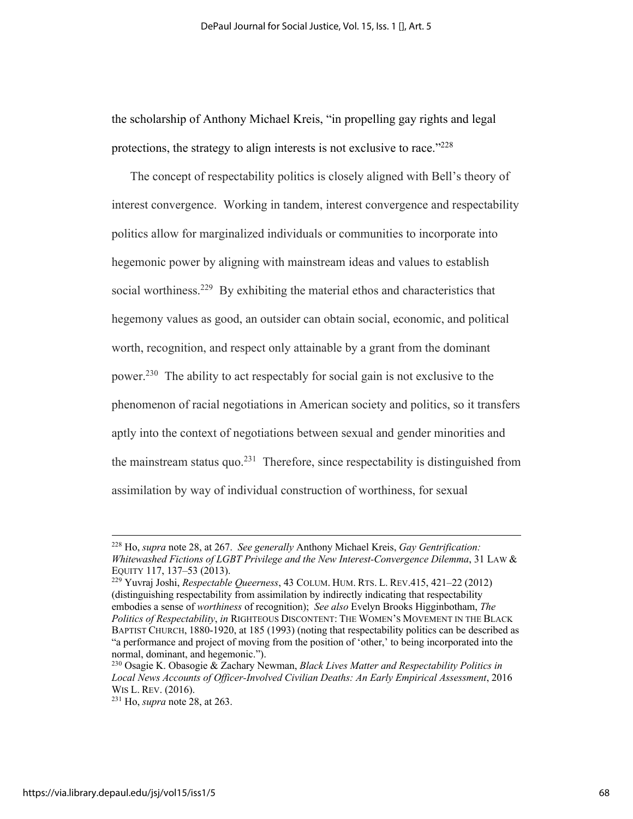the scholarship of Anthony Michael Kreis, "in propelling gay rights and legal protections, the strategy to align interests is not exclusive to race."<sup>228</sup>

The concept of respectability politics is closely aligned with Bell's theory of interest convergence. Working in tandem, interest convergence and respectability politics allow for marginalized individuals or communities to incorporate into hegemonic power by aligning with mainstream ideas and values to establish social worthiness.<sup>229</sup> By exhibiting the material ethos and characteristics that hegemony values as good, an outsider can obtain social, economic, and political worth, recognition, and respect only attainable by a grant from the dominant power.230 The ability to act respectably for social gain is not exclusive to the phenomenon of racial negotiations in American society and politics, so it transfers aptly into the context of negotiations between sexual and gender minorities and the mainstream status quo.<sup>231</sup> Therefore, since respectability is distinguished from assimilation by way of individual construction of worthiness, for sexual

<sup>228</sup> Ho, *supra* note 28, at 267. *See generally* Anthony Michael Kreis, *Gay Gentrification: Whitewashed Fictions of LGBT Privilege and the New Interest-Convergence Dilemma*, 31 LAW & EQUITY 117, 137–53 (2013). 229 Yuvraj Joshi, *Respectable Queerness*, 43 COLUM. HUM. RTS. L. REV.415, 421–22 (2012)

<sup>(</sup>distinguishing respectability from assimilation by indirectly indicating that respectability embodies a sense of *worthiness* of recognition); *See also* Evelyn Brooks Higginbotham, *The Politics of Respectability*, *in* RIGHTEOUS DISCONTENT: THE WOMEN'S MOVEMENT IN THE BLACK BAPTIST CHURCH, 1880-1920, at 185 (1993) (noting that respectability politics can be described as "a performance and project of moving from the position of 'other,' to being incorporated into the normal, dominant, and hegemonic.").

<sup>230</sup> Osagie K. Obasogie & Zachary Newman, *Black Lives Matter and Respectability Politics in Local News Accounts of Officer-Involved Civilian Deaths: An Early Empirical Assessment*, 2016

 $231$  Ho, *supra* note 28, at 263.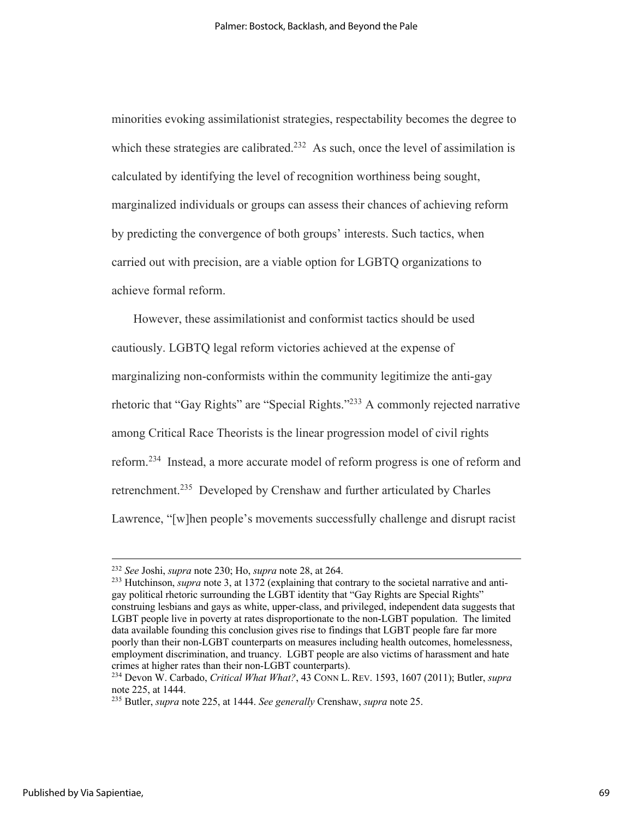minorities evoking assimilationist strategies, respectability becomes the degree to which these strategies are calibrated.<sup>232</sup> As such, once the level of assimilation is calculated by identifying the level of recognition worthiness being sought, marginalized individuals or groups can assess their chances of achieving reform by predicting the convergence of both groups' interests. Such tactics, when carried out with precision, are a viable option for LGBTQ organizations to achieve formal reform.

However, these assimilationist and conformist tactics should be used cautiously. LGBTQ legal reform victories achieved at the expense of marginalizing non-conformists within the community legitimize the anti-gay rhetoric that "Gay Rights" are "Special Rights."<sup>233</sup> A commonly rejected narrative among Critical Race Theorists is the linear progression model of civil rights reform.234 Instead, a more accurate model of reform progress is one of reform and retrenchment.<sup>235</sup> Developed by Crenshaw and further articulated by Charles Lawrence, "[w]hen people's movements successfully challenge and disrupt racist

<sup>&</sup>lt;sup>232</sup> *See* Joshi, *supra* note 230; Ho, *supra* note 28, at 264.<br><sup>233</sup> Hutchinson, *supra* note 3, at 1372 (explaining that contrary to the societal narrative and antigay political rhetoric surrounding the LGBT identity that "Gay Rights are Special Rights" construing lesbians and gays as white, upper-class, and privileged, independent data suggests that LGBT people live in poverty at rates disproportionate to the non-LGBT population. The limited data available founding this conclusion gives rise to findings that LGBT people fare far more poorly than their non-LGBT counterparts on measures including health outcomes, homelessness, employment discrimination, and truancy. LGBT people are also victims of harassment and hate crimes at higher rates than their non-LGBT counterparts). 234 Devon W. Carbado, *Critical What What?*, 43 CONN L. REV. 1593, 1607 (2011); Butler, *supra*

note 225, at 1444. 235 Butler, *supra* note 225, at 1444. *See generally* Crenshaw, *supra* note 25.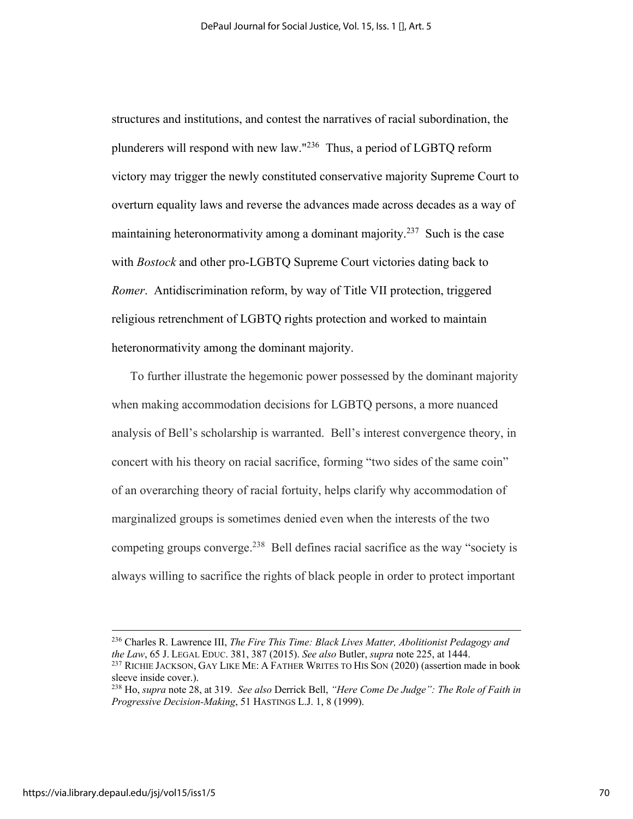structures and institutions, and contest the narratives of racial subordination, the plunderers will respond with new law."236 Thus, a period of LGBTQ reform victory may trigger the newly constituted conservative majority Supreme Court to overturn equality laws and reverse the advances made across decades as a way of maintaining heteronormativity among a dominant majority.<sup>237</sup> Such is the case with *Bostock* and other pro-LGBTQ Supreme Court victories dating back to *Romer*. Antidiscrimination reform, by way of Title VII protection, triggered religious retrenchment of LGBTQ rights protection and worked to maintain heteronormativity among the dominant majority.

To further illustrate the hegemonic power possessed by the dominant majority when making accommodation decisions for LGBTQ persons, a more nuanced analysis of Bell's scholarship is warranted. Bell's interest convergence theory, in concert with his theory on racial sacrifice, forming "two sides of the same coin" of an overarching theory of racial fortuity, helps clarify why accommodation of marginalized groups is sometimes denied even when the interests of the two competing groups converge.<sup>238</sup> Bell defines racial sacrifice as the way "society is always willing to sacrifice the rights of black people in order to protect important

<sup>236</sup> Charles R. Lawrence III, *The Fire This Time: Black Lives Matter, Abolitionist Pedagogy and the Law*, 65 J. LEGAL EDUC. 381, 387 (2015). *See also* Butler, *supra* note 225, at 1444.<br><sup>237</sup> RICHIE JACKSON, GAY LIKE ME: A FATHER WRITES TO HIS SON (2020) (assertion made in book

sleeve inside cover.). 238 Ho, *supra* note 28, at 319. *See also* Derrick Bell, *"Here Come De Judge": The Role of Faith in* 

*Progressive Decision-Making*, 51 HASTINGS L.J. 1, 8 (1999).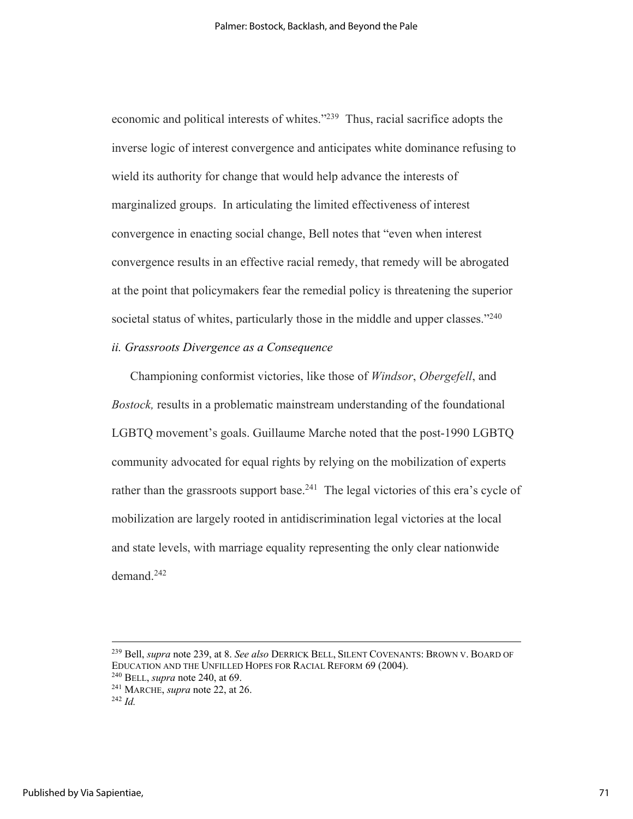economic and political interests of whites."239 Thus, racial sacrifice adopts the inverse logic of interest convergence and anticipates white dominance refusing to wield its authority for change that would help advance the interests of marginalized groups. In articulating the limited effectiveness of interest convergence in enacting social change, Bell notes that "even when interest convergence results in an effective racial remedy, that remedy will be abrogated at the point that policymakers fear the remedial policy is threatening the superior societal status of whites, particularly those in the middle and upper classes."<sup>240</sup>

# *ii. Grassroots Divergence as a Consequence*

Championing conformist victories, like those of *Windsor*, *Obergefell*, and *Bostock,* results in a problematic mainstream understanding of the foundational LGBTQ movement's goals. Guillaume Marche noted that the post-1990 LGBTQ community advocated for equal rights by relying on the mobilization of experts rather than the grassroots support base.<sup>241</sup> The legal victories of this era's cycle of mobilization are largely rooted in antidiscrimination legal victories at the local and state levels, with marriage equality representing the only clear nationwide demand.242

<sup>239</sup> Bell, *supra* note 239, at 8. *See also* DERRICK BELL, SILENT COVENANTS: BROWN V. BOARD OF EDUCATION AND THE UNFILLED HOPES FOR RACIAL REFORM 69 (2004). 240 BELL, *supra* note 240, at 69.

<sup>241</sup> MARCHE, *supra* note 22, at 26. 242 *Id.*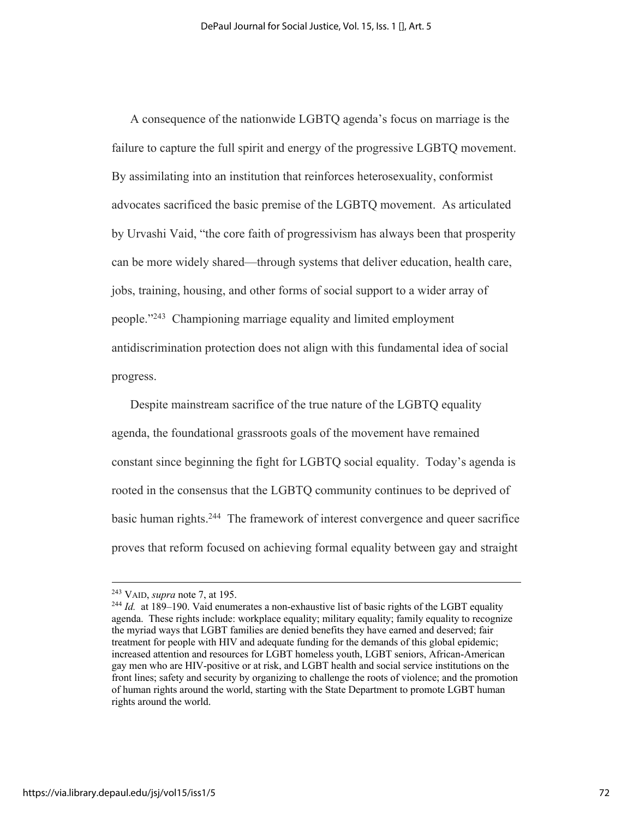A consequence of the nationwide LGBTQ agenda's focus on marriage is the failure to capture the full spirit and energy of the progressive LGBTQ movement. By assimilating into an institution that reinforces heterosexuality, conformist advocates sacrificed the basic premise of the LGBTQ movement. As articulated by Urvashi Vaid, "the core faith of progressivism has always been that prosperity can be more widely shared—through systems that deliver education, health care, jobs, training, housing, and other forms of social support to a wider array of people."243 Championing marriage equality and limited employment antidiscrimination protection does not align with this fundamental idea of social progress.

Despite mainstream sacrifice of the true nature of the LGBTQ equality agenda, the foundational grassroots goals of the movement have remained constant since beginning the fight for LGBTQ social equality. Today's agenda is rooted in the consensus that the LGBTQ community continues to be deprived of basic human rights.<sup>244</sup> The framework of interest convergence and queer sacrifice proves that reform focused on achieving formal equality between gay and straight

<sup>&</sup>lt;sup>243</sup> VAID, *supra* note 7, at 195.<br><sup>244</sup> *Id.* at 189–190. Vaid enumerates a non-exhaustive list of basic rights of the LGBT equality agenda. These rights include: workplace equality; military equality; family equality to recognize the myriad ways that LGBT families are denied benefits they have earned and deserved; fair treatment for people with HIV and adequate funding for the demands of this global epidemic; increased attention and resources for LGBT homeless youth, LGBT seniors, African-American gay men who are HIV-positive or at risk, and LGBT health and social service institutions on the front lines; safety and security by organizing to challenge the roots of violence; and the promotion of human rights around the world, starting with the State Department to promote LGBT human rights around the world.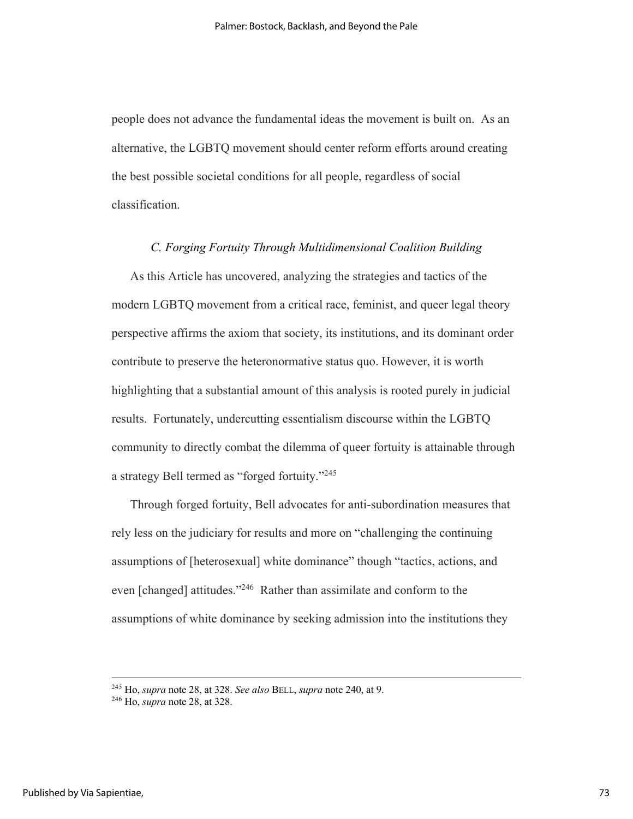people does not advance the fundamental ideas the movement is built on. As an alternative, the LGBTQ movement should center reform efforts around creating the best possible societal conditions for all people, regardless of social classification.

## *C. Forging Fortuity Through Multidimensional Coalition Building*

As this Article has uncovered, analyzing the strategies and tactics of the modern LGBTQ movement from a critical race, feminist, and queer legal theory perspective affirms the axiom that society, its institutions, and its dominant order contribute to preserve the heteronormative status quo. However, it is worth highlighting that a substantial amount of this analysis is rooted purely in judicial results. Fortunately, undercutting essentialism discourse within the LGBTQ community to directly combat the dilemma of queer fortuity is attainable through a strategy Bell termed as "forged fortuity."245

Through forged fortuity, Bell advocates for anti-subordination measures that rely less on the judiciary for results and more on "challenging the continuing assumptions of [heterosexual] white dominance" though "tactics, actions, and even [changed] attitudes."<sup>246</sup> Rather than assimilate and conform to the assumptions of white dominance by seeking admission into the institutions they

<sup>245</sup> Ho, *supra* note 28, at 328. *See also* BELL, *supra* note 240, at 9. 246 Ho, *supra* note 28, at 328.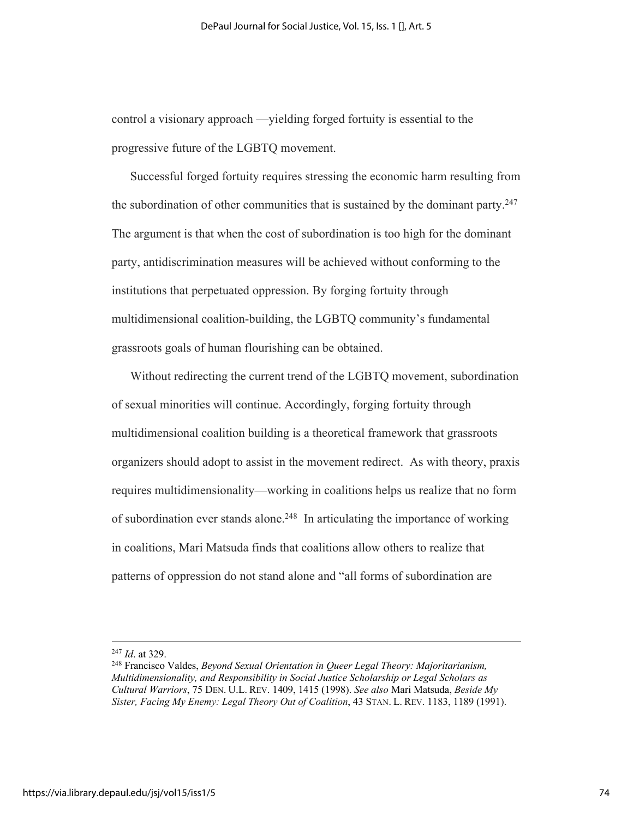control a visionary approach —yielding forged fortuity is essential to the progressive future of the LGBTQ movement.

Successful forged fortuity requires stressing the economic harm resulting from the subordination of other communities that is sustained by the dominant party.<sup>247</sup> The argument is that when the cost of subordination is too high for the dominant party, antidiscrimination measures will be achieved without conforming to the institutions that perpetuated oppression. By forging fortuity through multidimensional coalition-building, the LGBTQ community's fundamental grassroots goals of human flourishing can be obtained.

Without redirecting the current trend of the LGBTQ movement, subordination of sexual minorities will continue. Accordingly, forging fortuity through multidimensional coalition building is a theoretical framework that grassroots organizers should adopt to assist in the movement redirect. As with theory, praxis requires multidimensionality—working in coalitions helps us realize that no form of subordination ever stands alone.248 In articulating the importance of working in coalitions, Mari Matsuda finds that coalitions allow others to realize that patterns of oppression do not stand alone and "all forms of subordination are

<sup>&</sup>lt;sup>247</sup> *Id.* at 329.<br><sup>248</sup> Francisco Valdes, *Beyond Sexual Orientation in Queer Legal Theory: Majoritarianism, Multidimensionality, and Responsibility in Social Justice Scholarship or Legal Scholars as Cultural Warriors*, 75 DEN. U.L. REV. 1409, 1415 (1998). *See also* Mari Matsuda, *Beside My Sister, Facing My Enemy: Legal Theory Out of Coalition*, 43 STAN. L. REV. 1183, 1189 (1991).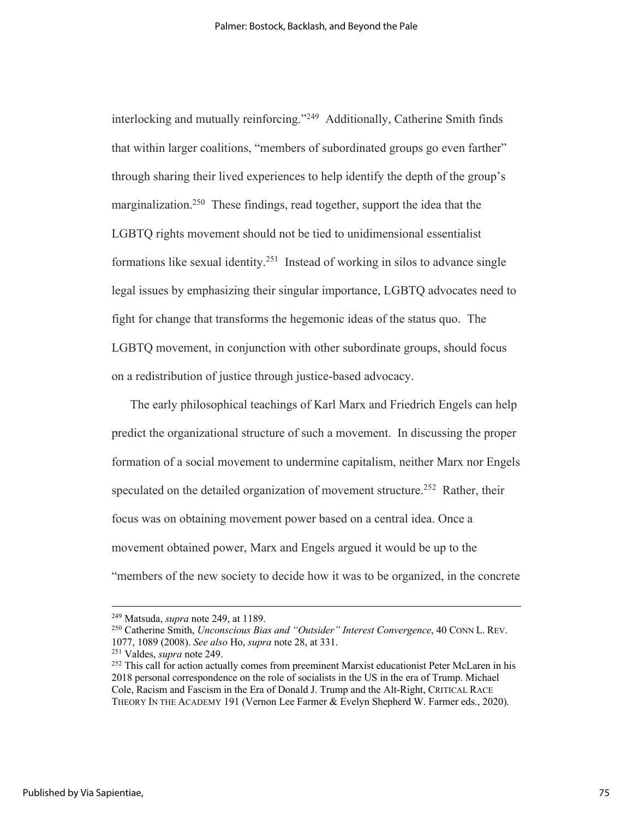interlocking and mutually reinforcing."249 Additionally, Catherine Smith finds that within larger coalitions, "members of subordinated groups go even farther" through sharing their lived experiences to help identify the depth of the group's marginalization.<sup>250</sup> These findings, read together, support the idea that the LGBTQ rights movement should not be tied to unidimensional essentialist formations like sexual identity.<sup>251</sup> Instead of working in silos to advance single legal issues by emphasizing their singular importance, LGBTQ advocates need to fight for change that transforms the hegemonic ideas of the status quo. The LGBTQ movement, in conjunction with other subordinate groups, should focus on a redistribution of justice through justice-based advocacy.

The early philosophical teachings of Karl Marx and Friedrich Engels can help predict the organizational structure of such a movement. In discussing the proper formation of a social movement to undermine capitalism, neither Marx nor Engels speculated on the detailed organization of movement structure.<sup>252</sup> Rather, their focus was on obtaining movement power based on a central idea. Once a movement obtained power, Marx and Engels argued it would be up to the "members of the new society to decide how it was to be organized, in the concrete

<sup>249</sup> Matsuda, *supra* note 249, at 1189.

<sup>250</sup> Catherine Smith, *Unconscious Bias and "Outsider" Interest Convergence*, 40 CONN L. REV. 1077, 1089 (2008). *See also* Ho, *supra* note 28, at 331.<br><sup>251</sup> Valdes, *supra* note 249.<br><sup>252</sup> This call for action actually comes from preeminent Marxist educationist Peter McLaren in his

<sup>2018</sup> personal correspondence on the role of socialists in the US in the era of Trump. Michael Cole, Racism and Fascism in the Era of Donald J. Trump and the Alt-Right, CRITICAL RACE THEORY IN THE ACADEMY 191 (Vernon Lee Farmer & Evelyn Shepherd W. Farmer eds., 2020).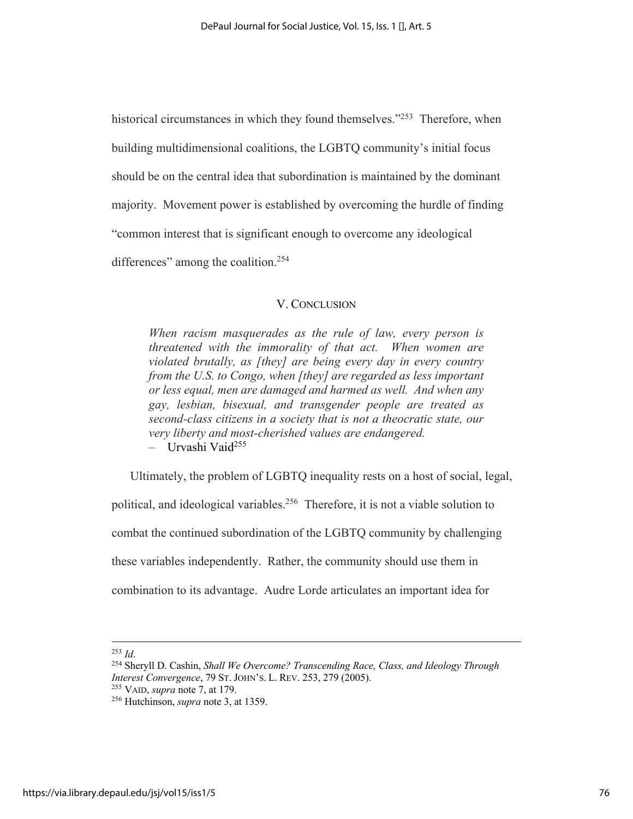historical circumstances in which they found themselves."<sup>253</sup> Therefore, when building multidimensional coalitions, the LGBTQ community's initial focus should be on the central idea that subordination is maintained by the dominant majority. Movement power is established by overcoming the hurdle of finding "common interest that is significant enough to overcome any ideological differences" among the coalition.<sup>254</sup>

## V. CONCLUSION

*When racism masquerades as the rule of law, every person is threatened with the immorality of that act. When women are violated brutally, as [they] are being every day in every country from the U.S. to Congo, when [they] are regarded as less important or less equal, men are damaged and harmed as well. And when any gay, lesbian, bisexual, and transgender people are treated as second-class citizens in a society that is not a theocratic state, our very liberty and most-cherished values are endangered.* – Urvashi Vaid255

Ultimately, the problem of LGBTQ inequality rests on a host of social, legal, political, and ideological variables.256 Therefore, it is not a viable solution to combat the continued subordination of the LGBTQ community by challenging these variables independently. Rather, the community should use them in combination to its advantage. Audre Lorde articulates an important idea for

<sup>&</sup>lt;sup>253</sup> *Id.* 255 *Id.* 254 Sheryll D. Cashin, *Shall We Overcome? Transcending Race, Class, and Ideology Through Cashin, Shall We Overcome? Transcending Race, Class, and Ideology Through Interest Convergence*, 79 ST. JOHN'S. L. REV. 253, 279 (2005). 255 VAID, *supra* note 7, at 179. 256 Hutchinson, *supra* note 3, at 1359.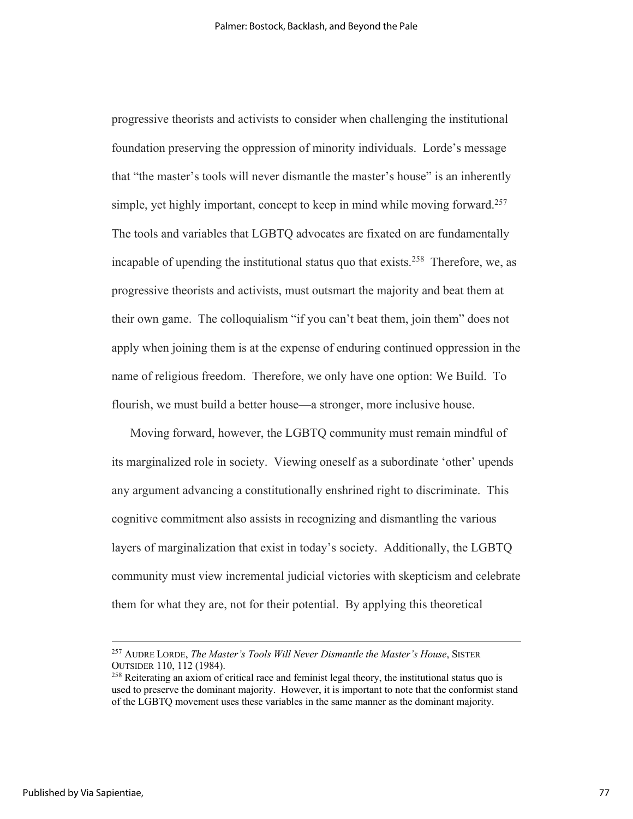progressive theorists and activists to consider when challenging the institutional foundation preserving the oppression of minority individuals. Lorde's message that "the master's tools will never dismantle the master's house" is an inherently simple, yet highly important, concept to keep in mind while moving forward.<sup>257</sup> The tools and variables that LGBTQ advocates are fixated on are fundamentally incapable of upending the institutional status quo that exists.<sup>258</sup> Therefore, we, as progressive theorists and activists, must outsmart the majority and beat them at their own game. The colloquialism "if you can't beat them, join them" does not apply when joining them is at the expense of enduring continued oppression in the name of religious freedom. Therefore, we only have one option: We Build. To flourish, we must build a better house—a stronger, more inclusive house.

Moving forward, however, the LGBTQ community must remain mindful of its marginalized role in society. Viewing oneself as a subordinate 'other' upends any argument advancing a constitutionally enshrined right to discriminate. This cognitive commitment also assists in recognizing and dismantling the various layers of marginalization that exist in today's society. Additionally, the LGBTQ community must view incremental judicial victories with skepticism and celebrate them for what they are, not for their potential. By applying this theoretical

<sup>257</sup> AUDRE LORDE, *The Master's Tools Will Never Dismantle the Master's House*, SISTER OUTSIDER 110, 112 (1984). 258 Reiterating an axiom of critical race and feminist legal theory, the institutional status quo is

used to preserve the dominant majority. However, it is important to note that the conformist stand of the LGBTQ movement uses these variables in the same manner as the dominant majority.